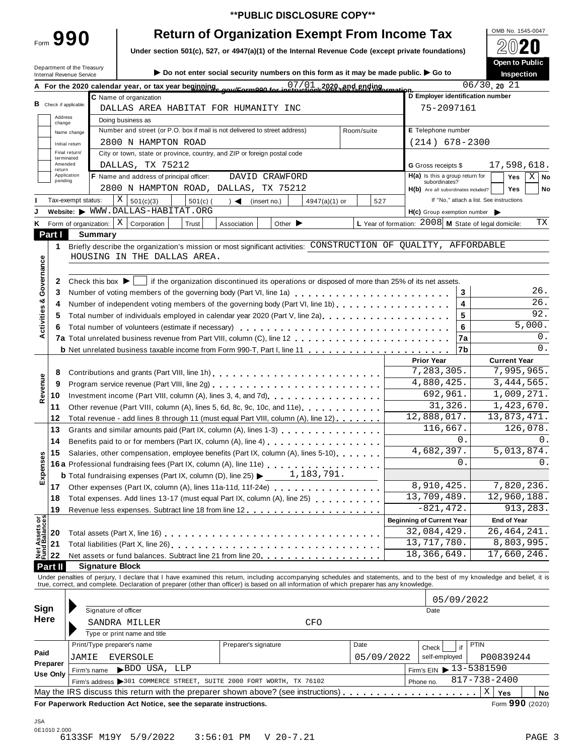### **\*\*PUBLIC DISCLOSURE COPY\*\* Return of Organization Exempt From Income Tax**

|  | Return of Organization Exempt From income Tax |  |  |
|--|-----------------------------------------------|--|--|
|  |                                               |  |  |

Under section 501(c), 527, or 4947(a)(1) of the Internal Revenue Code (except private foundations)<br>Open to Public

**Open to Public Open to Public Compartment of the Treasury** 

|                               | Internal Revenue Service | Department of the Treasury           |                                                                                          | Do not enter social security numbers on this form as it may be made public. $\blacktriangleright$ Go to                                                                                                                        |                  |                    |           |                                     |           | Inspection                                                 |
|-------------------------------|--------------------------|--------------------------------------|------------------------------------------------------------------------------------------|--------------------------------------------------------------------------------------------------------------------------------------------------------------------------------------------------------------------------------|------------------|--------------------|-----------|-------------------------------------|-----------|------------------------------------------------------------|
|                               |                          |                                      | A For the 2020 calendar year, or tax year beginning. any/Form000 for i                   |                                                                                                                                                                                                                                |                  |                    |           |                                     |           | 06/30, 2021                                                |
|                               |                          | C Name of organization               |                                                                                          |                                                                                                                                                                                                                                |                  |                    |           |                                     |           |                                                            |
| <b>B</b> Check if applicable: |                          |                                      |                                                                                          | DALLAS AREA HABITAT FOR HUMANITY INC                                                                                                                                                                                           |                  |                    |           | 75-2097161                          |           |                                                            |
| Address<br>change             |                          | Doing business as                    |                                                                                          |                                                                                                                                                                                                                                |                  |                    |           |                                     |           |                                                            |
|                               | Name change              |                                      |                                                                                          | Number and street (or P.O. box if mail is not delivered to street address)                                                                                                                                                     |                  | Room/suite         |           | E Telephone number                  |           |                                                            |
|                               | Initial return           |                                      | 2800 N HAMPTON ROAD                                                                      |                                                                                                                                                                                                                                |                  | $(214) 678 - 2300$ |           |                                     |           |                                                            |
|                               | Final return/            |                                      |                                                                                          | City or town, state or province, country, and ZIP or foreign postal code                                                                                                                                                       |                  |                    |           |                                     |           |                                                            |
| Amended                       | terminated               |                                      | DALLAS, TX 75212                                                                         |                                                                                                                                                                                                                                |                  |                    |           | G Gross receipts \$                 |           | 17,598,618.                                                |
| return                        | Application              |                                      | <b>F</b> Name and address of principal officer:                                          | DAVID CRAWFORD                                                                                                                                                                                                                 |                  |                    |           | $H(a)$ is this a group return for   |           | Yes<br>$X \mid$ No                                         |
| pending                       |                          |                                      |                                                                                          | 2800 N HAMPTON ROAD, DALLAS, TX 75212                                                                                                                                                                                          |                  |                    |           | subordinates?                       |           |                                                            |
|                               |                          |                                      |                                                                                          |                                                                                                                                                                                                                                |                  |                    |           | H(b) Are all subordinates included? |           | <b>Yes</b><br>No                                           |
|                               | Tax-exempt status:       | X                                    | 501(c)(3)<br>$501(c)$ (                                                                  | $\rightarrow$<br>(insert no.)<br>4947(a)(1) or                                                                                                                                                                                 |                  | 527                |           |                                     |           | If "No," attach a list. See instructions                   |
|                               |                          |                                      | Website: WWW.DALLAS-HABITAT.ORG                                                          |                                                                                                                                                                                                                                |                  |                    |           | H(c) Group exemption number         |           |                                                            |
|                               |                          | Form of organization:                | $X \vert$ Corporation<br>Trust                                                           | Association<br>Other $\blacktriangleright$                                                                                                                                                                                     |                  |                    |           |                                     |           | L Year of formation: 2008 M State of legal domicile:<br>TХ |
| Part I                        |                          | Summary                              |                                                                                          |                                                                                                                                                                                                                                |                  |                    |           |                                     |           |                                                            |
| 1                             |                          |                                      |                                                                                          | Briefly describe the organization's mission or most significant activities: CONSTRUCTION OF QUALITY, AFFORDABLE                                                                                                                |                  |                    |           |                                     |           |                                                            |
|                               |                          |                                      | HOUSING IN THE DALLAS AREA.                                                              |                                                                                                                                                                                                                                |                  |                    |           |                                     |           |                                                            |
|                               |                          |                                      |                                                                                          |                                                                                                                                                                                                                                |                  |                    |           |                                     |           |                                                            |
| 2                             |                          | Check this box $\blacktriangleright$ |                                                                                          | if the organization discontinued its operations or disposed of more than 25% of its net assets.                                                                                                                                |                  |                    |           |                                     |           |                                                            |
| 3                             |                          |                                      |                                                                                          |                                                                                                                                                                                                                                |                  |                    |           |                                     | 3         | 26.                                                        |
| 4                             |                          |                                      |                                                                                          | Number of independent voting members of the governing body (Part VI, line 1b)                                                                                                                                                  |                  |                    |           |                                     | 4         | 26.                                                        |
| 5                             |                          |                                      |                                                                                          | Total number of individuals employed in calendar year 2020 (Part V, line 2a)                                                                                                                                                   |                  |                    |           |                                     | 5         | 92.                                                        |
|                               |                          |                                      |                                                                                          |                                                                                                                                                                                                                                |                  |                    |           |                                     | 6         | 5,000.                                                     |
| 6                             |                          |                                      |                                                                                          |                                                                                                                                                                                                                                |                  |                    |           |                                     |           | 0.                                                         |
|                               |                          |                                      |                                                                                          |                                                                                                                                                                                                                                |                  |                    |           |                                     | <b>7a</b> | 0.                                                         |
|                               |                          |                                      |                                                                                          |                                                                                                                                                                                                                                |                  |                    |           |                                     | 7b        |                                                            |
|                               |                          |                                      |                                                                                          |                                                                                                                                                                                                                                |                  |                    |           | <b>Prior Year</b>                   |           | <b>Current Year</b>                                        |
| 8                             |                          |                                      |                                                                                          |                                                                                                                                                                                                                                |                  |                    |           | 7,283,305.                          |           | 7,995,965.                                                 |
| 9                             |                          |                                      |                                                                                          |                                                                                                                                                                                                                                |                  |                    |           | 4,880,425.                          |           | 3, 444, 565.                                               |
| 10                            |                          |                                      |                                                                                          |                                                                                                                                                                                                                                |                  |                    |           | 692,961.                            |           | 1,009,271.                                                 |
| 11                            |                          |                                      |                                                                                          | Other revenue (Part VIII, column (A), lines 5, 6d, 8c, 9c, 10c, and 11e)                                                                                                                                                       |                  |                    |           | 31,326.                             |           | 1,423,670.                                                 |
| 12                            |                          |                                      |                                                                                          | Total revenue - add lines 8 through 11 (must equal Part VIII, column (A), line 12)                                                                                                                                             |                  |                    |           | 12,888,017.                         |           | 13,873,471.                                                |
| 13                            |                          |                                      |                                                                                          | Grants and similar amounts paid (Part IX, column (A), lines 1-3)                                                                                                                                                               |                  |                    |           | 116,667.                            |           | 126,078.                                                   |
| 14                            |                          |                                      |                                                                                          | Benefits paid to or for members (Part IX, column (A), line 4) [10] cases is a contract to or for members (Part IX, column (A), line 4) [10] cases is a contract to or for the set of the set of the set of the set of the set  |                  |                    |           |                                     | 0.        | 0.                                                         |
| 15                            |                          |                                      | Salaries, other compensation, employee benefits (Part IX, column (A), lines 5-10)        |                                                                                                                                                                                                                                | 4,682,397.<br>0. |                    |           | 5,013,874.                          |           |                                                            |
|                               |                          |                                      | 16a Professional fundraising fees (Part IX, column (A), line 11e)                        |                                                                                                                                                                                                                                |                  |                    |           | 0.                                  |           |                                                            |
|                               |                          |                                      | <b>b</b> Total fundraising expenses (Part IX, column (D), line 25) $\blacktriangleright$ | 1,183,791.                                                                                                                                                                                                                     |                  |                    |           |                                     |           |                                                            |
|                               |                          |                                      | 17 Other expenses (Part IX, column (A), lines 11a-11d, 11f-24e)                          |                                                                                                                                                                                                                                |                  |                    |           | 8,910,425.                          |           | 7,820,236.                                                 |
|                               |                          |                                      |                                                                                          |                                                                                                                                                                                                                                |                  |                    |           | 13,709,489.                         |           | 12,960,188.                                                |
| 18                            |                          |                                      |                                                                                          | Total expenses. Add lines 13-17 (must equal Part IX, column (A), line 25)                                                                                                                                                      |                  |                    |           | $-821, 472.$                        |           | 913,283.                                                   |
| 19                            |                          |                                      |                                                                                          |                                                                                                                                                                                                                                |                  |                    |           |                                     |           |                                                            |
|                               |                          |                                      |                                                                                          |                                                                                                                                                                                                                                |                  |                    |           | <b>Beginning of Current Year</b>    |           | <b>End of Year</b>                                         |
| 20                            |                          |                                      |                                                                                          |                                                                                                                                                                                                                                |                  |                    |           | 32,084,429.                         |           | 26, 464, 241.                                              |
| 21                            |                          |                                      |                                                                                          |                                                                                                                                                                                                                                |                  |                    |           | 13,717,780.                         |           | 8,803,995.                                                 |
| 22                            |                          |                                      |                                                                                          | Net assets or fund balances. Subtract line 21 from line 20.                                                                                                                                                                    |                  |                    |           | 18,366,649.                         |           | 17,660,246.                                                |
| Part II                       |                          | <b>Signature Block</b>               |                                                                                          |                                                                                                                                                                                                                                |                  |                    |           |                                     |           |                                                            |
|                               |                          |                                      |                                                                                          | Under penalties of perjury, I declare that I have examined this return, including accompanying schedules and statements, and to the best of my knowledge and belief, it is true, correct, and complete. Declaration of prepare |                  |                    |           |                                     |           |                                                            |
|                               |                          |                                      |                                                                                          |                                                                                                                                                                                                                                |                  |                    |           |                                     |           |                                                            |
|                               |                          |                                      |                                                                                          |                                                                                                                                                                                                                                |                  |                    |           | 05/09/2022                          |           |                                                            |
| Sign                          |                          | Signature of officer                 |                                                                                          |                                                                                                                                                                                                                                |                  |                    |           | Date                                |           |                                                            |
| Here                          |                          | SANDRA MILLER                        |                                                                                          | <b>CFO</b>                                                                                                                                                                                                                     |                  |                    |           |                                     |           |                                                            |
|                               |                          | Type or print name and title         |                                                                                          |                                                                                                                                                                                                                                |                  |                    |           |                                     |           |                                                            |
|                               |                          | Print/Type preparer's name           |                                                                                          | Preparer's signature                                                                                                                                                                                                           |                  | Date               |           | Check                               | if        | <b>PTIN</b>                                                |
| Paid                          | JAMIE                    | EVERSOLE                             | 05/09/2022                                                                               |                                                                                                                                                                                                                                | self-employed    |                    | P00839244 |                                     |           |                                                            |
| Preparer                      |                          | Firm's name                          | BDO USA, LLP                                                                             |                                                                                                                                                                                                                                |                  |                    |           |                                     |           | Firm's EIN ▶ 13-5381590                                    |
|                               |                          |                                      |                                                                                          |                                                                                                                                                                                                                                |                  |                    |           |                                     |           | 817-738-2400                                               |
| <b>Use Only</b>               |                          |                                      |                                                                                          |                                                                                                                                                                                                                                |                  |                    |           |                                     |           |                                                            |
|                               |                          |                                      |                                                                                          | Firm's address >301 COMMERCE STREET, SUITE 2000 FORT WORTH, TX 76102                                                                                                                                                           |                  |                    |           | Phone no.                           |           | $\mathbf X$<br>Yes<br>No                                   |

OMB No. 1545-0047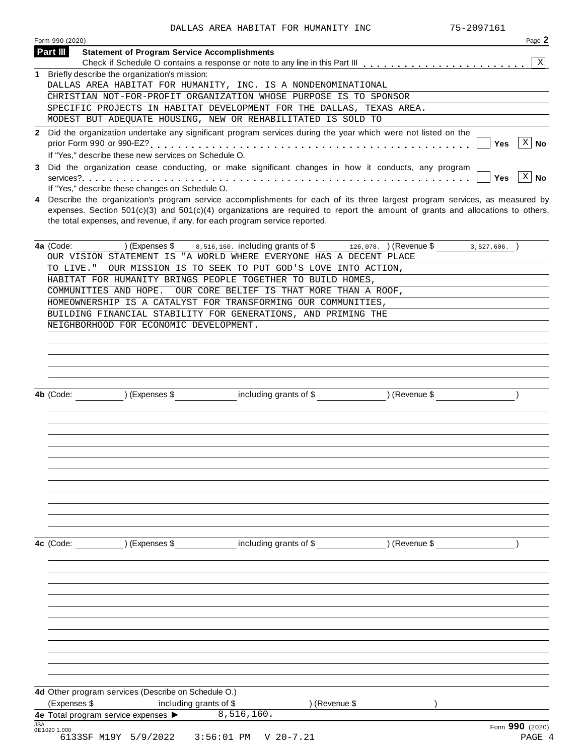| Form 990 (2020)<br>Part III<br><b>Statement of Program Service Accomplishments</b><br>Briefly describe the organization's mission:<br>1<br>DALLAS AREA HABITAT FOR HUMANITY, INC. IS A NONDENOMINATIONAL<br>CHRISTIAN NOT-FOR-PROFIT ORGANIZATION WHOSE PURPOSE IS TO SPONSOR<br>SPECIFIC PROJECTS IN HABITAT DEVELOPMENT FOR THE DALLAS, TEXAS AREA.<br>MODEST BUT ADEQUATE HOUSING, NEW OR REHABILITATED IS SOLD TO<br>2 Did the organization undertake any significant program services during the year which were not listed on the<br>$\vert X \vert$<br><b>Yes</b><br>If "Yes," describe these new services on Schedule O.<br>3 Did the organization cease conducting, or make significant changes in how it conducts, any program<br>$X \mid No$<br><b>Yes</b><br>If "Yes," describe these changes on Schedule O.<br>4 Describe the organization's program service accomplishments for each of its three largest program services, as measured by<br>expenses. Section $501(c)(3)$ and $501(c)(4)$ organizations are required to report the amount of grants and allocations to others,<br>the total expenses, and revenue, if any, for each program service reported.<br>4a (Code:<br>(Expenses \$ $8,516,160$ . including grants of \$ $126,078$ . ) (Revenue \$ $3,527,606$ . )<br>OUR VISION STATEMENT IS "A WORLD WHERE EVERYONE HAS A DECENT PLACE<br>TO LIVE."<br>OUR MISSION IS TO SEEK TO PUT GOD'S LOVE INTO ACTION,<br>HABITAT FOR HUMANITY BRINGS PEOPLE TOGETHER TO BUILD HOMES,<br>OUR CORE BELIEF IS THAT MORE THAN A ROOF,<br>COMMUNITIES AND HOPE.<br>HOMEOWNERSHIP IS A CATALYST FOR TRANSFORMING OUR COMMUNITIES,<br>BUILDING FINANCIAL STABILITY FOR GENERATIONS, AND PRIMING THE<br>NEIGHBORHOOD FOR ECONOMIC DEVELOPMENT.<br>$(Ex)$ (Expenses $$$<br>including grants of $\$$ (Revenue $\$$<br>4b (Code:<br>including grants of \$<br>) (Expenses \$<br>) (Revenue \$<br>4c (Code:<br>4d Other program services (Describe on Schedule O.)<br>(Expenses \$<br>) (Revenue \$<br>including grants of \$<br>8,516,160.<br>4e Total program service expenses | DALLAS AREA HABITAT FOR HUMANITY INC | 75-2097161      |
|--------------------------------------------------------------------------------------------------------------------------------------------------------------------------------------------------------------------------------------------------------------------------------------------------------------------------------------------------------------------------------------------------------------------------------------------------------------------------------------------------------------------------------------------------------------------------------------------------------------------------------------------------------------------------------------------------------------------------------------------------------------------------------------------------------------------------------------------------------------------------------------------------------------------------------------------------------------------------------------------------------------------------------------------------------------------------------------------------------------------------------------------------------------------------------------------------------------------------------------------------------------------------------------------------------------------------------------------------------------------------------------------------------------------------------------------------------------------------------------------------------------------------------------------------------------------------------------------------------------------------------------------------------------------------------------------------------------------------------------------------------------------------------------------------------------------------------------------------------------------------------------------------------------------------------------------------------------------------------------------------------------------------------------------------------------------------------------|--------------------------------------|-----------------|
|                                                                                                                                                                                                                                                                                                                                                                                                                                                                                                                                                                                                                                                                                                                                                                                                                                                                                                                                                                                                                                                                                                                                                                                                                                                                                                                                                                                                                                                                                                                                                                                                                                                                                                                                                                                                                                                                                                                                                                                                                                                                                      |                                      | Page 2          |
|                                                                                                                                                                                                                                                                                                                                                                                                                                                                                                                                                                                                                                                                                                                                                                                                                                                                                                                                                                                                                                                                                                                                                                                                                                                                                                                                                                                                                                                                                                                                                                                                                                                                                                                                                                                                                                                                                                                                                                                                                                                                                      |                                      | $\mathbf{X}$    |
|                                                                                                                                                                                                                                                                                                                                                                                                                                                                                                                                                                                                                                                                                                                                                                                                                                                                                                                                                                                                                                                                                                                                                                                                                                                                                                                                                                                                                                                                                                                                                                                                                                                                                                                                                                                                                                                                                                                                                                                                                                                                                      |                                      |                 |
|                                                                                                                                                                                                                                                                                                                                                                                                                                                                                                                                                                                                                                                                                                                                                                                                                                                                                                                                                                                                                                                                                                                                                                                                                                                                                                                                                                                                                                                                                                                                                                                                                                                                                                                                                                                                                                                                                                                                                                                                                                                                                      |                                      |                 |
|                                                                                                                                                                                                                                                                                                                                                                                                                                                                                                                                                                                                                                                                                                                                                                                                                                                                                                                                                                                                                                                                                                                                                                                                                                                                                                                                                                                                                                                                                                                                                                                                                                                                                                                                                                                                                                                                                                                                                                                                                                                                                      |                                      |                 |
|                                                                                                                                                                                                                                                                                                                                                                                                                                                                                                                                                                                                                                                                                                                                                                                                                                                                                                                                                                                                                                                                                                                                                                                                                                                                                                                                                                                                                                                                                                                                                                                                                                                                                                                                                                                                                                                                                                                                                                                                                                                                                      |                                      |                 |
|                                                                                                                                                                                                                                                                                                                                                                                                                                                                                                                                                                                                                                                                                                                                                                                                                                                                                                                                                                                                                                                                                                                                                                                                                                                                                                                                                                                                                                                                                                                                                                                                                                                                                                                                                                                                                                                                                                                                                                                                                                                                                      |                                      |                 |
|                                                                                                                                                                                                                                                                                                                                                                                                                                                                                                                                                                                                                                                                                                                                                                                                                                                                                                                                                                                                                                                                                                                                                                                                                                                                                                                                                                                                                                                                                                                                                                                                                                                                                                                                                                                                                                                                                                                                                                                                                                                                                      |                                      | No              |
|                                                                                                                                                                                                                                                                                                                                                                                                                                                                                                                                                                                                                                                                                                                                                                                                                                                                                                                                                                                                                                                                                                                                                                                                                                                                                                                                                                                                                                                                                                                                                                                                                                                                                                                                                                                                                                                                                                                                                                                                                                                                                      |                                      |                 |
|                                                                                                                                                                                                                                                                                                                                                                                                                                                                                                                                                                                                                                                                                                                                                                                                                                                                                                                                                                                                                                                                                                                                                                                                                                                                                                                                                                                                                                                                                                                                                                                                                                                                                                                                                                                                                                                                                                                                                                                                                                                                                      |                                      |                 |
|                                                                                                                                                                                                                                                                                                                                                                                                                                                                                                                                                                                                                                                                                                                                                                                                                                                                                                                                                                                                                                                                                                                                                                                                                                                                                                                                                                                                                                                                                                                                                                                                                                                                                                                                                                                                                                                                                                                                                                                                                                                                                      |                                      |                 |
|                                                                                                                                                                                                                                                                                                                                                                                                                                                                                                                                                                                                                                                                                                                                                                                                                                                                                                                                                                                                                                                                                                                                                                                                                                                                                                                                                                                                                                                                                                                                                                                                                                                                                                                                                                                                                                                                                                                                                                                                                                                                                      |                                      |                 |
|                                                                                                                                                                                                                                                                                                                                                                                                                                                                                                                                                                                                                                                                                                                                                                                                                                                                                                                                                                                                                                                                                                                                                                                                                                                                                                                                                                                                                                                                                                                                                                                                                                                                                                                                                                                                                                                                                                                                                                                                                                                                                      |                                      |                 |
|                                                                                                                                                                                                                                                                                                                                                                                                                                                                                                                                                                                                                                                                                                                                                                                                                                                                                                                                                                                                                                                                                                                                                                                                                                                                                                                                                                                                                                                                                                                                                                                                                                                                                                                                                                                                                                                                                                                                                                                                                                                                                      |                                      |                 |
|                                                                                                                                                                                                                                                                                                                                                                                                                                                                                                                                                                                                                                                                                                                                                                                                                                                                                                                                                                                                                                                                                                                                                                                                                                                                                                                                                                                                                                                                                                                                                                                                                                                                                                                                                                                                                                                                                                                                                                                                                                                                                      |                                      |                 |
|                                                                                                                                                                                                                                                                                                                                                                                                                                                                                                                                                                                                                                                                                                                                                                                                                                                                                                                                                                                                                                                                                                                                                                                                                                                                                                                                                                                                                                                                                                                                                                                                                                                                                                                                                                                                                                                                                                                                                                                                                                                                                      |                                      |                 |
|                                                                                                                                                                                                                                                                                                                                                                                                                                                                                                                                                                                                                                                                                                                                                                                                                                                                                                                                                                                                                                                                                                                                                                                                                                                                                                                                                                                                                                                                                                                                                                                                                                                                                                                                                                                                                                                                                                                                                                                                                                                                                      |                                      |                 |
|                                                                                                                                                                                                                                                                                                                                                                                                                                                                                                                                                                                                                                                                                                                                                                                                                                                                                                                                                                                                                                                                                                                                                                                                                                                                                                                                                                                                                                                                                                                                                                                                                                                                                                                                                                                                                                                                                                                                                                                                                                                                                      |                                      |                 |
|                                                                                                                                                                                                                                                                                                                                                                                                                                                                                                                                                                                                                                                                                                                                                                                                                                                                                                                                                                                                                                                                                                                                                                                                                                                                                                                                                                                                                                                                                                                                                                                                                                                                                                                                                                                                                                                                                                                                                                                                                                                                                      |                                      |                 |
|                                                                                                                                                                                                                                                                                                                                                                                                                                                                                                                                                                                                                                                                                                                                                                                                                                                                                                                                                                                                                                                                                                                                                                                                                                                                                                                                                                                                                                                                                                                                                                                                                                                                                                                                                                                                                                                                                                                                                                                                                                                                                      |                                      |                 |
|                                                                                                                                                                                                                                                                                                                                                                                                                                                                                                                                                                                                                                                                                                                                                                                                                                                                                                                                                                                                                                                                                                                                                                                                                                                                                                                                                                                                                                                                                                                                                                                                                                                                                                                                                                                                                                                                                                                                                                                                                                                                                      |                                      |                 |
|                                                                                                                                                                                                                                                                                                                                                                                                                                                                                                                                                                                                                                                                                                                                                                                                                                                                                                                                                                                                                                                                                                                                                                                                                                                                                                                                                                                                                                                                                                                                                                                                                                                                                                                                                                                                                                                                                                                                                                                                                                                                                      |                                      |                 |
|                                                                                                                                                                                                                                                                                                                                                                                                                                                                                                                                                                                                                                                                                                                                                                                                                                                                                                                                                                                                                                                                                                                                                                                                                                                                                                                                                                                                                                                                                                                                                                                                                                                                                                                                                                                                                                                                                                                                                                                                                                                                                      |                                      |                 |
|                                                                                                                                                                                                                                                                                                                                                                                                                                                                                                                                                                                                                                                                                                                                                                                                                                                                                                                                                                                                                                                                                                                                                                                                                                                                                                                                                                                                                                                                                                                                                                                                                                                                                                                                                                                                                                                                                                                                                                                                                                                                                      |                                      |                 |
| <b>JSA</b><br>0E1020 1.000                                                                                                                                                                                                                                                                                                                                                                                                                                                                                                                                                                                                                                                                                                                                                                                                                                                                                                                                                                                                                                                                                                                                                                                                                                                                                                                                                                                                                                                                                                                                                                                                                                                                                                                                                                                                                                                                                                                                                                                                                                                           |                                      | Form 990 (2020) |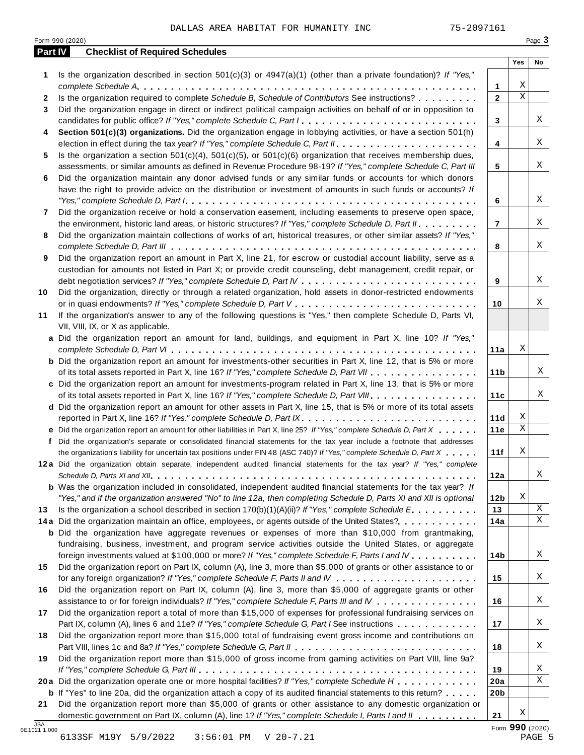| Part IV      | <b>Checklist of Required Schedules</b>                                                                                                                                                                                       |                 |             |        |
|--------------|------------------------------------------------------------------------------------------------------------------------------------------------------------------------------------------------------------------------------|-----------------|-------------|--------|
|              |                                                                                                                                                                                                                              |                 | Yes         | No     |
| 1            | Is the organization described in section $501(c)(3)$ or $4947(a)(1)$ (other than a private foundation)? If "Yes,"                                                                                                            |                 |             |        |
|              |                                                                                                                                                                                                                              | 1               | Χ           |        |
| $\mathbf{2}$ | Is the organization required to complete Schedule B, Schedule of Contributors See instructions?                                                                                                                              | $\mathbf{2}$    | $\mathbf X$ |        |
| 3            | Did the organization engage in direct or indirect political campaign activities on behalf of or in opposition to                                                                                                             |                 |             |        |
|              | candidates for public office? If "Yes," complete Schedule C, Part I.                                                                                                                                                         | 3               |             | Χ      |
| 4            | Section 501(c)(3) organizations. Did the organization engage in lobbying activities, or have a section 501(h)                                                                                                                |                 |             |        |
|              |                                                                                                                                                                                                                              | 4               |             | X      |
| 5            | Is the organization a section $501(c)(4)$ , $501(c)(5)$ , or $501(c)(6)$ organization that receives membership dues,                                                                                                         |                 |             |        |
|              | assessments, or similar amounts as defined in Revenue Procedure 98-19? If "Yes," complete Schedule C, Part III                                                                                                               | 5               |             | Χ      |
| 6            | Did the organization maintain any donor advised funds or any similar funds or accounts for which donors                                                                                                                      |                 |             |        |
|              | have the right to provide advice on the distribution or investment of amounts in such funds or accounts? If                                                                                                                  |                 |             | X      |
|              | Did the organization receive or hold a conservation easement, including easements to preserve open space,                                                                                                                    | 6               |             |        |
| 7            |                                                                                                                                                                                                                              | $\overline{7}$  |             | Χ      |
|              | the environment, historic land areas, or historic structures? If "Yes," complete Schedule D, Part II.<br>Did the organization maintain collections of works of art, historical treasures, or other similar assets? If "Yes," |                 |             |        |
| 8            |                                                                                                                                                                                                                              | 8               |             | Χ      |
| 9            | Did the organization report an amount in Part X, line 21, for escrow or custodial account liability, serve as a                                                                                                              |                 |             |        |
|              | custodian for amounts not listed in Part X; or provide credit counseling, debt management, credit repair, or                                                                                                                 |                 |             |        |
|              |                                                                                                                                                                                                                              | 9               |             | X      |
| 10           | Did the organization, directly or through a related organization, hold assets in donor-restricted endowments                                                                                                                 |                 |             |        |
|              |                                                                                                                                                                                                                              | 10              |             | Χ      |
| 11           | If the organization's answer to any of the following questions is "Yes," then complete Schedule D, Parts VI,                                                                                                                 |                 |             |        |
|              | VII, VIII, IX, or X as applicable.                                                                                                                                                                                           |                 |             |        |
|              | a Did the organization report an amount for land, buildings, and equipment in Part X, line 10? If "Yes,"                                                                                                                     |                 |             |        |
|              |                                                                                                                                                                                                                              | 11a             | Χ           |        |
|              | <b>b</b> Did the organization report an amount for investments-other securities in Part X, line 12, that is 5% or more                                                                                                       |                 |             |        |
|              | of its total assets reported in Part X, line 16? If "Yes," complete Schedule D, Part VII                                                                                                                                     | 11 <sub>b</sub> |             | Χ      |
|              | c Did the organization report an amount for investments-program related in Part X, line 13, that is 5% or more                                                                                                               |                 |             |        |
|              | of its total assets reported in Part X, line 16? If "Yes," complete Schedule D, Part VIII                                                                                                                                    | 11c             |             | Χ      |
|              | d Did the organization report an amount for other assets in Part X, line 15, that is 5% or more of its total assets                                                                                                          |                 |             |        |
|              | reported in Part X, line 16? If "Yes," complete Schedule D, Part IX.                                                                                                                                                         | 11d             | Χ           |        |
|              | e Did the organization report an amount for other liabilities in Part X, line 25? If "Yes," complete Schedule D, Part X                                                                                                      | 11e             | Χ           |        |
| f            | Did the organization's separate or consolidated financial statements for the tax year include a footnote that addresses                                                                                                      |                 |             |        |
|              | the organization's liability for uncertain tax positions under FIN 48 (ASC 740)? If "Yes," complete Schedule D, Part X                                                                                                       | 11f             | Χ           |        |
|              | 12a Did the organization obtain separate, independent audited financial statements for the tax year? If "Yes," complete                                                                                                      |                 |             |        |
|              |                                                                                                                                                                                                                              | 12a             |             | Χ      |
|              | <b>b</b> Was the organization included in consolidated, independent audited financial statements for the tax year? If                                                                                                        |                 |             |        |
|              | "Yes," and if the organization answered "No" to line 12a, then completing Schedule D, Parts XI and XII is optional                                                                                                           | 12 <sub>b</sub> | Χ           |        |
| 13           | Is the organization a school described in section $170(b)(1)(A)(ii)$ ? If "Yes," complete Schedule E.                                                                                                                        | 13              |             | Χ<br>Χ |
|              | 14a Did the organization maintain an office, employees, or agents outside of the United States?.                                                                                                                             | 14a             |             |        |
|              | <b>b</b> Did the organization have aggregate revenues or expenses of more than \$10,000 from grantmaking,                                                                                                                    |                 |             |        |
|              | fundraising, business, investment, and program service activities outside the United States, or aggregate<br>foreign investments valued at \$100,000 or more? If "Yes," complete Schedule F, Parts I and IV                  | 14b             |             | Χ      |
| 15           | Did the organization report on Part IX, column (A), line 3, more than \$5,000 of grants or other assistance to or                                                                                                            |                 |             |        |
|              |                                                                                                                                                                                                                              | 15              |             | Χ      |
| 16           | Did the organization report on Part IX, column (A), line 3, more than \$5,000 of aggregate grants or other                                                                                                                   |                 |             |        |
|              | assistance to or for foreign individuals? If "Yes," complete Schedule F, Parts III and IV                                                                                                                                    | 16              |             | Χ      |
| 17           | Did the organization report a total of more than \$15,000 of expenses for professional fundraising services on                                                                                                               |                 |             |        |
|              | Part IX, column (A), lines 6 and 11e? If "Yes," complete Schedule G, Part I See instructions                                                                                                                                 | 17              |             | Χ      |
| 18           | Did the organization report more than \$15,000 total of fundraising event gross income and contributions on                                                                                                                  |                 |             |        |
|              |                                                                                                                                                                                                                              | 18              |             | Χ      |
| 19           | Did the organization report more than \$15,000 of gross income from gaming activities on Part VIII, line 9a?                                                                                                                 |                 |             |        |
|              |                                                                                                                                                                                                                              | 19              |             | Χ      |
|              | 20a Did the organization operate one or more hospital facilities? If "Yes," complete Schedule H                                                                                                                              | 20a             |             | Χ      |
|              | <b>b</b> If "Yes" to line 20a, did the organization attach a copy of its audited financial statements to this return?                                                                                                        | 20 <sub>b</sub> |             |        |
| 21           | Did the organization report more than \$5,000 of grants or other assistance to any domestic organization or                                                                                                                  |                 |             |        |
|              |                                                                                                                                                                                                                              |                 | Χ           |        |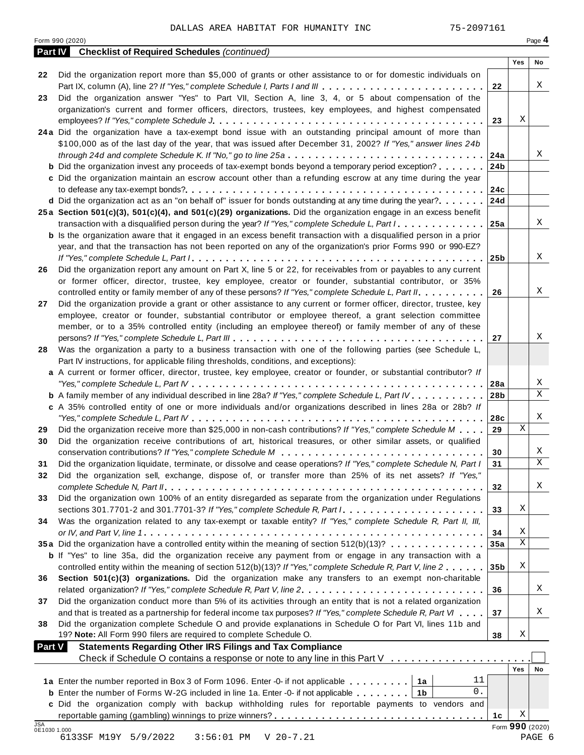Form <sup>990</sup> (2020) Page **4**

|                            | <b>Part IV</b> Checklist of Required Schedules (continued)                                                                  |                 |                 |             |
|----------------------------|-----------------------------------------------------------------------------------------------------------------------------|-----------------|-----------------|-------------|
|                            |                                                                                                                             |                 | Yes             | No          |
| 22                         | Did the organization report more than \$5,000 of grants or other assistance to or for domestic individuals on               |                 |                 |             |
|                            | Part IX, column (A), line 2? If "Yes," complete Schedule I, Parts I and III                                                 | 22              |                 | Χ           |
| 23                         | Did the organization answer "Yes" to Part VII, Section A, line 3, 4, or 5 about compensation of the                         |                 |                 |             |
|                            | organization's current and former officers, directors, trustees, key employees, and highest compensated                     |                 |                 |             |
|                            |                                                                                                                             | 23              | Χ               |             |
|                            | 24a Did the organization have a tax-exempt bond issue with an outstanding principal amount of more than                     |                 |                 |             |
|                            | \$100,000 as of the last day of the year, that was issued after December 31, 2002? If "Yes," answer lines 24b               |                 |                 |             |
|                            |                                                                                                                             |                 |                 | Χ           |
|                            | <b>b</b> Did the organization invest any proceeds of tax-exempt bonds beyond a temporary period exception?                  | 24 <sub>b</sub> |                 |             |
|                            | c Did the organization maintain an escrow account other than a refunding escrow at any time during the year                 |                 |                 |             |
|                            |                                                                                                                             |                 |                 |             |
|                            | <b>d</b> Did the organization act as an "on behalf of" issuer for bonds outstanding at any time during the year? 24d        |                 |                 |             |
|                            | 25a Section 501(c)(3), 501(c)(4), and 501(c)(29) organizations. Did the organization engage in an excess benefit            |                 |                 |             |
|                            | transaction with a disqualified person during the year? If "Yes," complete Schedule L, Part $1, \ldots, \ldots, 125$ a      |                 |                 | Χ           |
|                            | <b>b</b> Is the organization aware that it engaged in an excess benefit transaction with a disqualified person in a prior   |                 |                 |             |
|                            | year, and that the transaction has not been reported on any of the organization's prior Forms 990 or 990-EZ?                |                 |                 |             |
|                            |                                                                                                                             |                 |                 | X           |
| 26                         | Did the organization report any amount on Part X, line 5 or 22, for receivables from or payables to any current             |                 |                 |             |
|                            | or former officer, director, trustee, key employee, creator or founder, substantial contributor, or 35%                     |                 |                 |             |
|                            | controlled entity or family member of any of these persons? If "Yes," complete Schedule L, Part II.                         | 26              |                 | Χ           |
| 27                         | Did the organization provide a grant or other assistance to any current or former officer, director, trustee, key           |                 |                 |             |
|                            | employee, creator or founder, substantial contributor or employee thereof, a grant selection committee                      |                 |                 |             |
|                            | member, or to a 35% controlled entity (including an employee thereof) or family member of any of these                      |                 |                 |             |
|                            |                                                                                                                             | 27              |                 | Χ           |
| 28                         | Was the organization a party to a business transaction with one of the following parties (see Schedule L,                   |                 |                 |             |
|                            | Part IV instructions, for applicable filing thresholds, conditions, and exceptions):                                        |                 |                 |             |
|                            | a A current or former officer, director, trustee, key employee, creator or founder, or substantial contributor? If          |                 |                 |             |
|                            |                                                                                                                             |                 |                 | Χ           |
|                            | <b>b</b> A family member of any individual described in line 28a? If "Yes," complete Schedule L, Part IV.                   | 28 <sub>b</sub> |                 | X           |
|                            | c A 35% controlled entity of one or more individuals and/or organizations described in lines 28a or 28b? If                 |                 |                 |             |
|                            |                                                                                                                             |                 |                 | Χ           |
|                            |                                                                                                                             | 28c             | X               |             |
| 29                         | Did the organization receive more than \$25,000 in non-cash contributions? If "Yes," complete Schedule M                    | 29              |                 |             |
| 30                         | Did the organization receive contributions of art, historical treasures, or other similar assets, or qualified              |                 |                 |             |
|                            |                                                                                                                             | 30              |                 | X           |
| 31                         | Did the organization liquidate, terminate, or dissolve and cease operations? If "Yes," complete Schedule N, Part I          | 31              |                 | $\mathbf X$ |
| 32                         | Did the organization sell, exchange, dispose of, or transfer more than 25% of its net assets? If "Yes,"                     |                 |                 |             |
|                            |                                                                                                                             | 32              |                 | Χ           |
| 33                         | Did the organization own 100% of an entity disregarded as separate from the organization under Regulations                  |                 |                 |             |
|                            | sections 301.7701-2 and 301.7701-3? If "Yes," complete Schedule R, Part $l_1, \ldots, l_l, l_l, \ldots, l_l, l_l, l_l, l_l$ | 33              | Χ               |             |
| 34                         | Was the organization related to any tax-exempt or taxable entity? If "Yes," complete Schedule R, Part II, III,              |                 |                 |             |
|                            |                                                                                                                             | 34              | Χ               |             |
|                            | 35a Did the organization have a controlled entity within the meaning of section 512(b)(13)?                                 | 35a             | Χ               |             |
|                            | <b>b</b> If "Yes" to line 35a, did the organization receive any payment from or engage in any transaction with a            |                 |                 |             |
|                            | controlled entity within the meaning of section 512(b)(13)? If "Yes," complete Schedule R, Part V, line 2                   | 35 <sub>b</sub> | Χ               |             |
| 36                         | Section 501(c)(3) organizations. Did the organization make any transfers to an exempt non-charitable                        |                 |                 |             |
|                            | related organization? If "Yes," complete Schedule R, Part V, line 2.                                                        | 36              |                 | Χ           |
| 37                         | Did the organization conduct more than 5% of its activities through an entity that is not a related organization            |                 |                 |             |
|                            | and that is treated as a partnership for federal income tax purposes? If "Yes," complete Schedule R, Part VI                | 37              |                 | Χ           |
| 38                         | Did the organization complete Schedule O and provide explanations in Schedule O for Part VI, lines 11b and                  |                 |                 |             |
|                            | 19? Note: All Form 990 filers are required to complete Schedule O.                                                          | 38              | Χ               |             |
| <b>Part V</b>              | <b>Statements Regarding Other IRS Filings and Tax Compliance</b>                                                            |                 |                 |             |
|                            | Check if Schedule O contains a response or note to any line in this Part V                                                  |                 |                 |             |
|                            |                                                                                                                             |                 | Yes             | No          |
|                            | 11<br>1a Enter the number reported in Box 3 of Form 1096. Enter -0- if not applicable   1a                                  |                 |                 |             |
|                            | 0.<br><b>b</b> Enter the number of Forms W-2G included in line 1a. Enter -0- if not applicable   1b                         |                 |                 |             |
|                            | c Did the organization comply with backup withholding rules for reportable payments to vendors and                          |                 |                 |             |
|                            |                                                                                                                             | 1c              | Χ               |             |
| <b>JSA</b><br>0E1030 1.000 |                                                                                                                             |                 | Form 990 (2020) |             |
|                            |                                                                                                                             |                 |                 |             |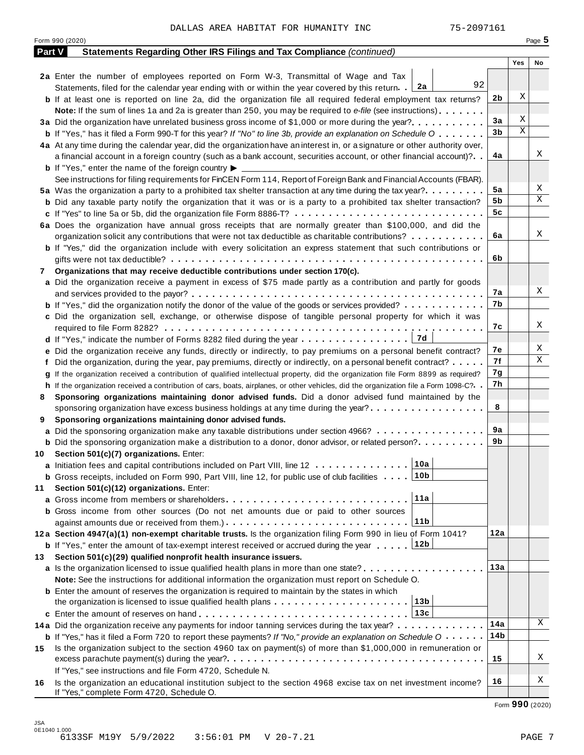|        | Form 990 (2020)                                                                                                                                                                                                |     | Page 5 |
|--------|----------------------------------------------------------------------------------------------------------------------------------------------------------------------------------------------------------------|-----|--------|
| Part V | <b>Statements Regarding Other IRS Filings and Tax Compliance (continued)</b>                                                                                                                                   |     |        |
|        |                                                                                                                                                                                                                | Yes | No     |
|        | 2a Enter the number of employees reported on Form W-3, Transmittal of Wage and Tax                                                                                                                             |     |        |
|        | 92<br>Statements, filed for the calendar year ending with or within the year covered by this return. [2a                                                                                                       |     |        |
|        | 2b<br><b>b</b> If at least one is reported on line 2a, did the organization file all required federal employment tax returns?                                                                                  | Χ   |        |
|        | <b>Note:</b> If the sum of lines 1a and 2a is greater than 250, you may be required to e-file (see instructions).                                                                                              |     |        |
|        | 3a<br>3a Did the organization have unrelated business gross income of \$1,000 or more during the year?                                                                                                         | Χ   |        |
|        | 3b<br><b>b</b> If "Yes," has it filed a Form 990-T for this year? If "No" to line 3b, provide an explanation on Schedule O                                                                                     | Χ   |        |
|        | 4a At any time during the calendar year, did the organization have an interest in, or a signature or other authority over,                                                                                     |     |        |
|        | 4a<br>a financial account in a foreign country (such as a bank account, securities account, or other financial account)?                                                                                       |     | Χ      |
|        | <b>b</b> If "Yes," enter the name of the foreign country ▶                                                                                                                                                     |     |        |
|        | See instructions for filing requirements for FinCEN Form 114, Report of Foreign Bank and Financial Accounts (FBAR).                                                                                            |     |        |
|        | 5a<br>5a Was the organization a party to a prohibited tax shelter transaction at any time during the tax year?.                                                                                                |     | Χ      |
|        | 5b<br><b>b</b> Did any taxable party notify the organization that it was or is a party to a prohibited tax shelter transaction?                                                                                |     | Χ      |
|        | 5c                                                                                                                                                                                                             |     |        |
|        | 6a Does the organization have annual gross receipts that are normally greater than \$100,000, and did the                                                                                                      |     |        |
|        | 6a<br>organization solicit any contributions that were not tax deductible as charitable contributions?                                                                                                         |     | Χ      |
|        | <b>b</b> If "Yes," did the organization include with every solicitation an express statement that such contributions or                                                                                        |     |        |
|        | 6b                                                                                                                                                                                                             |     |        |
| 7      | Organizations that may receive deductible contributions under section 170(c).                                                                                                                                  |     |        |
|        | a Did the organization receive a payment in excess of \$75 made partly as a contribution and partly for goods                                                                                                  |     |        |
|        | 7а                                                                                                                                                                                                             |     | Χ      |
|        | 7b<br><b>b</b> If "Yes," did the organization notify the donor of the value of the goods or services provided?                                                                                                 |     |        |
|        | c Did the organization sell, exchange, or otherwise dispose of tangible personal property for which it was                                                                                                     |     | Χ      |
|        | 7c                                                                                                                                                                                                             |     |        |
|        | d If "Yes," indicate the number of Forms 8282 filed during the year 7d                                                                                                                                         |     | Χ      |
|        | 7e<br>e Did the organization receive any funds, directly or indirectly, to pay premiums on a personal benefit contract?                                                                                        |     | Χ      |
|        | 7f<br>Did the organization, during the year, pay premiums, directly or indirectly, on a personal benefit contract?                                                                                             |     |        |
|        | 7g<br>If the organization received a contribution of qualified intellectual property, did the organization file Form 8899 as required?<br>7h                                                                   |     |        |
|        | h If the organization received a contribution of cars, boats, airplanes, or other vehicles, did the organization file a Form 1098-C?                                                                           |     |        |
| 8      | Sponsoring organizations maintaining donor advised funds. Did a donor advised fund maintained by the<br>8                                                                                                      |     |        |
|        | sponsoring organization have excess business holdings at any time during the year?                                                                                                                             |     |        |
| 9      | Sponsoring organizations maintaining donor advised funds.<br>9a<br>a Did the sponsoring organization make any taxable distributions under section 4966?                                                        |     |        |
|        | 9b<br><b>b</b> Did the sponsoring organization make a distribution to a donor, donor advisor, or related person?                                                                                               |     |        |
|        | 10 Section 501(c)(7) organizations. Enter:                                                                                                                                                                     |     |        |
|        | 10a <br>a Initiation fees and capital contributions included on Part VIII, line 12                                                                                                                             |     |        |
|        | 10b<br><b>b</b> Gross receipts, included on Form 990, Part VIII, line 12, for public use of club facilities                                                                                                    |     |        |
| 11     | Section 501(c)(12) organizations. Enter:                                                                                                                                                                       |     |        |
|        | 11a                                                                                                                                                                                                            |     |        |
|        | b Gross income from other sources (Do not net amounts due or paid to other sources                                                                                                                             |     |        |
|        | 11 <sub>b</sub>                                                                                                                                                                                                |     |        |
|        | 12a<br>12a Section 4947(a)(1) non-exempt charitable trusts. Is the organization filing Form 990 in lieu of Form 1041?                                                                                          |     |        |
|        | 12b<br><b>b</b> If "Yes," enter the amount of tax-exempt interest received or accrued during the year                                                                                                          |     |        |
| 13     | Section 501(c)(29) qualified nonprofit health insurance issuers.                                                                                                                                               |     |        |
|        | 13а<br><b>a</b> Is the organization licensed to issue qualified health plans in more than one state? <b>and interest in the state of the state of the state of the state of a state of <math>\alpha</math></b> |     |        |
|        | Note: See the instructions for additional information the organization must report on Schedule O.                                                                                                              |     |        |
|        | <b>b</b> Enter the amount of reserves the organization is required to maintain by the states in which                                                                                                          |     |        |
|        | 13b <br>the organization is licensed to issue qualified health plans $\ldots \ldots \ldots \ldots \ldots \ldots \ldots$                                                                                        |     |        |
|        | 13c                                                                                                                                                                                                            |     |        |
|        | 14a<br>14a Did the organization receive any payments for indoor tanning services during the tax year?                                                                                                          |     | Χ      |
|        | 14b<br><b>b</b> If "Yes," has it filed a Form 720 to report these payments? If "No," provide an explanation on Schedule O                                                                                      |     |        |
| 15     | Is the organization subject to the section 4960 tax on payment(s) of more than \$1,000,000 in remuneration or                                                                                                  |     |        |
|        | 15                                                                                                                                                                                                             |     | Χ      |
|        | If "Yes," see instructions and file Form 4720, Schedule N.                                                                                                                                                     |     |        |
| 16     | 16<br>Is the organization an educational institution subject to the section 4968 excise tax on net investment income?                                                                                          |     | Χ      |
|        | If "Yes," complete Form 4720, Schedule O.                                                                                                                                                                      |     |        |

Form **990** (2020)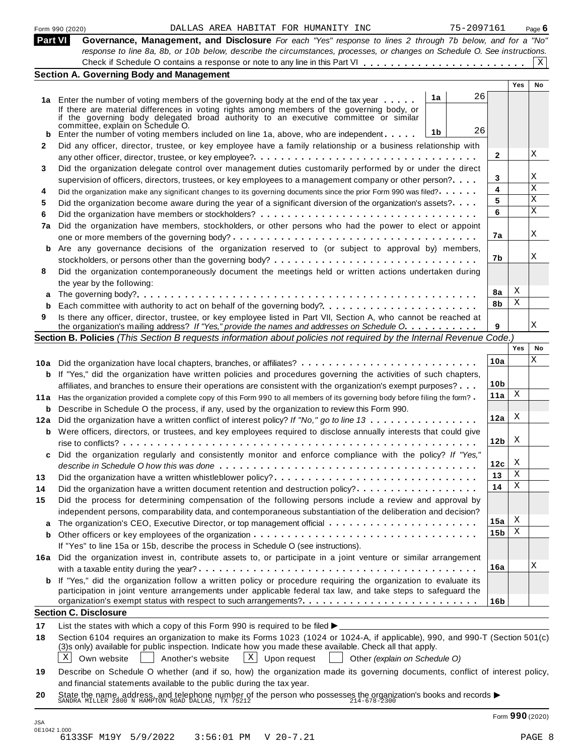|                | 75-2097161<br>DALLAS AREA HABITAT FOR HUMANITY INC<br>Form 990 (2020)                                                                                                                                                   |     | Page $6$  |
|----------------|-------------------------------------------------------------------------------------------------------------------------------------------------------------------------------------------------------------------------|-----|-----------|
| <b>Part VI</b> | Governance, Management, and Disclosure For each "Yes" response to lines 2 through 7b below, and for a "No"                                                                                                              |     |           |
|                | response to line 8a, 8b, or 10b below, describe the circumstances, processes, or changes on Schedule O. See instructions.                                                                                               |     |           |
|                |                                                                                                                                                                                                                         |     | X         |
|                | <b>Section A. Governing Body and Management</b>                                                                                                                                                                         | Yes | <b>No</b> |
|                | 26<br>1a                                                                                                                                                                                                                |     |           |
|                | 1a Enter the number of voting members of the governing body at the end of the tax year<br>If there are material differences in voting rights among members of the governing body, or                                    |     |           |
|                | if the governing body delegated broad authority to an executive committee or similar                                                                                                                                    |     |           |
|                | committee, explain on Schedule O.<br>26<br>1b                                                                                                                                                                           |     |           |
| 2              | Enter the number of voting members included on line 1a, above, who are independent<br>Did any officer, director, trustee, or key employee have a family relationship or a business relationship with                    |     |           |
|                | $\mathbf{2}$                                                                                                                                                                                                            |     | Χ         |
| 3              | Did the organization delegate control over management duties customarily performed by or under the direct                                                                                                               |     |           |
|                | 3<br>supervision of officers, directors, trustees, or key employees to a management company or other person?                                                                                                            |     | Χ         |
| 4              | 4<br>Did the organization make any significant changes to its governing documents since the prior Form 990 was filed?                                                                                                   |     | Χ         |
| 5              | 5<br>Did the organization become aware during the year of a significant diversion of the organization's assets?                                                                                                         |     | Χ         |
| 6              | 6                                                                                                                                                                                                                       |     | X         |
| 7a             | Did the organization have members, stockholders, or other persons who had the power to elect or appoint                                                                                                                 |     |           |
|                | 7а                                                                                                                                                                                                                      |     | Χ         |
| b              | Are any governance decisions of the organization reserved to (or subject to approval by) members,                                                                                                                       |     |           |
|                | 7b                                                                                                                                                                                                                      |     | Χ         |
| 8              | Did the organization contemporaneously document the meetings held or written actions undertaken during                                                                                                                  |     |           |
|                | the year by the following:                                                                                                                                                                                              |     |           |
|                | 8a                                                                                                                                                                                                                      | Χ   |           |
| b              | 8b                                                                                                                                                                                                                      | Χ   |           |
| 9              | Is there any officer, director, trustee, or key employee listed in Part VII, Section A, who cannot be reached at                                                                                                        |     |           |
|                | the organization's mailing address? If "Yes," provide the names and addresses on Schedule O.<br>9                                                                                                                       |     | Χ         |
|                | Section B. Policies (This Section B requests information about policies not required by the Internal Revenue Code.)                                                                                                     |     |           |
|                |                                                                                                                                                                                                                         | Yes | No        |
|                | 10a<br>10a Did the organization have local chapters, branches, or affiliates?                                                                                                                                           |     | Χ         |
| b              | If "Yes," did the organization have written policies and procedures governing the activities of such chapters,                                                                                                          |     |           |
|                | 10 <sub>b</sub><br>affiliates, and branches to ensure their operations are consistent with the organization's exempt purposes?                                                                                          | X   |           |
| 11a            | 11a<br>Has the organization provided a complete copy of this Form 990 to all members of its governing body before filing the form?                                                                                      |     |           |
|                | <b>b</b> Describe in Schedule O the process, if any, used by the organization to review this Form 990.<br>12a                                                                                                           | X   |           |
| 12a            | Did the organization have a written conflict of interest policy? If "No," go to line 13                                                                                                                                 |     |           |
|                | <b>b</b> Were officers, directors, or trustees, and key employees required to disclose annually interests that could give<br>12 <sub>b</sub>                                                                            | X   |           |
|                |                                                                                                                                                                                                                         |     |           |
|                | Did the organization regularly and consistently monitor and enforce compliance with the policy? If "Yes,"<br>12c                                                                                                        | X   |           |
|                | 13<br>Did the organization have a written whistleblower policy?                                                                                                                                                         | Χ   |           |
| 13             | 14<br>Did the organization have a written document retention and destruction policy?                                                                                                                                    | Χ   |           |
| 14<br>15       | Did the process for determining compensation of the following persons include a review and approval by                                                                                                                  |     |           |
|                | independent persons, comparability data, and contemporaneous substantiation of the deliberation and decision?                                                                                                           |     |           |
|                | 15a<br>The organization's CEO, Executive Director, or top management official                                                                                                                                           | Χ   |           |
| b              | 15 <sub>b</sub>                                                                                                                                                                                                         | Χ   |           |
|                | If "Yes" to line 15a or 15b, describe the process in Schedule O (see instructions).                                                                                                                                     |     |           |
| 16а            | Did the organization invest in, contribute assets to, or participate in a joint venture or similar arrangement                                                                                                          |     |           |
|                | 16a                                                                                                                                                                                                                     |     | Χ         |
|                | <b>b</b> If "Yes," did the organization follow a written policy or procedure requiring the organization to evaluate its                                                                                                 |     |           |
|                | participation in joint venture arrangements under applicable federal tax law, and take steps to safeguard the                                                                                                           |     |           |
|                | 16 <sub>b</sub>                                                                                                                                                                                                         |     |           |
|                | <b>Section C. Disclosure</b>                                                                                                                                                                                            |     |           |
| 17             | List the states with which a copy of this Form 990 is required to be filed $\blacktriangleright$ .                                                                                                                      |     |           |
| 18             | Section 6104 requires an organization to make its Forms 1023 (1024 or 1024-A, if applicable), 990, and 990-T (Section 501(c)                                                                                            |     |           |
|                | (3)s only) available for public inspection. Indicate how you made these available. Check all that apply.<br>Χ<br>$\vert$ X $\vert$<br>Upon request<br>Own website<br>Another's website<br>Other (explain on Schedule O) |     |           |
| 19             | Describe on Schedule O whether (and if so, how) the organization made its governing documents, conflict of interest policy,                                                                                             |     |           |
|                | and financial statements available to the public during the tax year.                                                                                                                                                   |     |           |
| 20             | State the name, address, and telephone number of the person who possesses the organization's books and records $\blacktriangleright$ sandra MILLER 2800 N HAMPTON ROAD DALLAS, TX 75212                                 |     |           |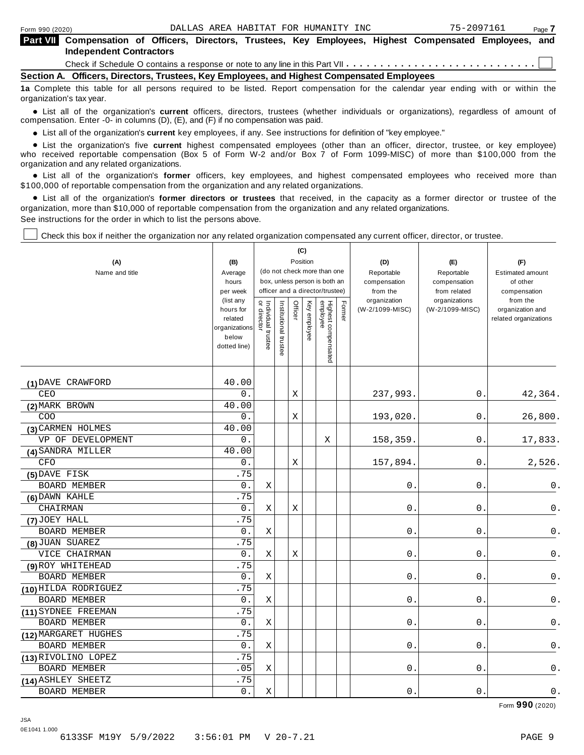| <b>Part VII</b> Compensation of Officers, Directors, Trustees, Key Employees, Highest Compensated Employees, and |  |  |  |  |  |  |  |  |  |  |
|------------------------------------------------------------------------------------------------------------------|--|--|--|--|--|--|--|--|--|--|
| Independent Contractors                                                                                          |  |  |  |  |  |  |  |  |  |  |
|                                                                                                                  |  |  |  |  |  |  |  |  |  |  |

**Section A. Officers, Directors, Trustees, Key Employees, and Highest Compensated Employees**

**1a** Complete this table for all persons required to be listed. Report compensation for the calendar year ending with or within the organization's tax year.

anization's lax year.<br>● List all of the organization's **current** officers, directors, trustees (whether individuals or organizations), regardless of amount of<br>nnensation Enter -0- in columns (D) (E) and (E) if no compensa compensation. Enter -0- in columns (D), (E), and (F) if no compensation was paid.

• List all of the organization's current key employees, if any. See instructions for definition of "key employee."

■ List all of the organization's current key employees, if any. See instructions for definition of "key employee."<br>■ List the organization's five current highest compensated employees (other than an officer, director, tru who received reportable compensation (Box 5 of Form W-2 and/or Box 7 of Form 1099-MISC) of more than \$100,000 from the

organization and any related organizations.<br>• List all of the organization's **former** officers, key employees, and highest compensated employees who received more than<br>\$1.00.000 of reportable componention from the erganiza \$100,000 of reportable compensation from the organization and any related organizations.

% List all of the organization's **former directors or trustees** that received, in the capacity as a former director or trustee of the organization, more than \$10,000 of reportable compensation from the organization and any related organizations. See instructions for the order in which to list the persons above.

Check this box if neither the organization nor any related organization compensated any current officer, director, or trustee.

|                      |                        |                                                                  |                       | (C)         |              |                                 |        |                          |                               |                          |
|----------------------|------------------------|------------------------------------------------------------------|-----------------------|-------------|--------------|---------------------------------|--------|--------------------------|-------------------------------|--------------------------|
| (A)                  | Position<br>(B)        |                                                                  |                       |             |              |                                 |        | (D)                      | (E)                           | (F)                      |
| Name and title       | Average                |                                                                  |                       |             |              | (do not check more than one     |        | Reportable               | Reportable                    | <b>Estimated amount</b>  |
|                      | hours                  | box, unless person is both an<br>officer and a director/trustee) |                       |             |              |                                 |        | compensation             | compensation                  | of other                 |
|                      | per week<br>(list any  |                                                                  |                       |             |              |                                 |        | from the<br>organization | from related<br>organizations | compensation<br>from the |
|                      | hours for              | Individual trustee<br>or director                                | Institutional trustee | Officer     | Key employee |                                 | Former | (W-2/1099-MISC)          | (W-2/1099-MISC)               | organization and         |
|                      | related                |                                                                  |                       |             |              |                                 |        |                          |                               | related organizations    |
|                      | organizations<br>below |                                                                  |                       |             |              |                                 |        |                          |                               |                          |
|                      | dotted line)           |                                                                  |                       |             |              |                                 |        |                          |                               |                          |
|                      |                        |                                                                  |                       |             |              | Highest compensated<br>employee |        |                          |                               |                          |
|                      |                        |                                                                  |                       |             |              |                                 |        |                          |                               |                          |
| (1) DAVE CRAWFORD    | 40.00                  |                                                                  |                       |             |              |                                 |        |                          |                               |                          |
| CEO                  | 0.                     |                                                                  |                       | Χ           |              |                                 |        | 237,993.                 | 0.                            | 42,364.                  |
| (2) MARK BROWN       | 40.00                  |                                                                  |                       |             |              |                                 |        |                          |                               |                          |
| COO                  | 0.                     |                                                                  |                       | $\mathbf X$ |              |                                 |        | 193,020.                 | 0                             | 26,800.                  |
| (3) CARMEN HOLMES    | 40.00                  |                                                                  |                       |             |              |                                 |        |                          |                               |                          |
| VP OF DEVELOPMENT    | 0.                     |                                                                  |                       |             |              | $\mathbf X$                     |        | 158,359.                 | 0                             | 17,833.                  |
| (4) SANDRA MILLER    | 40.00                  |                                                                  |                       |             |              |                                 |        |                          |                               |                          |
| <b>CFO</b>           | 0.                     |                                                                  |                       | Χ           |              |                                 |        | 157,894                  | $0$ .                         | 2,526.                   |
| $(5)$ DAVE FISK      | .75                    |                                                                  |                       |             |              |                                 |        |                          |                               |                          |
| BOARD MEMBER         | $0$ .                  | Χ                                                                |                       |             |              |                                 |        | 0                        | 0                             | 0.                       |
| (6) DAWN KAHLE       | .75                    |                                                                  |                       |             |              |                                 |        |                          |                               |                          |
| CHAIRMAN             | 0.                     | Χ                                                                |                       | Χ           |              |                                 |        | 0                        | 0                             | 0.                       |
| (7) JOEY HALL        | .75                    |                                                                  |                       |             |              |                                 |        |                          |                               |                          |
| <b>BOARD MEMBER</b>  | $0$ .                  | Х                                                                |                       |             |              |                                 |        | 0                        | 0                             | 0.                       |
| (8) JUAN SUAREZ      | .75                    |                                                                  |                       |             |              |                                 |        |                          |                               |                          |
| VICE CHAIRMAN        | 0.                     | Χ                                                                |                       | Χ           |              |                                 |        | 0                        | 0                             | $\mathsf 0$ .            |
| (9) ROY WHITEHEAD    | .75                    |                                                                  |                       |             |              |                                 |        |                          |                               |                          |
| <b>BOARD MEMBER</b>  | $0$ .                  | Χ                                                                |                       |             |              |                                 |        | 0                        | 0                             | 0.                       |
| (10) HILDA RODRIGUEZ | .75                    |                                                                  |                       |             |              |                                 |        |                          |                               |                          |
| BOARD MEMBER         | $0$ .                  | Х                                                                |                       |             |              |                                 |        | 0                        | 0                             | 0.                       |
| (11) SYDNEE FREEMAN  | .75                    |                                                                  |                       |             |              |                                 |        |                          |                               |                          |
| <b>BOARD MEMBER</b>  | 0.                     | Χ                                                                |                       |             |              |                                 |        | 0                        | 0                             | 0.                       |
| (12) MARGARET HUGHES | .75                    |                                                                  |                       |             |              |                                 |        |                          |                               |                          |
| <b>BOARD MEMBER</b>  | 0.                     | Χ                                                                |                       |             |              |                                 |        | $\mathsf{O}$             | 0                             | $0$ .                    |
| (13) RIVOLINO LOPEZ  | .75                    |                                                                  |                       |             |              |                                 |        |                          |                               |                          |
| BOARD MEMBER         | .05                    | X                                                                |                       |             |              |                                 |        | 0                        | 0                             | $\mathsf 0$ .            |
| (14) ASHLEY SHEETZ   | .75                    |                                                                  |                       |             |              |                                 |        |                          |                               |                          |
| <b>BOARD MEMBER</b>  | 0.                     | $\mathbf X$                                                      |                       |             |              |                                 |        | 0.                       | 0                             | $\mathsf 0$ .            |

Form **990** (2020)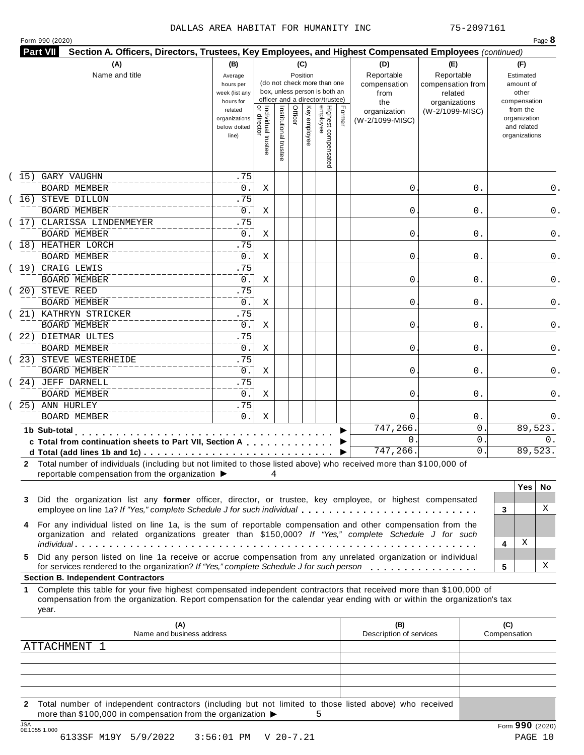#### DALLAS AREA HABITAT FOR HUMANITY INC 75-2097161

| Section A. Officers, Directors, Trustees, Key Employees, and Highest Compensated Employees (continued)<br>(A)                                                          | (B)                                                            |                                   |                                                                                                 | (C)      |              |                                 |        | (D)                                    | (E)                                        | (F)                                                                      |
|------------------------------------------------------------------------------------------------------------------------------------------------------------------------|----------------------------------------------------------------|-----------------------------------|-------------------------------------------------------------------------------------------------|----------|--------------|---------------------------------|--------|----------------------------------------|--------------------------------------------|--------------------------------------------------------------------------|
| Name and title                                                                                                                                                         | Average<br>hours per<br>week (list any                         |                                   | (do not check more than one<br>box, unless person is both an<br>officer and a director/trustee) | Position |              |                                 |        | Reportable<br>compensation<br>from     | Reportable<br>compensation from<br>related | Estimated<br>amount of<br>other                                          |
|                                                                                                                                                                        | hours for<br>related<br>organizations<br>below dotted<br>line) | Individual trustee<br>or director | Institutional trustee                                                                           | Officer  | Key employee | Highest compensated<br>employee | Former | the<br>organization<br>(W-2/1099-MISC) | organizations<br>(W-2/1099-MISC)           | compensation<br>from the<br>organization<br>and related<br>organizations |
| GARY VAUGHN<br>15)                                                                                                                                                     | .75                                                            |                                   |                                                                                                 |          |              |                                 |        |                                        |                                            |                                                                          |
| <b>BOARD MEMBER</b>                                                                                                                                                    | 0.                                                             | Χ                                 |                                                                                                 |          |              |                                 |        | 0                                      | 0.                                         | 0.                                                                       |
| 16) STEVE DILLON                                                                                                                                                       | .75                                                            |                                   |                                                                                                 |          |              |                                 |        |                                        |                                            |                                                                          |
| <b>BOARD MEMBER</b>                                                                                                                                                    | 0.                                                             | Χ                                 |                                                                                                 |          |              |                                 |        | 0                                      | 0.                                         | 0.                                                                       |
| CLARISSA LINDENMEYER<br>17)                                                                                                                                            | .75                                                            |                                   |                                                                                                 |          |              |                                 |        |                                        |                                            |                                                                          |
| <b>BOARD MEMBER</b>                                                                                                                                                    | 0.                                                             | Χ                                 |                                                                                                 |          |              |                                 |        | $\mathbf 0$                            | 0.                                         | 0.                                                                       |
| 18) HEATHER LORCH                                                                                                                                                      | .75                                                            |                                   |                                                                                                 |          |              |                                 |        |                                        |                                            |                                                                          |
| <b>BOARD MEMBER</b>                                                                                                                                                    | 0.                                                             | Χ                                 |                                                                                                 |          |              |                                 |        | 0                                      | 0.                                         | 0.                                                                       |
| 19) CRAIG LEWIS                                                                                                                                                        | .75                                                            |                                   |                                                                                                 |          |              |                                 |        |                                        |                                            |                                                                          |
| BOARD MEMBER                                                                                                                                                           | 0.                                                             | Χ                                 |                                                                                                 |          |              |                                 |        | 0                                      | 0.                                         | 0.                                                                       |
| 20) STEVE REED                                                                                                                                                         | .75                                                            |                                   |                                                                                                 |          |              |                                 |        |                                        |                                            |                                                                          |
| <b>BOARD MEMBER</b>                                                                                                                                                    | 0.                                                             | X                                 |                                                                                                 |          |              |                                 |        | $\mathbf 0$                            | 0.                                         | 0.                                                                       |
| 21) KATHRYN STRICKER                                                                                                                                                   | .75                                                            |                                   |                                                                                                 |          |              |                                 |        |                                        |                                            |                                                                          |
| <b>BOARD MEMBER</b>                                                                                                                                                    | 0.                                                             | X                                 |                                                                                                 |          |              |                                 |        | 0                                      | 0.                                         | 0.                                                                       |
| 22) DIETMAR ULTES                                                                                                                                                      | .75                                                            |                                   |                                                                                                 |          |              |                                 |        |                                        |                                            |                                                                          |
| <b>BOARD MEMBER</b>                                                                                                                                                    | 0.                                                             | Χ                                 |                                                                                                 |          |              |                                 |        | 0                                      | 0.                                         | 0.                                                                       |
| 23) STEVE WESTERHEIDE                                                                                                                                                  | .75                                                            |                                   |                                                                                                 |          |              |                                 |        |                                        |                                            |                                                                          |
| <b>BOARD MEMBER</b>                                                                                                                                                    | 0.                                                             | Χ                                 |                                                                                                 |          |              |                                 |        | 0                                      | 0.                                         | 0.                                                                       |
| 24) JEFF DARNELL                                                                                                                                                       | .75                                                            |                                   |                                                                                                 |          |              |                                 |        |                                        |                                            |                                                                          |
| <b>BOARD MEMBER</b>                                                                                                                                                    | 0.                                                             | Χ                                 |                                                                                                 |          |              |                                 |        | 0                                      | 0.                                         | 0.                                                                       |
| 25) ANN HURLEY                                                                                                                                                         | .75                                                            |                                   |                                                                                                 |          |              |                                 |        |                                        |                                            |                                                                          |
| <b>BOARD MEMBER</b>                                                                                                                                                    | 0.                                                             | Χ                                 |                                                                                                 |          |              |                                 |        | $\mathbf 0$                            | 0.                                         | 0.                                                                       |
| 1b Sub-total<br>.                                                                                                                                                      | .                                                              |                                   |                                                                                                 |          |              |                                 |        | 747,266                                | $\overline{0}$                             | 89,523.                                                                  |
| c Total from continuation sheets to Part VII, Section A                                                                                                                |                                                                |                                   |                                                                                                 |          |              |                                 |        | 0.                                     | $\mathbf 0$                                | 0.                                                                       |
|                                                                                                                                                                        |                                                                |                                   |                                                                                                 |          |              |                                 | ▶      | 747, 266.                              | $\Omega$                                   | 89,523.                                                                  |
| 2 Total number of individuals (including but not limited to those listed above) who received more than \$100,000 of<br>reportable compensation from the organization ▶ |                                                                |                                   |                                                                                                 |          |              |                                 |        |                                        |                                            |                                                                          |
|                                                                                                                                                                        |                                                                |                                   |                                                                                                 |          |              |                                 |        |                                        |                                            | Yes <sub>1</sub><br>No                                                   |
| Did the organization list any former officer, director, or trustee, key employee, or highest compensated                                                               |                                                                |                                   |                                                                                                 |          |              |                                 |        |                                        |                                            |                                                                          |

organization and related organizations greater than \$150,000? *If "Yes," complete Schedule J for such individual* m m m m m m m m m m m m m m m m m m m m m m m m m m m m m m m m m m m m m m m m m m m m m m m m m m m m m m m m m m m **<sup>4</sup> 5** Did any person listed on line 1a receive or accrue compensation from any unrelated organization or individual for services rendered to the organization? *If"Yes," complete Schedule <sup>J</sup> for such person* mm m m m m m m m m m m m m m m **<sup>5</sup>**

|   | Yes | No |
|---|-----|----|
|   |     |    |
| 3 |     | X  |
|   |     |    |
|   |     |    |
| 4 | Χ   |    |
|   |     |    |
| 5 |     | X  |
|   |     |    |

#### **Section B. Independent Contractors**

**1** Complete this table for your five highest compensated independent contractors that received more than \$100,000 of compensation from the organization. Report compensation for the calendar year ending with or within the organization's tax year.

| (A)<br>Name and business address                                                                                                                                                                          | (B)<br>Description of services | (C)<br>Compensation |
|-----------------------------------------------------------------------------------------------------------------------------------------------------------------------------------------------------------|--------------------------------|---------------------|
| ATTACHMENT 1                                                                                                                                                                                              |                                |                     |
|                                                                                                                                                                                                           |                                |                     |
|                                                                                                                                                                                                           |                                |                     |
|                                                                                                                                                                                                           |                                |                     |
|                                                                                                                                                                                                           |                                |                     |
| Total number of independent contractors (including but not limited to those listed above) who received<br>$\mathbf{2}$<br>more than \$100,000 in compensation from the organization $\blacktriangleright$ |                                |                     |
| 10A                                                                                                                                                                                                       |                                | $\sim$ $\sim$       |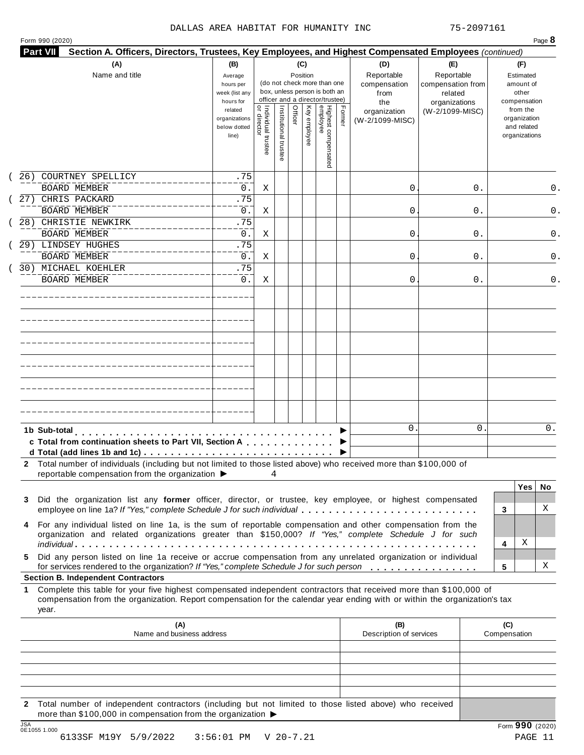#### DALLAS AREA HABITAT FOR HUMANITY INC 75-2097161

|     | (A)<br>Name and title                                                                                                                                                                                                                                                                          | (B)<br>Average<br>hours per<br>week (list any<br>hours for | (C)<br>Position<br>(do not check more than one<br>box, unless person is both an<br>officer and a director/trustee) |                       |         |              |                                 |        | (D)<br>Reportable<br>compensation<br>from<br>the | (E)<br>Reportable<br>compensation from<br>related<br>organizations |                     | (F)<br>Estimated<br>amount of<br>other<br>compensation   |     |
|-----|------------------------------------------------------------------------------------------------------------------------------------------------------------------------------------------------------------------------------------------------------------------------------------------------|------------------------------------------------------------|--------------------------------------------------------------------------------------------------------------------|-----------------------|---------|--------------|---------------------------------|--------|--------------------------------------------------|--------------------------------------------------------------------|---------------------|----------------------------------------------------------|-----|
|     |                                                                                                                                                                                                                                                                                                | related<br>organizations<br>below dotted<br>line)          | Individual trustee<br>  or director                                                                                | Institutional trustee | Officer | Key employee | Highest compensated<br>employee | Former | organization<br>(W-2/1099-MISC)                  | (W-2/1099-MISC)                                                    |                     | from the<br>organization<br>and related<br>organizations |     |
| 26) | COURTNEY SPELLICY<br><b>BOARD MEMBER</b>                                                                                                                                                                                                                                                       | .75<br>$0$ .                                               | Χ                                                                                                                  |                       |         |              |                                 |        | 0                                                | 0.                                                                 |                     |                                                          | 0.  |
|     | 27) CHRIS PACKARD<br><b>BOARD MEMBER</b>                                                                                                                                                                                                                                                       | .75<br>0.                                                  | Χ                                                                                                                  |                       |         |              |                                 |        | 0                                                | 0.                                                                 |                     |                                                          | 0.  |
|     | 28) CHRISTIE NEWKIRK<br><b>BOARD MEMBER</b>                                                                                                                                                                                                                                                    | .75<br>0.                                                  | X                                                                                                                  |                       |         |              |                                 |        | 0                                                | 0.                                                                 |                     |                                                          | 0.  |
|     | 29) LINDSEY HUGHES<br><b>BOARD MEMBER</b>                                                                                                                                                                                                                                                      | .75<br>0.                                                  | Χ                                                                                                                  |                       |         |              |                                 |        | 0                                                | 0.                                                                 |                     |                                                          | 0.  |
|     | 30) MICHAEL KOEHLER<br><b>BOARD MEMBER</b>                                                                                                                                                                                                                                                     | .75<br>0.                                                  | Χ                                                                                                                  |                       |         |              |                                 |        | 0                                                | 0.                                                                 |                     |                                                          | 0.  |
|     |                                                                                                                                                                                                                                                                                                |                                                            |                                                                                                                    |                       |         |              |                                 |        |                                                  |                                                                    |                     |                                                          |     |
|     |                                                                                                                                                                                                                                                                                                |                                                            |                                                                                                                    |                       |         |              |                                 |        |                                                  |                                                                    |                     |                                                          |     |
|     |                                                                                                                                                                                                                                                                                                |                                                            |                                                                                                                    |                       |         |              |                                 |        |                                                  |                                                                    |                     |                                                          |     |
|     |                                                                                                                                                                                                                                                                                                |                                                            |                                                                                                                    |                       |         |              |                                 |        |                                                  |                                                                    |                     |                                                          |     |
|     | 1b Sub-total                                                                                                                                                                                                                                                                                   |                                                            |                                                                                                                    |                       |         |              |                                 |        | $\mathbf{0}$                                     | 0                                                                  |                     |                                                          | 0.  |
|     | c Total from continuation sheets to Part VII, Section A                                                                                                                                                                                                                                        |                                                            |                                                                                                                    |                       |         |              |                                 |        |                                                  |                                                                    |                     |                                                          |     |
|     | 2 Total number of individuals (including but not limited to those listed above) who received more than \$100,000 of<br>reportable compensation from the organization ▶                                                                                                                         |                                                            | 4                                                                                                                  |                       |         |              |                                 |        |                                                  |                                                                    |                     |                                                          |     |
| 3   | Did the organization list any former officer, director, or trustee, key employee, or highest compensated                                                                                                                                                                                       |                                                            |                                                                                                                    |                       |         |              |                                 |        |                                                  |                                                                    |                     | <b>Yes</b>                                               | No. |
| 4   | employee on line 1a? If "Yes," complete Schedule J for such individual<br>For any individual listed on line 1a, is the sum of reportable compensation and other compensation from the<br>organization and related organizations greater than \$150,000? If "Yes," complete Schedule J for such |                                                            |                                                                                                                    |                       |         |              |                                 |        |                                                  |                                                                    | 3                   |                                                          | X   |
| 5.  | Did any person listed on line 1a receive or accrue compensation from any unrelated organization or individual                                                                                                                                                                                  |                                                            |                                                                                                                    |                       |         |              |                                 |        |                                                  |                                                                    | 4                   | Χ                                                        |     |
|     | for services rendered to the organization? If "Yes," complete Schedule J for such person<br><b>Section B. Independent Contractors</b>                                                                                                                                                          |                                                            |                                                                                                                    |                       |         |              |                                 |        |                                                  |                                                                    | 5                   |                                                          | х   |
| 1.  | Complete this table for your five highest compensated independent contractors that received more than \$100,000 of<br>compensation from the organization. Report compensation for the calendar year ending with or within the organization's tax<br>year.                                      |                                                            |                                                                                                                    |                       |         |              |                                 |        |                                                  |                                                                    |                     |                                                          |     |
|     | (A)<br>Name and business address                                                                                                                                                                                                                                                               |                                                            |                                                                                                                    |                       |         |              |                                 |        | (B)<br>Description of services                   |                                                                    | (C)<br>Compensation |                                                          |     |
|     |                                                                                                                                                                                                                                                                                                |                                                            |                                                                                                                    |                       |         |              |                                 |        |                                                  |                                                                    |                     |                                                          |     |
|     |                                                                                                                                                                                                                                                                                                |                                                            |                                                                                                                    |                       |         |              |                                 |        |                                                  |                                                                    |                     |                                                          |     |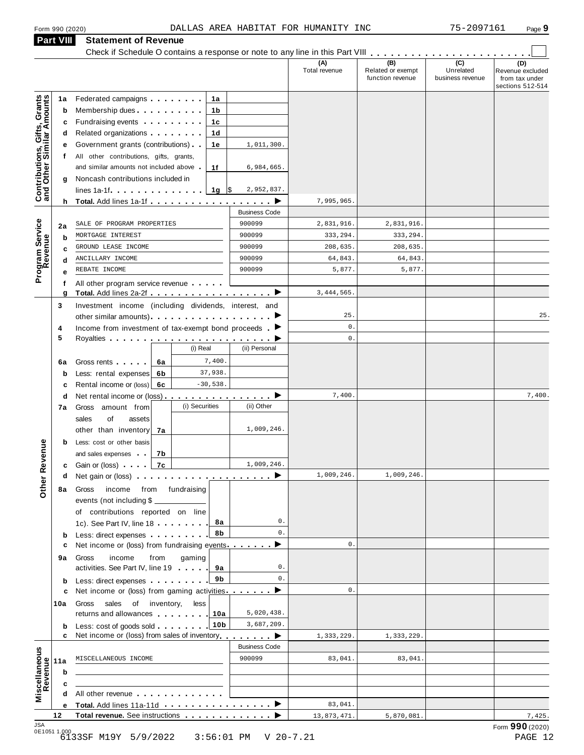**Part VIII Statement of Revenue**

#### Statement of Revenue<br>Check if Schedule O contains a response or note to any line in this Part VIII **manual Check if Schedule O contains (D)** Revenue excluded from tax under sections 512-514 **(A)** Total revenue **(B)** Related or exempt function revenue **(C)** Unrelated business revenue **1a** Federated campaigns **manual**<br> **b** Membership dues **manual c** Fundraising events **manual**<br>**d** Related organizations **manual** Federated campaigns **manual** Membership dues **man m m m m m m m m m m m**<br>Fundraising events **man m m m m m m m m m 1b 1c 1d 1e 1f f e** Government grants (contributions) . . **g** Noncash contributions included in<br>lines 1a-1f **matures** in metal of state in the state of state in the state in the state in the state in the state in the state in the state in the state in the state in the state in th All other contributions, gifts, grants,<br>and similar amounts not included above **<sup>h</sup> Total.** Add lines 1a-1f m m m m m m m m m m m m m m m m m m I **Contributions, Gifts, Grants and Other Similar A mounts** h. Business Code **2ab c** GROUND LEASE INCOME 900099 208,635. 208,635. 208,635. **f** All other program service revenue **e 6a** Gross rents<br> **b** Less: rental expenses **6b c** Rental income or (loss) **6c** | **b** Less: cost or other basis<br>and sales expenses and sales expenses<br> **c** Gain or (loss)<br> **7c** All other program service revenue <sup>m</sup> <sup>m</sup> <sup>m</sup> <sup>m</sup> <sup>m</sup> **<sup>g</sup> Total.** Add lines 2a-2f <sup>m</sup> <sup>m</sup> <sup>m</sup> <sup>m</sup> <sup>m</sup> <sup>m</sup> <sup>m</sup> <sup>m</sup> <sup>m</sup> <sup>m</sup> <sup>m</sup> <sup>m</sup> <sup>m</sup> <sup>m</sup> <sup>m</sup> <sup>m</sup> <sup>m</sup> <sup>m</sup> <sup>I</sup> Program<br>Reve<br>. . . . . **Service<br>Revenue<br>a**<br>a<br>a **3** Investment income (including dividends, interest, and Investment income (including dividends, interest, and<br>other similar amounts)  $\blacksquare$  $\frac{1}{\epsilon}$  $\begin{array}{|c|c|c|}\n\hline\n\hline\n\end{array}$  $\overline{\phantom{0}}$  $\begin{array}{c} \bullet & \bullet \\ \hline \bullet & \bullet \end{array}$  $\overrightarrow{ }$  $\overrightarrow{ }$  $\begin{array}{c} \bullet \end{array}$ **4 5** Income from investment of tax-exempt bond proceeds m Royalties om investment of tax-exempt bond proceeds . (i) Real (ii) Personal Gross rents m m m m m **6a 7a** other than inventory **7b <sup>d</sup>** Net rental income or (loss) m m m m m m m m m m m m m m m m **7a** Gross amount from sales of assets and sales expenses **<sup>d</sup>** Net gain or (loss) m m m m m m m m m m m m m m m m m m m m **8a** Gross income from fundraising **b** Less: direct expenses **9a** activities. See Part IV, line 19<br>**b** Less: direct expenses **manual 10a** Gross sales of inventory, less **b** Less: cost of goods sold **........** 10b **11ab c** events (not including \$ of contributions reported on line **8a 8b 9a 9b 10a** of contributions reported on line<br>1c). See Part IV, line 18 c Net income or (loss) from fundraising events **manual** income from gaming activities. See Part IV, line 19 m m m m **c** Net income or (loss) from gaming activities **manual** returns and allowances m m m m m m m m Less: cost of goods sold <sup>m</sup> <sup>m</sup> <sup>m</sup> <sup>m</sup> <sup>m</sup> <sup>m</sup> <sup>m</sup> <sup>m</sup> **<sup>c</sup>** Net income or (loss) from sales of inventory<sup>m</sup> <sup>m</sup> <sup>m</sup> <sup>m</sup> <sup>m</sup> <sup>m</sup> <sup>m</sup> <sup>m</sup> **Other Revenue** Business Code **c**  $\frac{1}{\text{All other revenue}}$  **a d** All other revenue<br>
<u>e Total. Add lines 11a-11d</u><br>
<u>——————————————————</u> **Miscellaneous**<br>
Revenue<br> **Revenue**<br> **a**<br> **a**<br> **a <sup>12</sup> Total revenue.** See instructions m m m m m m m m m m m m m I 1,011,300. 6,984,665. 2,952,837. 7,995,965. SALE OF PROGRAM PROPERTIES 2,831,916. 2,831,916. 2,831,916. MORTGAGE INTEREST  $\begin{array}{|c|c|c|c|c|c|c|c|c|c|c|} \hline \end{array}$  900099  $\begin{array}{|c|c|c|c|c|c|c|c|c|} \hline \end{array}$  333,294. 333,294. GROUND LEASE INCOME 900099 208,635. 208,635. REBATE INCOME 6,877. 3,444,565. 25.  $\vert$  25.  $\mathbf{0}$ .  $\mathbf{0}$ . 7,400. 37,938. -30,538. 7,400. 7,400. 1,009,246. 1,009,246. 1,009,246. 1,009,246. 0.  $\mathbf{0}$ . 0. 0.  $\mathbf{0}$ .  $\mathbf{0}$ . 5,020,438. 3,687,209. 1,333,229. 1,333,229. MISCELLANEOUS INCOME 83,041 900099 83,041. 83,041 83,041. 13,873,471. 5,870,081. 7,425.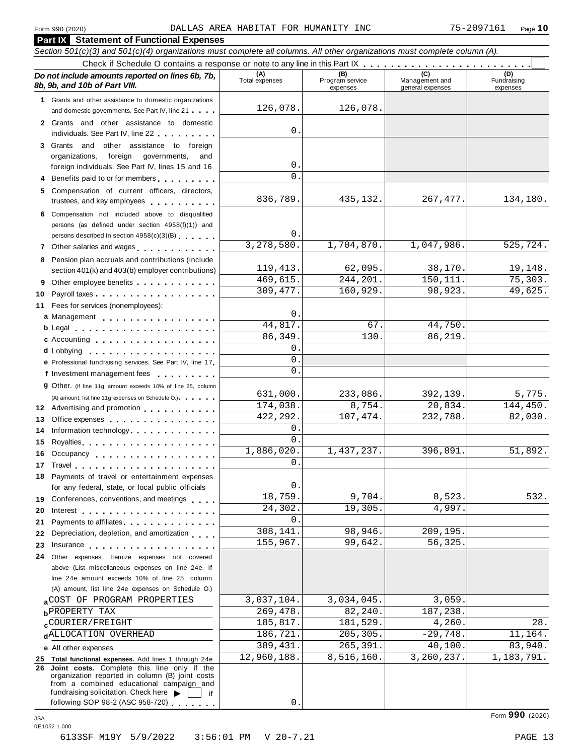**Part IX Statement of Functional Expenses**

|    | Section 501(c)(3) and 501(c)(4) organizations must complete all columns. All other organizations must complete column (A).                                                                                                                                                                                                                                                                                                                                   |                       |                                    |                                    |                                |
|----|--------------------------------------------------------------------------------------------------------------------------------------------------------------------------------------------------------------------------------------------------------------------------------------------------------------------------------------------------------------------------------------------------------------------------------------------------------------|-----------------------|------------------------------------|------------------------------------|--------------------------------|
|    |                                                                                                                                                                                                                                                                                                                                                                                                                                                              |                       |                                    |                                    |                                |
|    | Do not include amounts reported on lines 6b, 7b,<br>8b, 9b, and 10b of Part VIII.                                                                                                                                                                                                                                                                                                                                                                            | (A)<br>Total expenses | (B)<br>Program service<br>expenses | Management and<br>general expenses | (D)<br>Fundraising<br>expenses |
|    | 1 Grants and other assistance to domestic organizations                                                                                                                                                                                                                                                                                                                                                                                                      |                       |                                    |                                    |                                |
|    | and domestic governments. See Part IV, line 21                                                                                                                                                                                                                                                                                                                                                                                                               | 126,078.              | 126,078.                           |                                    |                                |
|    | 2 Grants and other assistance to domestic                                                                                                                                                                                                                                                                                                                                                                                                                    |                       |                                    |                                    |                                |
|    | individuals. See Part IV, line 22                                                                                                                                                                                                                                                                                                                                                                                                                            | 0.                    |                                    |                                    |                                |
|    | 3 Grants and<br>other assistance to foreign                                                                                                                                                                                                                                                                                                                                                                                                                  |                       |                                    |                                    |                                |
|    | organizations,<br>foreign<br>governments,<br>and                                                                                                                                                                                                                                                                                                                                                                                                             |                       |                                    |                                    |                                |
|    | foreign individuals. See Part IV, lines 15 and 16                                                                                                                                                                                                                                                                                                                                                                                                            | 0.                    |                                    |                                    |                                |
|    | Benefits paid to or for members                                                                                                                                                                                                                                                                                                                                                                                                                              | $\Omega$ .            |                                    |                                    |                                |
|    | 5 Compensation of current officers, directors,                                                                                                                                                                                                                                                                                                                                                                                                               |                       |                                    |                                    |                                |
|    | trustees, and key employees                                                                                                                                                                                                                                                                                                                                                                                                                                  | 836,789.              | 435,132.                           | 267, 477.                          | 134,180.                       |
|    | Compensation not included above to disqualified                                                                                                                                                                                                                                                                                                                                                                                                              |                       |                                    |                                    |                                |
|    | persons (as defined under section 4958(f)(1)) and                                                                                                                                                                                                                                                                                                                                                                                                            |                       |                                    |                                    |                                |
|    | persons described in section 4958(c)(3)(B)                                                                                                                                                                                                                                                                                                                                                                                                                   | 0.                    |                                    |                                    |                                |
|    | 7 Other salaries and wages                                                                                                                                                                                                                                                                                                                                                                                                                                   | 3, 278, 580.          | 1,704,870.                         | 1,047,986.                         | 525, 724.                      |
|    | Pension plan accruals and contributions (include                                                                                                                                                                                                                                                                                                                                                                                                             |                       |                                    |                                    |                                |
|    | section 401(k) and 403(b) employer contributions)                                                                                                                                                                                                                                                                                                                                                                                                            | 119, 413.             | 62,095.                            | 38,170.                            | 19,148.                        |
|    | Other employee benefits                                                                                                                                                                                                                                                                                                                                                                                                                                      | 469,615.              | 244,201.                           | 150,111                            | 75,303.                        |
| 10 |                                                                                                                                                                                                                                                                                                                                                                                                                                                              | 309, 477.             | 160,929.                           | 98,923.                            | 49,625.                        |
| 11 | Fees for services (nonemployees):                                                                                                                                                                                                                                                                                                                                                                                                                            |                       |                                    |                                    |                                |
|    | a Management                                                                                                                                                                                                                                                                                                                                                                                                                                                 | 0.                    |                                    |                                    |                                |
|    |                                                                                                                                                                                                                                                                                                                                                                                                                                                              | 44,817.               | 67.                                | 44,750                             |                                |
|    | c Accounting                                                                                                                                                                                                                                                                                                                                                                                                                                                 | 86,349.               | 130                                | 86,219.                            |                                |
|    | d Lobbying                                                                                                                                                                                                                                                                                                                                                                                                                                                   | $\mathbf 0$ .         |                                    |                                    |                                |
|    | e Professional fundraising services. See Part IV, line 17                                                                                                                                                                                                                                                                                                                                                                                                    | $\mathbf{0}$          |                                    |                                    |                                |
|    | f Investment management fees<br>$\mathbf{a} = \mathbf{a} + \mathbf{a} + \mathbf{a} + \mathbf{a} + \mathbf{a} + \mathbf{a} + \mathbf{a} + \mathbf{a} + \mathbf{a} + \mathbf{a} + \mathbf{a} + \mathbf{a} + \mathbf{a} + \mathbf{a} + \mathbf{a} + \mathbf{a} + \mathbf{a} + \mathbf{a} + \mathbf{a} + \mathbf{a} + \mathbf{a} + \mathbf{a} + \mathbf{a} + \mathbf{a} + \mathbf{a} + \mathbf{a} + \mathbf{a} + \mathbf{a} + \mathbf{a} + \mathbf{a} + \mathbf$ | $\Omega$ .            |                                    |                                    |                                |
|    | 9 Other. (If line 11g amount exceeds 10% of line 25, column                                                                                                                                                                                                                                                                                                                                                                                                  |                       |                                    |                                    |                                |
|    | (A) amount, list line 11g expenses on Schedule O.) expenses                                                                                                                                                                                                                                                                                                                                                                                                  | 631,000.              | 233,086.                           | 392,139.                           | 5,775.                         |
|    | 12 Advertising and promotion                                                                                                                                                                                                                                                                                                                                                                                                                                 | 174,038.              | 8,754.                             | 20,834.                            | 144,450.                       |
| 13 | Office expenses extensive and the set of the set of the set of the set of the set of the set of the set of the                                                                                                                                                                                                                                                                                                                                               | 422, 292.             | 107,474.                           | 232,788.                           | 82,030.                        |
| 14 | Information technology.                                                                                                                                                                                                                                                                                                                                                                                                                                      | 0.                    |                                    |                                    |                                |
| 15 |                                                                                                                                                                                                                                                                                                                                                                                                                                                              | $\Omega$ .            |                                    |                                    |                                |
| 16 | Occupancy                                                                                                                                                                                                                                                                                                                                                                                                                                                    | 1,886,020.            | 1,437,237.                         | 396,891                            | 51,892.                        |
|    |                                                                                                                                                                                                                                                                                                                                                                                                                                                              | 0.                    |                                    |                                    |                                |
|    | 18 Payments of travel or entertainment expenses                                                                                                                                                                                                                                                                                                                                                                                                              |                       |                                    |                                    |                                |
|    | for any federal, state, or local public officials                                                                                                                                                                                                                                                                                                                                                                                                            | 0.                    |                                    |                                    |                                |
|    | 19 Conferences, conventions, and meetings                                                                                                                                                                                                                                                                                                                                                                                                                    | 18,759.               | 9,704.                             | 8,523.                             | 532.                           |
| 20 | Interest $\ldots$ , $\ldots$ , $\ldots$ , $\ldots$ , $\ldots$ , $\ldots$ , $\ldots$                                                                                                                                                                                                                                                                                                                                                                          | 24,302.               | 19,305.                            | 4,997                              |                                |
| 21 | Payments to affiliates.                                                                                                                                                                                                                                                                                                                                                                                                                                      | 0.                    |                                    |                                    |                                |
| 22 | Depreciation, depletion, and amortization                                                                                                                                                                                                                                                                                                                                                                                                                    | 308,141.              | 98,946.                            | 209,195                            |                                |
| 23 | Insurance <b>All Accounts</b> in the set of the set of the set of the set of the set of the set of the set of the set of the set of the set of the set of the set of the set of the set of the set of the set of the set of the set                                                                                                                                                                                                                          | 155,967.              | 99,642.                            | 56,325                             |                                |
| 24 | Other expenses. Itemize expenses not covered                                                                                                                                                                                                                                                                                                                                                                                                                 |                       |                                    |                                    |                                |
|    | above (List miscellaneous expenses on line 24e. If                                                                                                                                                                                                                                                                                                                                                                                                           |                       |                                    |                                    |                                |
|    | line 24e amount exceeds 10% of line 25, column                                                                                                                                                                                                                                                                                                                                                                                                               |                       |                                    |                                    |                                |
|    | (A) amount, list line 24e expenses on Schedule O.)                                                                                                                                                                                                                                                                                                                                                                                                           |                       |                                    |                                    |                                |
|    | aCOST OF PROGRAM PROPERTIES                                                                                                                                                                                                                                                                                                                                                                                                                                  | 3,037,104.            | 3,034,045.                         | 3,059                              |                                |
|    | <b>b</b> PROPERTY TAX                                                                                                                                                                                                                                                                                                                                                                                                                                        | 269,478.              | 82,240.                            | 187,238                            |                                |
|    | cCOURIER/FREIGHT                                                                                                                                                                                                                                                                                                                                                                                                                                             | 185,817.              | 181,529.                           | 4,260                              | 28.                            |
|    | dALLOCATION OVERHEAD                                                                                                                                                                                                                                                                                                                                                                                                                                         | 186,721.              | 205,305.                           | $-29,748.$                         | 11,164.                        |
|    | <b>e</b> All other expenses                                                                                                                                                                                                                                                                                                                                                                                                                                  | 389,431.              | 265,391.                           | 40,100.                            | 83,940.                        |
|    | 25 Total functional expenses. Add lines 1 through 24e                                                                                                                                                                                                                                                                                                                                                                                                        | 12,960,188.           | 8,516,160.                         | 3,260,237.                         | 1,183,791.                     |
| 26 | Joint costs. Complete this line only if the<br>organization reported in column (B) joint costs<br>from a combined educational campaign and                                                                                                                                                                                                                                                                                                                   |                       |                                    |                                    |                                |
|    | fundraising solicitation. Check here<br>if                                                                                                                                                                                                                                                                                                                                                                                                                   |                       |                                    |                                    |                                |
|    | following SOP 98-2 (ASC 958-720)                                                                                                                                                                                                                                                                                                                                                                                                                             | 0.                    |                                    |                                    |                                |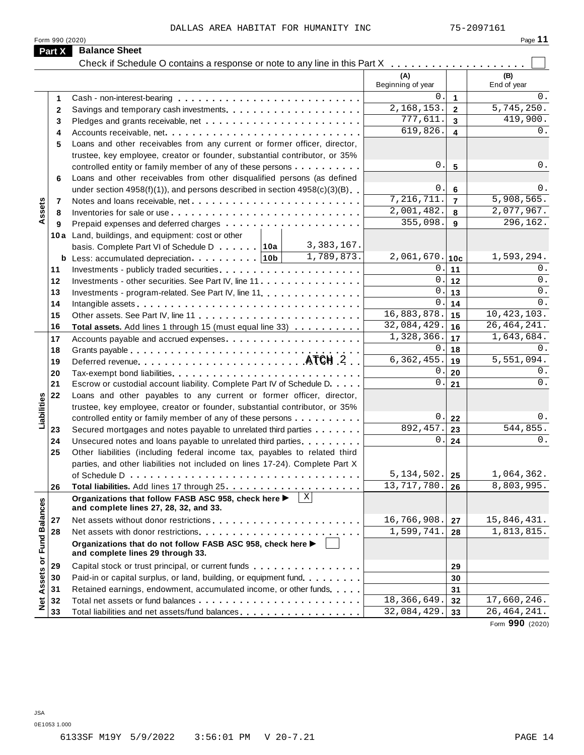|--|--|--|

|                      |        | Form 990 (2020)                                                                                                   |                          |                         | Page 11                     |
|----------------------|--------|-------------------------------------------------------------------------------------------------------------------|--------------------------|-------------------------|-----------------------------|
|                      | Part X | <b>Balance Sheet</b>                                                                                              |                          |                         |                             |
|                      |        |                                                                                                                   |                          |                         |                             |
|                      |        |                                                                                                                   | (A)<br>Beginning of year |                         | (B)<br>End of year          |
|                      | 1      |                                                                                                                   | $\Omega$ .               | $\overline{1}$          | 0.                          |
|                      | 2      |                                                                                                                   | 2,168,153.               | $\overline{2}$          | 5,745,250.                  |
|                      | 3      |                                                                                                                   | 777,611.                 | $\mathbf{3}$            | 419,900.                    |
|                      | 4      |                                                                                                                   | 619,826.                 | $\overline{\mathbf{4}}$ | 0.                          |
|                      | 5      | Loans and other receivables from any current or former officer, director,                                         |                          |                         |                             |
|                      |        | trustee, key employee, creator or founder, substantial contributor, or 35%                                        |                          |                         |                             |
|                      |        | controlled entity or family member of any of these persons                                                        | 0.                       | 5                       | 0.                          |
|                      | 6      | Loans and other receivables from other disqualified persons (as defined                                           |                          |                         |                             |
|                      |        | under section $4958(f)(1)$ , and persons described in section $4958(c)(3)(B)$                                     | $\mathsf{0}$ .           | $6\phantom{1}$          | 0.                          |
|                      | 7      |                                                                                                                   | 7,216,711.               | $\overline{7}$          | 5,908,565.                  |
| Assets               | 8      |                                                                                                                   | 2,001,482.               | 8                       | 2,077,967.                  |
|                      | 9      |                                                                                                                   | 355,098.                 | 9                       | 296,162.                    |
|                      |        | 10a Land, buildings, and equipment: cost or other                                                                 |                          |                         |                             |
|                      |        | 3, 383, 167.<br>basis. Complete Part VI of Schedule D 10a                                                         |                          |                         |                             |
|                      |        | 1,789,873.                                                                                                        | 2,061,670.               | 10c                     | 1,593,294.                  |
|                      | 11     |                                                                                                                   | 0.                       | 11                      | 0.                          |
|                      | 12     | Investments - other securities. See Part IV, line 11.                                                             | 0.                       | 12                      | 0.                          |
|                      | 13     | Investments - program-related. See Part IV, line 11.                                                              | 0.                       | 13                      | 0.                          |
|                      | 14     |                                                                                                                   | $\mathbf 0$ .            | 14                      | 0.                          |
|                      | 15     |                                                                                                                   | 16,883,878.              | 15                      | 10, 423, 103.               |
|                      | 16     | Total assets. Add lines 1 through 15 (must equal line 33)                                                         | 32,084,429.              | 16                      | 26, 464, 241.               |
|                      | 17     |                                                                                                                   | 1,328,366.               | 17                      | 1,643,684.                  |
|                      | 18     |                                                                                                                   | 0.                       | 18                      | 0.                          |
|                      | 19     |                                                                                                                   | 6, 362, 455.             | 19                      | 5,551,094.                  |
|                      | 20     |                                                                                                                   | 0.                       | 20                      | 0.                          |
|                      | 21     | Escrow or custodial account liability. Complete Part IV of Schedule D.                                            | $\mathbf 0$ .            | 21                      | 0.                          |
|                      | 22     | Loans and other payables to any current or former officer, director,                                              |                          |                         |                             |
|                      |        | trustee, key employee, creator or founder, substantial contributor, or 35%                                        |                          |                         |                             |
| Liabilities          |        | controlled entity or family member of any of these persons                                                        | $0$ .                    | 22                      | 0.                          |
|                      | 23     | Secured mortgages and notes payable to unrelated third parties                                                    | 892,457.                 | 23                      | 544,855.                    |
|                      | 24     | Unsecured notes and loans payable to unrelated third parties <b>Sources Container</b>                             | 0.                       | 24                      | 0.                          |
|                      | 25     | Other liabilities (including federal income tax, payables to related third                                        |                          |                         |                             |
|                      |        | parties, and other liabilities not included on lines 17-24). Complete Part X                                      |                          |                         |                             |
|                      |        |                                                                                                                   | 5, 134, 502.             | 25                      | 1,064,362.                  |
|                      | 26     |                                                                                                                   | 13,717,780.              | 26                      | 8,803,995.                  |
|                      |        | $\vert x \vert$<br>Organizations that follow FASB ASC 958, check here ▶<br>and complete lines 27, 28, 32, and 33. |                          |                         |                             |
|                      | 27     | Net assets without donor restrictions                                                                             | 16,766,908.              | 27                      | 15,846,431.                 |
|                      | 28     |                                                                                                                   | 1,599,741.               | 28                      | 1,813,815.                  |
| <b>Fund Balances</b> |        | Organizations that do not follow FASB ASC 958, check here ><br>and complete lines 29 through 33.                  |                          |                         |                             |
|                      | 29     | Capital stock or trust principal, or current funds                                                                |                          | 29                      |                             |
|                      | 30     | Paid-in or capital surplus, or land, building, or equipment fund.                                                 |                          | 30                      |                             |
|                      | 31     | Retained earnings, endowment, accumulated income, or other funds                                                  |                          | 31                      |                             |
| Net Assets or        | 32     |                                                                                                                   | 18,366,649.              | 32                      | 17,660,246.                 |
|                      | 33     | Total liabilities and net assets/fund balances                                                                    | 32,084,429.              | 33                      | $\overline{26, 464, 241}$ . |

Form **990** (2020)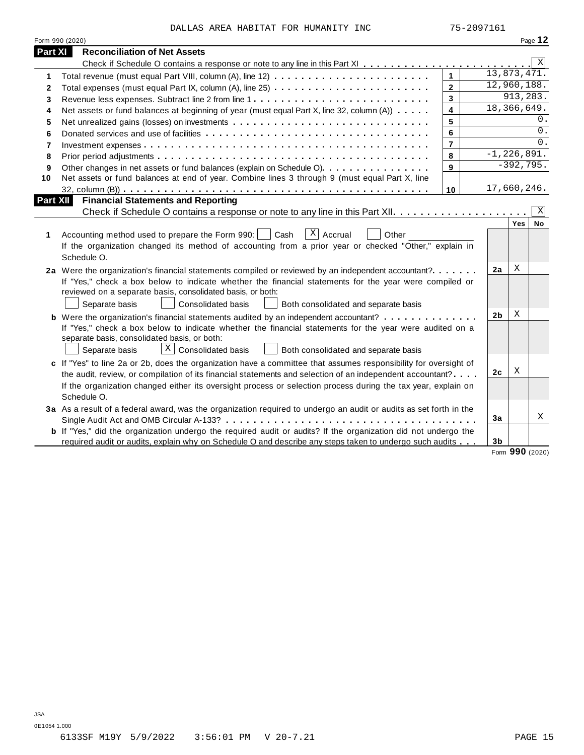|  |  | DALLAS AREA HABITAT FOR HUMANITY INC | 75-2097161 |
|--|--|--------------------------------------|------------|
|  |  |                                      |            |

|          | Form 990 (2020)                                                                                                       |                         |        |                |                      | Page 12 |
|----------|-----------------------------------------------------------------------------------------------------------------------|-------------------------|--------|----------------|----------------------|---------|
| Part XI  | <b>Reconciliation of Net Assets</b>                                                                                   |                         |        |                |                      |         |
|          |                                                                                                                       |                         |        |                |                      | X       |
| 1        |                                                                                                                       | $\mathbf{1}$            |        |                | 13,873,471.          |         |
| 2        |                                                                                                                       | $\mathbf{2}$            |        |                | 12,960,188.          |         |
| 3        |                                                                                                                       | $\overline{3}$          |        |                | 913,283.             |         |
| 4        | Net assets or fund balances at beginning of year (must equal Part X, line 32, column (A))                             | $\overline{\mathbf{4}}$ |        |                | 18,366,649.          |         |
| 5        |                                                                                                                       | 5                       |        |                |                      | 0.      |
| 6        |                                                                                                                       | 6                       |        |                |                      | 0.      |
| 7        |                                                                                                                       | $\overline{7}$          |        |                |                      | 0.      |
| 8        |                                                                                                                       | 8                       |        |                | $-1, 226, 891.$      |         |
| 9        | Other changes in net assets or fund balances (explain on Schedule O).                                                 | 9                       |        |                | $-392,795.$          |         |
| 10       | Net assets or fund balances at end of year. Combine lines 3 through 9 (must equal Part X, line                        |                         |        |                |                      |         |
|          |                                                                                                                       | 10                      |        |                | 17,660,246.          |         |
| Part XII | <b>Financial Statements and Reporting</b>                                                                             |                         |        |                |                      |         |
|          |                                                                                                                       |                         |        |                |                      | Χ       |
|          |                                                                                                                       |                         |        |                | Yes                  | No      |
| 1        | $X$ Accrual<br>Accounting method used to prepare the Form 990:     Cash<br>Other                                      |                         |        |                |                      |         |
|          | If the organization changed its method of accounting from a prior year or checked "Other," explain in                 |                         |        |                |                      |         |
|          | Schedule O.                                                                                                           |                         |        |                |                      |         |
|          | 2a Were the organization's financial statements compiled or reviewed by an independent accountant?                    |                         |        | 2a             | X                    |         |
|          | If "Yes," check a box below to indicate whether the financial statements for the year were compiled or                |                         |        |                |                      |         |
|          | reviewed on a separate basis, consolidated basis, or both:                                                            |                         |        |                |                      |         |
|          | Separate basis<br><b>Consolidated basis</b><br>Both consolidated and separate basis                                   |                         |        |                |                      |         |
|          | <b>b</b> Were the organization's financial statements audited by an independent accountant?                           |                         |        | 2 <sub>b</sub> | Χ                    |         |
|          | If "Yes," check a box below to indicate whether the financial statements for the year were audited on a               |                         |        |                |                      |         |
|          | separate basis, consolidated basis, or both:                                                                          |                         |        |                |                      |         |
|          | $X$ Consolidated basis<br>Separate basis<br>Both consolidated and separate basis                                      |                         |        |                |                      |         |
|          | c If "Yes" to line 2a or 2b, does the organization have a committee that assumes responsibility for oversight of      |                         |        |                |                      |         |
|          | the audit, review, or compilation of its financial statements and selection of an independent accountant?             |                         |        | 2c             | X                    |         |
|          | If the organization changed either its oversight process or selection process during the tax year, explain on         |                         |        |                |                      |         |
|          | Schedule O.                                                                                                           |                         |        |                |                      |         |
|          | 3a As a result of a federal award, was the organization required to undergo an audit or audits as set forth in the    |                         |        |                |                      |         |
|          |                                                                                                                       |                         |        | 3a             |                      | X       |
|          | <b>b</b> If "Yes," did the organization undergo the required audit or audits? If the organization did not undergo the |                         |        |                |                      |         |
|          | required audit or audits, explain why on Schedule O and describe any steps taken to undergo such audits               |                         | $\sim$ | 3b             | $000 \text{ (0000)}$ |         |

Form **990** (2020)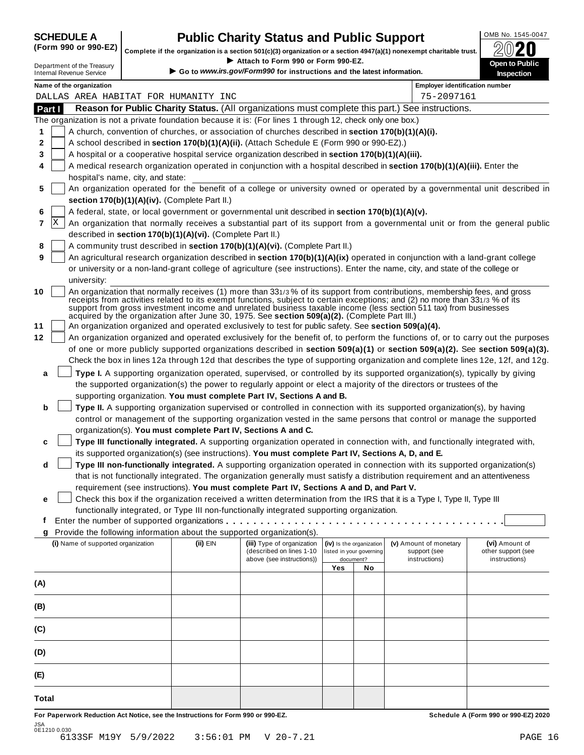| <b>SCHEDULE A</b> |  |
|-------------------|--|
|                   |  |

### **CHEDULE A Public Charity Status and Public Support**  $\frac{100\text{dB No. }1545-0047}{000\text{dB No.}}$

(Form 990 or 990-EZ) complete if the organization is a section 501(c)(3) organization or a section 4947(a)(1) nonexempt charitable trust.  $2020$ 

|        |                                                               |                                                            | Attach to Form 990 or Form 990-EZ.                                                                        |     |                                       | Complete if the organization is a section 501(c)(3) organization or a section $4947(a)(1)$ nonexempt charitable trust.         | BWŁU                                                                                                                             |
|--------|---------------------------------------------------------------|------------------------------------------------------------|-----------------------------------------------------------------------------------------------------------|-----|---------------------------------------|--------------------------------------------------------------------------------------------------------------------------------|----------------------------------------------------------------------------------------------------------------------------------|
|        | Department of the Treasury<br><b>Internal Revenue Service</b> |                                                            | Go to www.irs.gov/Form990 for instructions and the latest information.                                    |     |                                       |                                                                                                                                | Open to Public<br>Inspection                                                                                                     |
|        | Name of the organization                                      |                                                            |                                                                                                           |     |                                       | <b>Employer identification number</b>                                                                                          |                                                                                                                                  |
|        |                                                               | DALLAS AREA HABITAT FOR HUMANITY INC                       |                                                                                                           |     |                                       | 75-2097161                                                                                                                     |                                                                                                                                  |
| Part I |                                                               |                                                            |                                                                                                           |     |                                       | Reason for Public Charity Status. (All organizations must complete this part.) See instructions.                               |                                                                                                                                  |
|        |                                                               |                                                            | The organization is not a private foundation because it is: (For lines 1 through 12, check only one box.) |     |                                       |                                                                                                                                |                                                                                                                                  |
| 1      |                                                               |                                                            | A church, convention of churches, or association of churches described in section 170(b)(1)(A)(i).        |     |                                       |                                                                                                                                |                                                                                                                                  |
| 2      |                                                               |                                                            | A school described in section 170(b)(1)(A)(ii). (Attach Schedule E (Form 990 or 990-EZ).)                 |     |                                       |                                                                                                                                |                                                                                                                                  |
| 3      |                                                               |                                                            | A hospital or a cooperative hospital service organization described in section 170(b)(1)(A)(iii).         |     |                                       |                                                                                                                                |                                                                                                                                  |
| 4      |                                                               |                                                            |                                                                                                           |     |                                       | A medical research organization operated in conjunction with a hospital described in section 170(b)(1)(A)(iii). Enter the      |                                                                                                                                  |
|        | hospital's name, city, and state:                             |                                                            |                                                                                                           |     |                                       |                                                                                                                                |                                                                                                                                  |
| 5      |                                                               |                                                            |                                                                                                           |     |                                       |                                                                                                                                | An organization operated for the benefit of a college or university owned or operated by a governmental unit described in        |
|        |                                                               | section 170(b)(1)(A)(iv). (Complete Part II.)              |                                                                                                           |     |                                       |                                                                                                                                |                                                                                                                                  |
| 6      |                                                               |                                                            | A federal, state, or local government or governmental unit described in section 170(b)(1)(A)(v).          |     |                                       |                                                                                                                                |                                                                                                                                  |
| X<br>7 |                                                               |                                                            |                                                                                                           |     |                                       |                                                                                                                                | An organization that normally receives a substantial part of its support from a governmental unit or from the general public     |
|        |                                                               | described in section 170(b)(1)(A)(vi). (Complete Part II.) | A community trust described in section 170(b)(1)(A)(vi). (Complete Part II.)                              |     |                                       |                                                                                                                                |                                                                                                                                  |
| 8<br>9 |                                                               |                                                            |                                                                                                           |     |                                       | An agricultural research organization described in section 170(b)(1)(A)(ix) operated in conjunction with a land-grant college  |                                                                                                                                  |
|        |                                                               |                                                            |                                                                                                           |     |                                       | or university or a non-land-grant college of agriculture (see instructions). Enter the name, city, and state of the college or |                                                                                                                                  |
|        | university:                                                   |                                                            |                                                                                                           |     |                                       |                                                                                                                                |                                                                                                                                  |
| 10     |                                                               |                                                            |                                                                                                           |     |                                       | An organization that normally receives (1) more than 331/3% of its support from contributions, membership fees, and gross      |                                                                                                                                  |
|        |                                                               |                                                            |                                                                                                           |     |                                       | receipts from activities related to its exempt functions, subject to certain exceptions; and (2) no more than 331/3 % of its   |                                                                                                                                  |
|        |                                                               |                                                            | acquired by the organization after June 30, 1975. See section 509(a)(2). (Complete Part III.)             |     |                                       | support from gross investment income and unrelated business taxable income (less section 511 tax) from businesses              |                                                                                                                                  |
| 11     |                                                               |                                                            | An organization organized and operated exclusively to test for public safety. See section 509(a)(4).      |     |                                       |                                                                                                                                |                                                                                                                                  |
| 12     |                                                               |                                                            |                                                                                                           |     |                                       |                                                                                                                                | An organization organized and operated exclusively for the benefit of, to perform the functions of, or to carry out the purposes |
|        |                                                               |                                                            |                                                                                                           |     |                                       |                                                                                                                                | of one or more publicly supported organizations described in section 509(a)(1) or section 509(a)(2). See section 509(a)(3).      |
|        |                                                               |                                                            |                                                                                                           |     |                                       |                                                                                                                                | Check the box in lines 12a through 12d that describes the type of supporting organization and complete lines 12e, 12f, and 12g.  |
| a      |                                                               |                                                            |                                                                                                           |     |                                       | Type I. A supporting organization operated, supervised, or controlled by its supported organization(s), typically by giving    |                                                                                                                                  |
|        |                                                               |                                                            |                                                                                                           |     |                                       | the supported organization(s) the power to regularly appoint or elect a majority of the directors or trustees of the           |                                                                                                                                  |
|        |                                                               |                                                            | supporting organization. You must complete Part IV, Sections A and B.                                     |     |                                       |                                                                                                                                |                                                                                                                                  |
| b      |                                                               |                                                            |                                                                                                           |     |                                       | Type II. A supporting organization supervised or controlled in connection with its supported organization(s), by having        |                                                                                                                                  |
|        |                                                               |                                                            |                                                                                                           |     |                                       | control or management of the supporting organization vested in the same persons that control or manage the supported           |                                                                                                                                  |
|        |                                                               |                                                            | organization(s). You must complete Part IV, Sections A and C.                                             |     |                                       |                                                                                                                                |                                                                                                                                  |
| c      |                                                               |                                                            |                                                                                                           |     |                                       | Type III functionally integrated. A supporting organization operated in connection with, and functionally integrated with,     |                                                                                                                                  |
|        |                                                               |                                                            | its supported organization(s) (see instructions). You must complete Part IV, Sections A, D, and E.        |     |                                       |                                                                                                                                |                                                                                                                                  |
| d      |                                                               |                                                            |                                                                                                           |     |                                       | Type III non-functionally integrated. A supporting organization operated in connection with its supported organization(s)      |                                                                                                                                  |
|        |                                                               |                                                            | requirement (see instructions). You must complete Part IV, Sections A and D, and Part V.                  |     |                                       | that is not functionally integrated. The organization generally must satisfy a distribution requirement and an attentiveness   |                                                                                                                                  |
| е      |                                                               |                                                            |                                                                                                           |     |                                       | Check this box if the organization received a written determination from the IRS that it is a Type I, Type II, Type III        |                                                                                                                                  |
|        |                                                               |                                                            | functionally integrated, or Type III non-functionally integrated supporting organization.                 |     |                                       |                                                                                                                                |                                                                                                                                  |
| t      |                                                               |                                                            |                                                                                                           |     |                                       |                                                                                                                                |                                                                                                                                  |
| g      |                                                               |                                                            | Provide the following information about the supported organization(s).                                    |     |                                       |                                                                                                                                |                                                                                                                                  |
|        | (i) Name of supported organization                            | (ii) EIN                                                   | (iii) Type of organization                                                                                |     | (iv) Is the organization              | (v) Amount of monetary                                                                                                         | (vi) Amount of                                                                                                                   |
|        |                                                               |                                                            | (described on lines 1-10<br>above (see instructions))                                                     |     | listed in your governing<br>document? | support (see<br>instructions)                                                                                                  | other support (see<br>instructions)                                                                                              |
|        |                                                               |                                                            |                                                                                                           | Yes | No                                    |                                                                                                                                |                                                                                                                                  |
| (A)    |                                                               |                                                            |                                                                                                           |     |                                       |                                                                                                                                |                                                                                                                                  |
|        |                                                               |                                                            |                                                                                                           |     |                                       |                                                                                                                                |                                                                                                                                  |
| (B)    |                                                               |                                                            |                                                                                                           |     |                                       |                                                                                                                                |                                                                                                                                  |
|        |                                                               |                                                            |                                                                                                           |     |                                       |                                                                                                                                |                                                                                                                                  |
| (C)    |                                                               |                                                            |                                                                                                           |     |                                       |                                                                                                                                |                                                                                                                                  |
| (D)    |                                                               |                                                            |                                                                                                           |     |                                       |                                                                                                                                |                                                                                                                                  |
| (E)    |                                                               |                                                            |                                                                                                           |     |                                       |                                                                                                                                |                                                                                                                                  |
|        |                                                               |                                                            |                                                                                                           |     |                                       |                                                                                                                                |                                                                                                                                  |
| Total  |                                                               |                                                            |                                                                                                           |     |                                       |                                                                                                                                |                                                                                                                                  |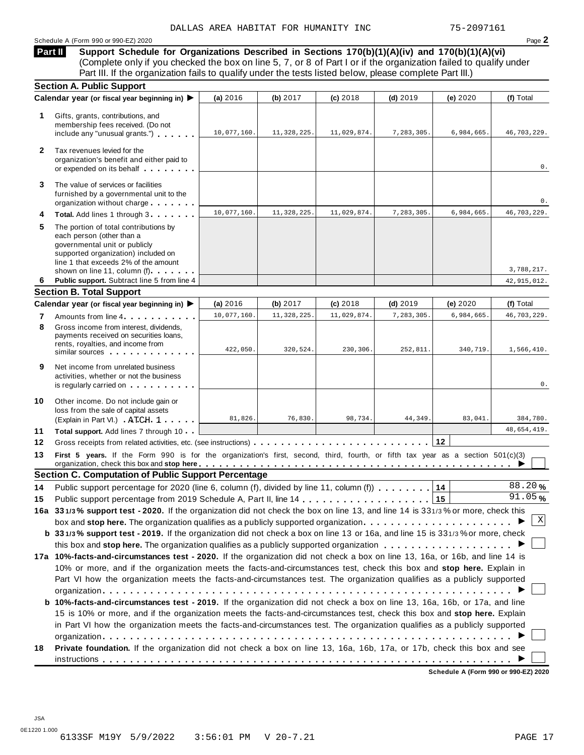#### Schedule <sup>A</sup> (Form <sup>990</sup> or 990-EZ) <sup>2020</sup> Page **2**

**Support Schedule for Organizations Described in Sections 170(b)(1)(A)(iv) and 170(b)(1)(A)(vi)** Complete only if you checked the box on line 5, 7, or 8 of Part I or if the organization failed to qualify under Part III. If the organization fails to qualify under the tests listed below, please complete Part III.) **Part II**

|              | <b>Section A. Public Support</b>                                                                                                                                                                |             |               |             |            |            |               |
|--------------|-------------------------------------------------------------------------------------------------------------------------------------------------------------------------------------------------|-------------|---------------|-------------|------------|------------|---------------|
|              | Calendar year (or fiscal year beginning in) ▶                                                                                                                                                   | (a) 2016    | (b) 2017      | $(c)$ 2018  | $(d)$ 2019 | (e) 2020   | (f) Total     |
| 1            | Gifts, grants, contributions, and<br>membership fees received. (Do not<br>include any "unusual grants.")                                                                                        | 10,077,160. | 11, 328, 225. | 11,029,874. | 7,283,305. | 6,984,665. | 46,703,229.   |
| $\mathbf{2}$ | Tax revenues levied for the<br>organization's benefit and either paid to<br>or expended on its behalf                                                                                           |             |               |             |            |            | 0.            |
| 3            | The value of services or facilities<br>furnished by a governmental unit to the<br>organization without charge                                                                                   |             |               |             |            |            | 0.            |
| 4            | Total. Add lines 1 through 3                                                                                                                                                                    | 10,077,160  | 11, 328, 225  | 11,029,874. | 7,283,305. | 6,984,665. | 46,703,229.   |
| 5            | The portion of total contributions by<br>each person (other than a<br>governmental unit or publicly<br>supported organization) included on<br>line 1 that exceeds 2% of the amount              |             |               |             |            |            | 3,788,217.    |
| 6            | shown on line 11, column (f)<br>Public support. Subtract line 5 from line 4                                                                                                                     |             |               |             |            |            | 42, 915, 012. |
|              | <b>Section B. Total Support</b>                                                                                                                                                                 |             |               |             |            |            |               |
|              | Calendar year (or fiscal year beginning in) ▶                                                                                                                                                   | (a) 2016    | (b) 2017      | (c) 2018    | $(d)$ 2019 | (e) 2020   | (f) Total     |
| 7            | Amounts from line 4                                                                                                                                                                             | 10,077,160. | 11, 328, 225. | 11,029,874. | 7,283,305. | 6,984,665. | 46,703,229.   |
| 8            | Gross income from interest, dividends,<br>payments received on securities loans,<br>rents, royalties, and income from<br>similar sources experiences                                            | 422,050.    | 320,524.      | 230,306.    | 252,811.   | 340,719.   | 1,566,410.    |
| 9            | Net income from unrelated business<br>activities, whether or not the business<br>is regularly carried on the control of the set of the set of the set of the set of the set of the set of the s |             |               |             |            |            | 0.            |
| 10           | Other income. Do not include gain or<br>loss from the sale of capital assets<br>(Explain in Part VI.) ATCH 1                                                                                    | 81,826.     | 76,830.       | 98,734.     | 44,349     | 83,041.    | 384,780.      |
| 11           | Total support. Add lines 7 through 10                                                                                                                                                           |             |               |             |            |            | 48,654,419.   |
| 12           | Gross receipts from related activities, etc. (see instructions)                                                                                                                                 |             |               |             |            | 12         |               |
| 13           | First 5 years. If the Form 990 is for the organization's first, second, third, fourth, or fifth tax year as a section 501(c)(3)                                                                 |             |               |             |            |            |               |
|              | <b>Section C. Computation of Public Support Percentage</b>                                                                                                                                      |             |               |             |            |            |               |
| 14           | Public support percentage for 2020 (line 6, column (f), divided by line 11, column (f)                                                                                                          |             |               |             |            | 14         | 88.20%        |
| 15           |                                                                                                                                                                                                 |             |               |             |            | 15         | 91.05%        |
|              | 16a 331/3% support test - 2020. If the organization did not check the box on line 13, and line 14 is 331/3% or more, check this                                                                 |             |               |             |            |            |               |
|              | box and stop here. The organization qualifies as a publicly supported organization $\ldots \ldots \ldots \ldots \ldots \ldots$                                                                  |             |               |             |            |            | Χ             |
|              | b 331/3% support test - 2019. If the organization did not check a box on line 13 or 16a, and line 15 is 331/3% or more, check                                                                   |             |               |             |            |            |               |
|              |                                                                                                                                                                                                 |             |               |             |            |            |               |
|              | 17a 10%-facts-and-circumstances test - 2020. If the organization did not check a box on line 13, 16a, or 16b, and line 14 is                                                                    |             |               |             |            |            |               |
|              | 10% or more, and if the organization meets the facts-and-circumstances test, check this box and stop here. Explain in                                                                           |             |               |             |            |            |               |
|              | Part VI how the organization meets the facts-and-circumstances test. The organization qualifies as a publicly supported                                                                         |             |               |             |            |            |               |
|              |                                                                                                                                                                                                 |             |               |             |            |            |               |
|              | b 10%-facts-and-circumstances test - 2019. If the organization did not check a box on line 13, 16a, 16b, or 17a, and line                                                                       |             |               |             |            |            |               |
|              | 15 is 10% or more, and if the organization meets the facts-and-circumstances test, check this box and stop here. Explain                                                                        |             |               |             |            |            |               |
|              |                                                                                                                                                                                                 |             |               |             |            |            |               |
|              | in Part VI how the organization meets the facts-and-circumstances test. The organization qualifies as a publicly supported                                                                      |             |               |             |            |            |               |
|              |                                                                                                                                                                                                 |             |               |             |            |            |               |
| 18           | Private foundation. If the organization did not check a box on line 13, 16a, 16b, 17a, or 17b, check this box and see                                                                           |             |               |             |            |            |               |

**Schedule A (Form 990 or 990-EZ) 2020**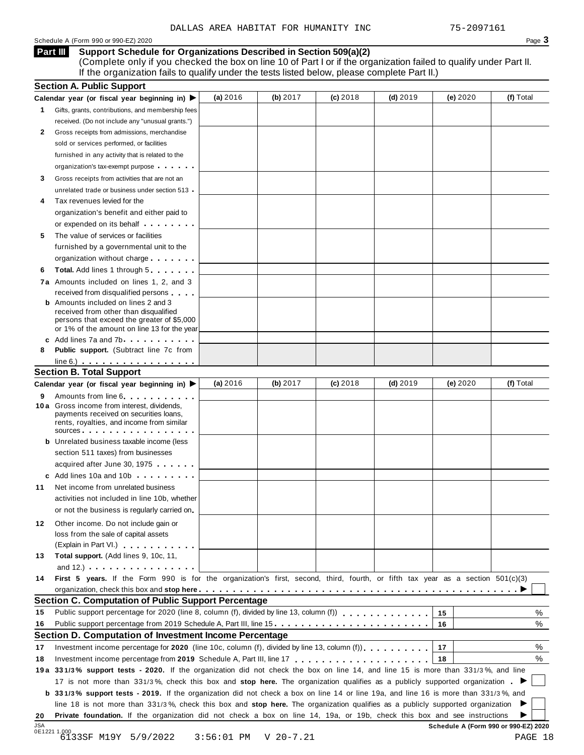#### Schedule A (Form 990 or 990-EZ) 2020 Page  $3$

**Support Schedule for Organizations Described in Section 509(a)(2) Part III**

(Complete only if you checked the box on line 10 of Part I or if the organization failed to qualify under Part II. If the organization fails to qualify under the tests listed below, please complete Part II.)

|    | <b>Section A. Public Support</b>                                                                                                                                                                                                     |            |            |            |            |            |           |
|----|--------------------------------------------------------------------------------------------------------------------------------------------------------------------------------------------------------------------------------------|------------|------------|------------|------------|------------|-----------|
|    | Calendar year (or fiscal year beginning in)                                                                                                                                                                                          | (a) $2016$ | (b) $2017$ | $(c)$ 2018 | (d) $2019$ | (e) 2020   | (f) Total |
| 1. | Gifts, grants, contributions, and membership fees                                                                                                                                                                                    |            |            |            |            |            |           |
|    | received. (Do not include any "unusual grants.")                                                                                                                                                                                     |            |            |            |            |            |           |
| 2  | Gross receipts from admissions, merchandise                                                                                                                                                                                          |            |            |            |            |            |           |
|    | sold or services performed, or facilities                                                                                                                                                                                            |            |            |            |            |            |           |
|    | furnished in any activity that is related to the                                                                                                                                                                                     |            |            |            |            |            |           |
|    | organization's tax-exempt purpose                                                                                                                                                                                                    |            |            |            |            |            |           |
| 3  | Gross receipts from activities that are not an                                                                                                                                                                                       |            |            |            |            |            |           |
|    | unrelated trade or business under section 513 .                                                                                                                                                                                      |            |            |            |            |            |           |
|    | Tax revenues levied for the                                                                                                                                                                                                          |            |            |            |            |            |           |
|    | organization's benefit and either paid to                                                                                                                                                                                            |            |            |            |            |            |           |
|    | or expended on its behalf <b>contains the set of the set of the set of the set of the set of the set of the set of the set of the set of the set of the set of the set of the set of the set of the set of the set of the set of</b> |            |            |            |            |            |           |
| 5  | The value of services or facilities                                                                                                                                                                                                  |            |            |            |            |            |           |
|    | furnished by a governmental unit to the                                                                                                                                                                                              |            |            |            |            |            |           |
|    | organization without charge                                                                                                                                                                                                          |            |            |            |            |            |           |
| 6  | <b>Total.</b> Add lines 1 through 5                                                                                                                                                                                                  |            |            |            |            |            |           |
|    | 7a Amounts included on lines 1, 2, and 3                                                                                                                                                                                             |            |            |            |            |            |           |
|    | received from disqualified persons                                                                                                                                                                                                   |            |            |            |            |            |           |
|    | <b>b</b> Amounts included on lines 2 and 3                                                                                                                                                                                           |            |            |            |            |            |           |
|    | received from other than disqualified                                                                                                                                                                                                |            |            |            |            |            |           |
|    | persons that exceed the greater of \$5,000                                                                                                                                                                                           |            |            |            |            |            |           |
|    | or 1% of the amount on line 13 for the year                                                                                                                                                                                          |            |            |            |            |            |           |
|    | c Add lines 7a and 7b contact the contact of the contact of the contact of the contact of the contact of the contact of the contact of the contact of the contact of the contact of the contact of the contact of the contact        |            |            |            |            |            |           |
| 8  | Public support. (Subtract line 7c from                                                                                                                                                                                               |            |            |            |            |            |           |
|    | $line 6.)$<br><b>Section B. Total Support</b>                                                                                                                                                                                        |            |            |            |            |            |           |
|    |                                                                                                                                                                                                                                      | (a) 2016   | (b) 2017   | $(c)$ 2018 |            |            | (f) Total |
|    | Calendar year (or fiscal year beginning in)                                                                                                                                                                                          |            |            |            | (d) $2019$ | (e) $2020$ |           |
| 9  | Amounts from line 6<br>10 a Gross income from interest, dividends,                                                                                                                                                                   |            |            |            |            |            |           |
|    | payments received on securities loans,<br>rents, royalties, and income from similar<br>SOUICES                                                                                                                                       |            |            |            |            |            |           |
|    | <b>b</b> Unrelated business taxable income (less                                                                                                                                                                                     |            |            |            |            |            |           |
|    | section 511 taxes) from businesses                                                                                                                                                                                                   |            |            |            |            |            |           |
|    | acquired after June 30, 1975                                                                                                                                                                                                         |            |            |            |            |            |           |
|    | c Add lines 10a and 10b                                                                                                                                                                                                              |            |            |            |            |            |           |
|    | Net income from unrelated business                                                                                                                                                                                                   |            |            |            |            |            |           |
| 11 |                                                                                                                                                                                                                                      |            |            |            |            |            |           |
|    | activities not included in line 10b, whether                                                                                                                                                                                         |            |            |            |            |            |           |
|    | or not the business is regularly carried on.                                                                                                                                                                                         |            |            |            |            |            |           |
| 12 | Other income. Do not include gain or                                                                                                                                                                                                 |            |            |            |            |            |           |
|    | loss from the sale of capital assets                                                                                                                                                                                                 |            |            |            |            |            |           |
|    | (Explain in Part VI.)                                                                                                                                                                                                                |            |            |            |            |            |           |
| 13 | Total support. (Add lines 9, 10c, 11,                                                                                                                                                                                                |            |            |            |            |            |           |
|    | and 12.) $\cdots$ $\cdots$ $\cdots$ $\cdots$                                                                                                                                                                                         |            |            |            |            |            |           |
| 14 | First 5 years. If the Form 990 is for the organization's first, second, third, fourth, or fifth tax year as a section $501(c)(3)$                                                                                                    |            |            |            |            |            |           |
|    |                                                                                                                                                                                                                                      |            |            |            |            |            |           |
|    | <b>Section C. Computation of Public Support Percentage</b>                                                                                                                                                                           |            |            |            |            |            |           |
| 15 |                                                                                                                                                                                                                                      |            |            |            |            | 15         | %         |
| 16 | Public support percentage from 2019 Schedule A, Part III, line 15.                                                                                                                                                                   |            |            |            |            | 16         | %         |
|    | Section D. Computation of Investment Income Percentage                                                                                                                                                                               |            |            |            |            |            |           |
| 17 | Investment income percentage for 2020 (line 10c, column (f), divided by line 13, column (f)).                                                                                                                                        |            |            |            |            | 17         | %         |
| 18 | Investment income percentage from 2019 Schedule A, Part III, line 17                                                                                                                                                                 |            |            |            |            | 18         | %         |
|    | 19a 331/3% support tests - 2020. If the organization did not check the box on line 14, and line 15 is more than 331/3%, and line                                                                                                     |            |            |            |            |            |           |
|    | 17 is not more than 331/3%, check this box and stop here. The organization qualifies as a publicly supported organization.                                                                                                           |            |            |            |            |            |           |
|    |                                                                                                                                                                                                                                      |            |            |            |            |            |           |
|    | <b>b</b> 331/3% support tests - 2019. If the organization did not check a box on line 14 or line 19a, and line 16 is more than 331/3%, and                                                                                           |            |            |            |            |            |           |
|    | line 18 is not more than 331/3%, check this box and stop here. The organization qualifies as a publicly supported organization                                                                                                       |            |            |            |            |            |           |
| 20 | Private foundation. If the organization did not check a box on line 14, 19a, or 19b, check this box and see instructions                                                                                                             |            |            |            |            |            |           |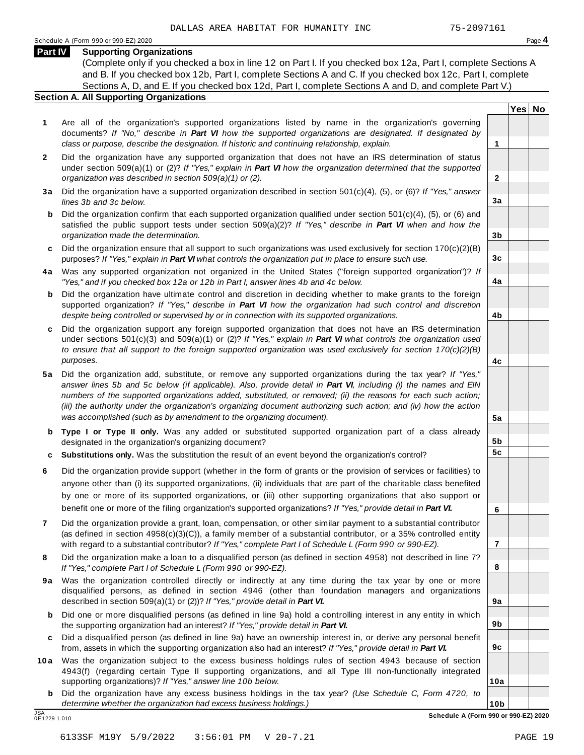**Yes No**

**2**

**3a**

**3b**

**3c**

**4a**

**4b**

**4c**

**5a**

**5b 5c**

**6**

**7**

**8**

**9a**

**9b**

**9c**

**10a**

#### **Part IV Supporting Organizations**

(Complete only if you checked a box in line 12 on Part I. If you checked box 12a, Part I, complete Sections A and B. If you checked box 12b, Part I, complete Sections A and C. If you checked box 12c, Part I, complete Sections A, D, and E. If you checked box 12d, Part I, complete Sections A and D, and complete Part V.)

#### **Section A. All Supporting Organizations**

- **1** Are all of the organization's supported organizations listed by name in the organization's governing documents? *If "No," describe in Part VI how the supported organizations are designated. If designated by class or purpose, describe the designation. If historic and continuing relationship, explain.* **1**
- **2** Did the organization have any supported organization that does not have an IRS determination of status under section 509(a)(1) or (2)? *If"Yes," explain in Part VI how the organization determined that the supported organization was described in section 509(a)(1) or (2).*
- **3 a** Did the organization have a supported organization described in section 501(c)(4), (5), or (6)? *If "Yes," answer lines 3b and 3c below.*
- **b** Did the organization confirm that each supported organization qualified under section 501(c)(4), (5), or (6) and | satisfied the public support tests under section 509(a)(2)? *If "Yes," describe in Part VI when and how the organization made the determination.*
- **c** Did the organization ensure that all support to such organizations was used exclusively for section 170(c)(2)(B) purposes? *If"Yes," explain in Part VI what controls the organization put in place to ensure such use.*
- **4 a** Was any supported organization not organized in the United States ("foreign supported organization")? *If "Yes," and if you checked box 12a or 12b in Part I, answer lines 4b and 4c below.*
- **b** Did the organization have ultimate control and discretion in deciding whether to make grants to the foreign | supported organization? *If "Yes," describe in Part VI how the organization had such control and discretion despite being controlled or supervised by or in connection with its supported organizations.*
- **c** Did the organization support any foreign supported organization that does not have an IRS determination | under sections 501(c)(3) and 509(a)(1) or (2)? *If "Yes," explain in Part VI what controls the organization used to ensure that all support to the foreign supported organization was used exclusively for section 170(c)(2)(B) purposes.*
- **5 a** Did the organization add, substitute, or remove any supported organizations during the tax year? *If "Yes,"* answer lines 5b and 5c below (if applicable). Also, provide detail in Part VI, including (i) the names and EIN *numbers of the supported organizations added, substituted, or removed; (ii) the reasons for each such action;* (iii) the authority under the organization's organizing document authorizing such action; and (iv) how the action *was accomplished (such as by amendment to the organizing document).*
- **b Type I or Type II only.** Was any added or substituted supported organization part of a class already designated in the organization's organizing document?
- **c Substitutions only.** Was the substitution the result of an event beyond the organization's control?
- **6** Did the organization provide support (whether in the form of grants or the provision of services or facilities) to anyone other than (i) its supported organizations, (ii) individuals that are part of the charitable class benefited by one or more of its supported organizations, or (iii) other supporting organizations that also support or benefit one or more of the filing organization's supported organizations? *If"Yes," provide detail in Part VI.*
- **7** Did the organization provide a grant, loan, compensation, or other similar payment to a substantial contributor (as defined in section 4958(c)(3)(C)), a family member of a substantial contributor, or a 35% controlled entity with regard to a substantial contributor? *If"Yes," complete Part I of Schedule L (Form 990 or 990-EZ).*
- **8** Did the organization make a loan to a disqualified person (as defined in section 4958) not described in line 7? *If "Yes," complete Part I of Schedule L (Form 990 or 990-EZ).*
- **9a** Was the organization controlled directly or indirectly at any time during the tax year by one or more | disqualified persons, as defined in section 4946 (other than foundation managers and organizations described in section 509(a)(1) or (2))? *If"Yes," provide detail in Part VI.*
- **b** Did one or more disqualified persons (as defined in line 9a) hold a controlling interest in any entity in which | the supporting organization had an interest? *If"Yes," provide detail in Part VI.*
- **c** Did a disqualified person (as defined in line 9a) have an ownership interest in, or derive any personal benefit from, assets in which the supporting organization also had an interest? *If"Yes," provide detail in Part VI.*
- **10a** Was the organization subject to the excess business holdings rules of section 4943 because of section | 4943(f) (regarding certain Type II supporting organizations, and all Type III non-functionally integrated supporting organizations)? *If"Yes," answer line 10b below.*
	- **b** Did the organization have any excess business holdings in the tax year? *(Use Schedule C, Form 4720, to determine whether the organization had excess business holdings.)*

0E1229 1.010

**10b** JSA **Schedule A (Form 990 or 990-EZ) 2020**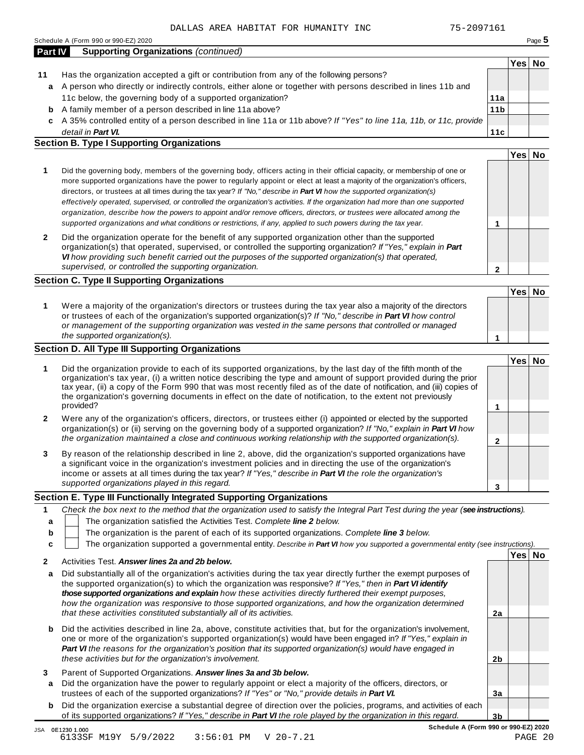| <b>Part IV</b> | <b>Supporting Organizations (continued)</b>                                                                        |                 |      |    |
|----------------|--------------------------------------------------------------------------------------------------------------------|-----------------|------|----|
|                |                                                                                                                    |                 | res. | No |
| 11             | Has the organization accepted a gift or contribution from any of the following persons?                            |                 |      |    |
| a              | A person who directly or indirectly controls, either alone or together with persons described in lines 11b and     |                 |      |    |
|                | 11c below, the governing body of a supported organization?                                                         | 11a             |      |    |
| b              | A family member of a person described in line 11a above?                                                           | 11 <sub>b</sub> |      |    |
| C.             | A 35% controlled entity of a person described in line 11a or 11b above? If "Yes" to line 11a, 11b, or 11c, provide |                 |      |    |
|                | detail in Part VI.                                                                                                 | 11c             |      |    |

Schedule <sup>A</sup> (Form <sup>990</sup> or 990-EZ) <sup>2020</sup> Page **5**

#### **Section B. Type I Supporting Organizations**

|                                                                                                                                                                                                                                                                                                                                                                                                                                                                                                                                                                                                                                                                                                                                                                                 |   | Yesl |  |
|---------------------------------------------------------------------------------------------------------------------------------------------------------------------------------------------------------------------------------------------------------------------------------------------------------------------------------------------------------------------------------------------------------------------------------------------------------------------------------------------------------------------------------------------------------------------------------------------------------------------------------------------------------------------------------------------------------------------------------------------------------------------------------|---|------|--|
| Did the governing body, members of the governing body, officers acting in their official capacity, or membership of one or<br>more supported organizations have the power to regularly appoint or elect at least a majority of the organization's officers,<br>directors, or trustees at all times during the tax year? If "No," describe in <b>Part VI</b> how the supported organization(s)<br>effectively operated, supervised, or controlled the organization's activities. If the organization had more than one supported<br>organization, describe how the powers to appoint and/or remove officers, directors, or trustees were allocated among the<br>supported organizations and what conditions or restrictions, if any, applied to such powers during the tax year. |   |      |  |
| Did the organization operate for the benefit of any supported organization other than the supported<br>organization(s) that operated, supervised, or controlled the supporting organization? If "Yes," explain in Part<br>VI how providing such benefit carried out the purposes of the supported organization(s) that operated,<br>supervised, or controlled the supporting organization.                                                                                                                                                                                                                                                                                                                                                                                      | ົ |      |  |

#### **Section C. Type II Supporting Organizations**

|                                                                                                                                                                                                                                                                                                                                                                               | 'Yes∣ No |  |
|-------------------------------------------------------------------------------------------------------------------------------------------------------------------------------------------------------------------------------------------------------------------------------------------------------------------------------------------------------------------------------|----------|--|
| Were a majority of the organization's directors or trustees during the tax year also a majority of the directors<br>or trustees of each of the organization's supported organization(s)? If "No," describe in Part VI how control<br>or management of the supporting organization was vested in the same persons that controlled or managed<br>the supported organization(s). |          |  |

#### **Section D. All Type III Supporting Organizations**

|              |                                                                                                                                                                                                                                                                                                                                                                                                                                                                                          | Yes⊺ |  |
|--------------|------------------------------------------------------------------------------------------------------------------------------------------------------------------------------------------------------------------------------------------------------------------------------------------------------------------------------------------------------------------------------------------------------------------------------------------------------------------------------------------|------|--|
|              | Did the organization provide to each of its supported organizations, by the last day of the fifth month of the<br>organization's tax year, (i) a written notice describing the type and amount of support provided during the prior<br>tax year, (ii) a copy of the Form 990 that was most recently filed as of the date of notification, and (iii) copies of<br>the organization's governing documents in effect on the date of notification, to the extent not previously<br>provided? |      |  |
| $\mathbf{2}$ | Were any of the organization's officers, directors, or trustees either (i) appointed or elected by the supported<br>organization(s) or (ii) serving on the governing body of a supported organization? If "No," explain in <b>Part VI</b> how<br>the organization maintained a close and continuous working relationship with the supported organization(s).                                                                                                                             |      |  |
| 3            | By reason of the relationship described in line 2, above, did the organization's supported organizations have<br>a significant voice in the organization's investment policies and in directing the use of the organization's<br>income or assets at all times during the tax year? If "Yes," describe in Part VI the role the organization's                                                                                                                                            |      |  |
|              | supported organizations played in this regard.                                                                                                                                                                                                                                                                                                                                                                                                                                           |      |  |

#### **Section E. Type III Functionally Integrated Supporting Organizations**

|    | Check the box next to the method that the organization used to satisfy the Integral Part Test during the year (see instructions). |                                                |     |    |  |  |
|----|-----------------------------------------------------------------------------------------------------------------------------------|------------------------------------------------|-----|----|--|--|
|    | The organization satisfied the Activities Test. Complete line 2 below.                                                            |                                                |     |    |  |  |
| b  | The organization is the parent of each of its supported organizations. Complete line 3 below.                                     |                                                |     |    |  |  |
| C. | The organization supported a governmental entity. Describe in Part VI how you supported a governmental entity (see instructions). |                                                |     |    |  |  |
|    |                                                                                                                                   |                                                | Yes | No |  |  |
|    |                                                                                                                                   | Activities Test. Answer lines 2a and 2b below. |     |    |  |  |

|   | AUUULUGA TGAL <b>ANAWGI INGA ZO ONU ZU DGIUW.</b>                                                                                                                                                                                                                                                                                                                                                                                                                |    |  |
|---|------------------------------------------------------------------------------------------------------------------------------------------------------------------------------------------------------------------------------------------------------------------------------------------------------------------------------------------------------------------------------------------------------------------------------------------------------------------|----|--|
| a | Did substantially all of the organization's activities during the tax year directly further the exempt purposes of<br>the supported organization(s) to which the organization was responsive? If "Yes," then in <b>Part VI identify</b><br>those supported organizations and explain how these activities directly furthered their exempt purposes,<br>how the organization was responsive to those supported organizations, and how the organization determined |    |  |
|   | that these activities constituted substantially all of its activities.                                                                                                                                                                                                                                                                                                                                                                                           | 2a |  |
|   | <b>b</b> Did the activities described in line 2a, above, constitute activities that, but for the organization's involvement,<br>one or more of the organization's supported organization(s) would have been engaged in? If "Yes," explain in<br><b>Part VI</b> the reasons for the organization's position that its supported organization(s) would have engaged in<br>these activities but for the organization's involvement.                                  | 2b |  |
|   |                                                                                                                                                                                                                                                                                                                                                                                                                                                                  |    |  |
| 3 | Parent of Supported Organizations. Answer lines 3a and 3b below.                                                                                                                                                                                                                                                                                                                                                                                                 |    |  |
| a | Did the organization have the power to regularly appoint or elect a majority of the officers, directors, or                                                                                                                                                                                                                                                                                                                                                      |    |  |
|   | trustees of each of the supported organizations? If "Yes" or "No," provide details in Part VI.                                                                                                                                                                                                                                                                                                                                                                   | 3a |  |
| b | Did the organization exercise a substantial degree of direction over the policies, programs, and activities of each                                                                                                                                                                                                                                                                                                                                              |    |  |
|   | of its supported organizations? If "Yes," describe in <b>Part VI</b> the role played by the organization in this regard.                                                                                                                                                                                                                                                                                                                                         | 3b |  |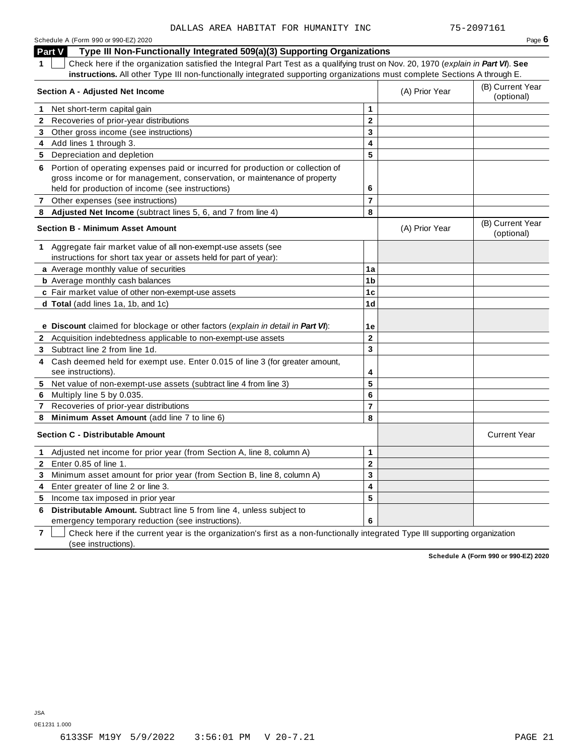| Schedule A (Form 990 or 990-EZ) 2020 | Page $6$ |
|--------------------------------------|----------|
|--------------------------------------|----------|

**Part V Type III Non-Functionally Integrated 509(a)(3) Supporting Organizations**

**1** Check here if the organization satisfied the Integral Part Test as a qualifying trust on Nov. 20, 1970 (*explain in Part VI*). **See instructions.** All other Type III non-functionally integrated supporting organizations must complete Sections A through E.

| <b>Section A - Adjusted Net Income</b> |                                                                                                                           | (A) Prior Year          | (B) Current Year<br>(optional) |                                |
|----------------------------------------|---------------------------------------------------------------------------------------------------------------------------|-------------------------|--------------------------------|--------------------------------|
|                                        | 1 Net short-term capital gain                                                                                             | 1                       |                                |                                |
|                                        | 2 Recoveries of prior-year distributions                                                                                  | $\mathbf{2}$            |                                |                                |
|                                        | 3 Other gross income (see instructions)                                                                                   | 3                       |                                |                                |
|                                        | 4 Add lines 1 through 3.                                                                                                  | 4                       |                                |                                |
|                                        | 5 Depreciation and depletion                                                                                              | 5                       |                                |                                |
|                                        | 6 Portion of operating expenses paid or incurred for production or collection of                                          |                         |                                |                                |
|                                        | gross income or for management, conservation, or maintenance of property                                                  |                         |                                |                                |
|                                        | held for production of income (see instructions)                                                                          | 6                       |                                |                                |
| $\mathbf{7}$                           | Other expenses (see instructions)                                                                                         | $\overline{7}$          |                                |                                |
|                                        | 8 Adjusted Net Income (subtract lines 5, 6, and 7 from line 4)                                                            | 8                       |                                |                                |
|                                        | <b>Section B - Minimum Asset Amount</b>                                                                                   |                         | (A) Prior Year                 | (B) Current Year<br>(optional) |
|                                        | 1 Aggregate fair market value of all non-exempt-use assets (see                                                           |                         |                                |                                |
|                                        | instructions for short tax year or assets held for part of year):                                                         |                         |                                |                                |
|                                        | a Average monthly value of securities                                                                                     | 1a                      |                                |                                |
|                                        | <b>b</b> Average monthly cash balances                                                                                    | 1 <sub>b</sub>          |                                |                                |
|                                        | c Fair market value of other non-exempt-use assets                                                                        | 1 <sub>c</sub>          |                                |                                |
|                                        | d Total (add lines 1a, 1b, and 1c)                                                                                        | 1 <sub>d</sub>          |                                |                                |
|                                        | e Discount claimed for blockage or other factors (explain in detail in Part VI):                                          | 1e                      |                                |                                |
|                                        | 2 Acquisition indebtedness applicable to non-exempt-use assets                                                            | $\overline{2}$          |                                |                                |
|                                        | 3 Subtract line 2 from line 1d.                                                                                           | $\overline{\mathbf{3}}$ |                                |                                |
|                                        | 4 Cash deemed held for exempt use. Enter 0.015 of line 3 (for greater amount,<br>see instructions).                       | 4                       |                                |                                |
| 5                                      | Net value of non-exempt-use assets (subtract line 4 from line 3)                                                          | 5                       |                                |                                |
| 6                                      | Multiply line 5 by 0.035.                                                                                                 | 6                       |                                |                                |
| $\mathbf{7}$                           | Recoveries of prior-year distributions                                                                                    | $\overline{7}$          |                                |                                |
| 8                                      | Minimum Asset Amount (add line 7 to line 6)                                                                               | 8                       |                                |                                |
|                                        | <b>Section C - Distributable Amount</b>                                                                                   |                         |                                | <b>Current Year</b>            |
| $\mathbf 1$                            | Adjusted net income for prior year (from Section A, line 8, column A)                                                     | $\mathbf{1}$            |                                |                                |
| $2^{\circ}$                            | Enter 0.85 of line 1.                                                                                                     | $\mathbf{2}$            |                                |                                |
| 3                                      | Minimum asset amount for prior year (from Section B, line 8, column A)                                                    | 3                       |                                |                                |
| 4                                      | Enter greater of line 2 or line 3.                                                                                        | 4                       |                                |                                |
|                                        | 5 Income tax imposed in prior year                                                                                        | 5                       |                                |                                |
| 6                                      | Distributable Amount. Subtract line 5 from line 4, unless subject to<br>emergency temporary reduction (see instructions). | 6                       |                                |                                |

**7** Check here if the current year is the organization's first as a non-functionally integrated Type III supporting organization (see instructions).

**Schedule A (Form 990 or 990-EZ) 2020**

JSA

0E1231 1.000 6133SF M19Y 5/9/2022 3:56:01 PM V 20-7.21 PAGE 21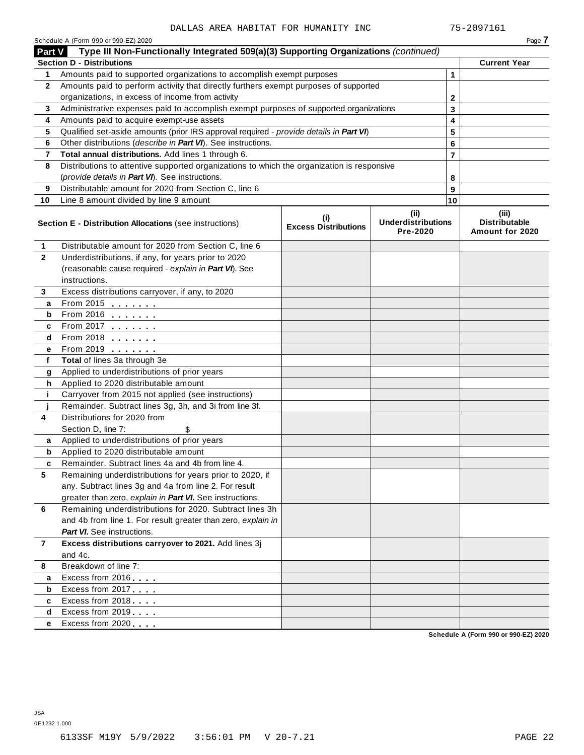|                | Schedule A (Form 990 or 990-EZ) 2020                                                       |                                    |                                               |                | Page 7                                    |
|----------------|--------------------------------------------------------------------------------------------|------------------------------------|-----------------------------------------------|----------------|-------------------------------------------|
| Part V         | Type III Non-Functionally Integrated 509(a)(3) Supporting Organizations (continued)        |                                    |                                               |                |                                           |
|                | <b>Section D - Distributions</b>                                                           |                                    |                                               |                | <b>Current Year</b>                       |
| 1.             | Amounts paid to supported organizations to accomplish exempt purposes                      |                                    |                                               | $\mathbf{1}$   |                                           |
| $\mathbf{2}$   | Amounts paid to perform activity that directly furthers exempt purposes of supported       |                                    |                                               |                |                                           |
|                | organizations, in excess of income from activity                                           |                                    |                                               | $\mathbf{2}$   |                                           |
| 3              | Administrative expenses paid to accomplish exempt purposes of supported organizations      |                                    |                                               | 3              |                                           |
| 4              | Amounts paid to acquire exempt-use assets                                                  |                                    |                                               | 4              |                                           |
| 5              | Qualified set-aside amounts (prior IRS approval required - provide details in Part VI)     |                                    |                                               | 5              |                                           |
| 6              | Other distributions (describe in Part VI). See instructions.                               |                                    |                                               | 6              |                                           |
| 7              | Total annual distributions. Add lines 1 through 6.                                         |                                    |                                               | $\overline{7}$ |                                           |
| 8              | Distributions to attentive supported organizations to which the organization is responsive |                                    |                                               |                |                                           |
|                | (provide details in Part VI). See instructions.                                            |                                    |                                               | 8              |                                           |
| 9              | Distributable amount for 2020 from Section C, line 6                                       |                                    |                                               | 9              |                                           |
| 10             | Line 8 amount divided by line 9 amount                                                     |                                    |                                               | 10             |                                           |
|                | <b>Section E - Distribution Allocations (see instructions)</b>                             | (i)<br><b>Excess Distributions</b> | (ii)<br><b>Underdistributions</b><br>Pre-2020 |                | (iii)<br>Distributable<br>Amount for 2020 |
| 1              | Distributable amount for 2020 from Section C, line 6                                       |                                    |                                               |                |                                           |
| $\overline{2}$ | Underdistributions, if any, for years prior to 2020                                        |                                    |                                               |                |                                           |
|                | (reasonable cause required - explain in Part VI). See                                      |                                    |                                               |                |                                           |
|                | instructions.                                                                              |                                    |                                               |                |                                           |
| 3              | Excess distributions carryover, if any, to 2020                                            |                                    |                                               |                |                                           |
| а              | From 2015                                                                                  |                                    |                                               |                |                                           |
| b              |                                                                                            |                                    |                                               |                |                                           |
| c              | From 2017                                                                                  |                                    |                                               |                |                                           |
| d              |                                                                                            |                                    |                                               |                |                                           |
| е              | From 2019                                                                                  |                                    |                                               |                |                                           |
| f              | Total of lines 3a through 3e                                                               |                                    |                                               |                |                                           |
| g              | Applied to underdistributions of prior years                                               |                                    |                                               |                |                                           |
| h              | Applied to 2020 distributable amount                                                       |                                    |                                               |                |                                           |
| j.             | Carryover from 2015 not applied (see instructions)                                         |                                    |                                               |                |                                           |
|                | Remainder. Subtract lines 3g, 3h, and 3i from line 3f.                                     |                                    |                                               |                |                                           |
| 4              | Distributions for 2020 from                                                                |                                    |                                               |                |                                           |
|                | Section D, line 7:                                                                         |                                    |                                               |                |                                           |
| a              | Applied to underdistributions of prior years                                               |                                    |                                               |                |                                           |
| b              | Applied to 2020 distributable amount                                                       |                                    |                                               |                |                                           |
|                | Remainder. Subtract lines 4a and 4b from line 4.                                           |                                    |                                               |                |                                           |
| 5              | Remaining underdistributions for years prior to 2020, if                                   |                                    |                                               |                |                                           |
|                | any. Subtract lines 3g and 4a from line 2. For result                                      |                                    |                                               |                |                                           |
|                | greater than zero, explain in Part VI. See instructions.                                   |                                    |                                               |                |                                           |
| 6              | Remaining underdistributions for 2020. Subtract lines 3h                                   |                                    |                                               |                |                                           |
|                | and 4b from line 1. For result greater than zero, explain in                               |                                    |                                               |                |                                           |
|                | <b>Part VI.</b> See instructions.                                                          |                                    |                                               |                |                                           |
| $\mathbf{7}$   | Excess distributions carryover to 2021. Add lines 3j<br>and 4c.                            |                                    |                                               |                |                                           |
|                |                                                                                            |                                    |                                               |                |                                           |
| 8              | Breakdown of line 7:                                                                       |                                    |                                               |                |                                           |
| a              | Excess from 2016                                                                           |                                    |                                               |                |                                           |
| b              | Excess from 2017                                                                           |                                    |                                               |                |                                           |
| c              | Excess from 2018<br>Excess from 2019                                                       |                                    |                                               |                |                                           |
| d              |                                                                                            |                                    |                                               |                |                                           |
| е              | Excess from 2020                                                                           |                                    |                                               |                | Schodule A (Form 990 or 990-F7) 2020      |

**Schedule A (Form 990 or 990-EZ) 2020**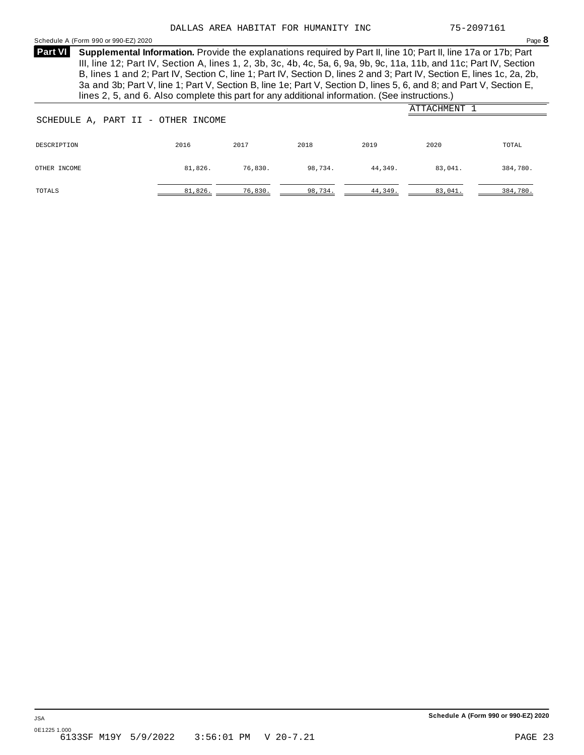<span id="page-20-0"></span>Schedule <sup>A</sup> (Form <sup>990</sup> or 990-EZ) <sup>2020</sup> Page **8**

**Supplemental Information.** Provide the explanations required by Part II, line 10; Part II, line 17a or 17b; Part **Part VI** III, line 12; Part IV, Section A, lines 1, 2, 3b, 3c, 4b, 4c, 5a, 6, 9a, 9b, 9c, 11a, 11b, and 11c; Part IV, Section B, lines 1 and 2; Part IV, Section C, line 1; Part IV, Section D, lines 2 and 3; Part IV, Section E, lines 1c, 2a, 2b, 3a and 3b; Part V, line 1; Part V, Section B, line 1e; Part V, Section D, lines 5, 6, and 8; and Part V, Section E, lines 2, 5, and 6. Also complete this part for any additional information. (See instructions.)

| SCHEDULE A, PART II - OTHER INCOME |         |         |         |         | ATTACHMENT |          |
|------------------------------------|---------|---------|---------|---------|------------|----------|
| DESCRIPTION                        | 2016    | 2017    | 2018    | 2019    | 2020       | TOTAL    |
| OTHER INCOME                       | 81,826. | 76,830. | 98,734. | 44,349. | 83,041.    | 384,780. |
| TOTALS                             | 81,826. | 76,830. | 98,734. | 44,349. | 83,041.    | 384,780. |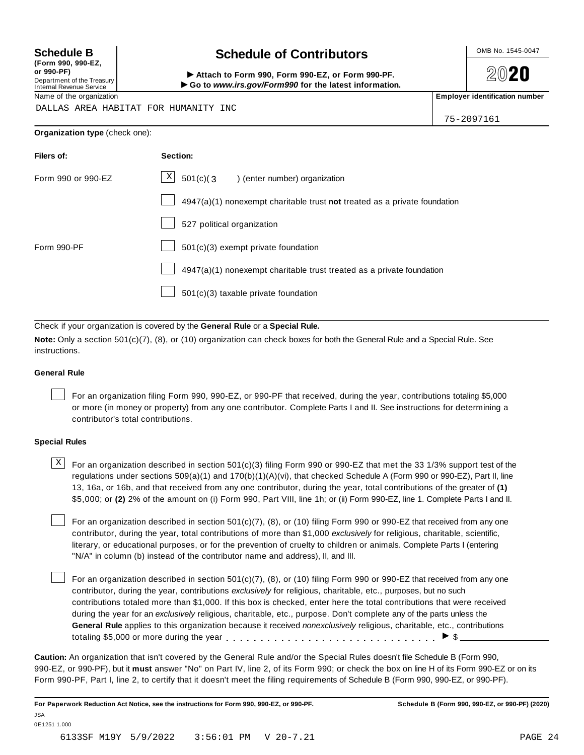**(Form 990, 990-EZ, or 990-PF)** Department of the Treasury<br>Internal Revenue Service

### **Schedule B chedule of Contributors**

(Form 990, 990-EZ,<br>
or 990-PF,<br>
Department of the Treasury **COLOCY**<br>
Internal Revenue Service **COLOCY**<br>
Name of the organization<br>
Name of the organization



DALLAS AREA HABITAT FOR HUMANITY INC

75-2097161

#### **Organization type** (check one):

| Filers of:         | Section:                                                                    |
|--------------------|-----------------------------------------------------------------------------|
| Form 990 or 990-EZ | $\mathbf{X}$<br>501(c)(3<br>enter number) organization                      |
|                    | $4947(a)(1)$ nonexempt charitable trust not treated as a private foundation |
|                    | 527 political organization                                                  |
| Form 990-PF        | $501(c)(3)$ exempt private foundation                                       |
|                    | 4947(a)(1) nonexempt charitable trust treated as a private foundation       |
|                    | 501(c)(3) taxable private foundation                                        |

Check if your organization is covered by the **General Rule** or a **Special Rule.**

**Note:** Only a section 501(c)(7), (8), or (10) organization can check boxes for both the General Rule and a Special Rule. See instructions.

#### **General Rule**

For an organization filing Form 990, 990-EZ, or 990-PF that received, during the year, contributions totaling \$5,000 or more (in money or property) from any one contributor. Complete Parts I and II. See instructions for determining a contributor's total contributions.

#### **Special Rules**

 $\text{X}$  For an organization described in section 501(c)(3) filing Form 990 or 990-EZ that met the 33 1/3% support test of the regulations under sections 509(a)(1) and 170(b)(1)(A)(vi), that checked Schedule A (Form 990 or 990-EZ), Part II, line 13, 16a, or 16b, and that received from any one contributor, during the year, total contributions of the greater of **(1)** \$5,000; or **(2)** 2% of the amount on (i) Form 990, Part VIII, line 1h; or (ii) Form 990-EZ, line 1. Complete Parts I and II.

For an organization described in section 501(c)(7), (8), or (10) filing Form 990 or 990-EZ that received from any one contributor, during the year, total contributions of more than \$1,000 *exclusively* for religious, charitable, scientific, literary, or educational purposes, or for the prevention of cruelty to children or animals. Complete Parts I (entering "N/A" in column (b) instead of the contributor name and address), II, and III.

For an organization described in section 501(c)(7), (8), or (10) filing Form 990 or 990-EZ that received from any one contributor, during the year, contributions *exclusively* for religious, charitable, etc., purposes, but no such contributions totaled more than \$1,000. If this box is checked, enter here the total contributions that were received during the year for an *exclusively* religious, charitable, etc., purpose. Don't complete any of the parts unless the **General Rule** applies to this organization because it received *nonexclusively* religious, charitable, etc., contributions totaling \$5,000 or more during the year  $\ldots \ldots \ldots \ldots \ldots \ldots \ldots \ldots \ldots \vdots$ 

**Caution:** An organization that isn't covered by the General Rule and/or the Special Rules doesn't file Schedule B (Form 990, 990-EZ, or 990-PF), but it **must** answer "No" on Part IV, line 2, of its Form 990; or check the box on line H of its Form 990-EZ or on its Form 990-PF, Part I, line 2, to certify that it doesn't meet the filing requirements of Schedule B (Form 990, 990-EZ, or 990-PF).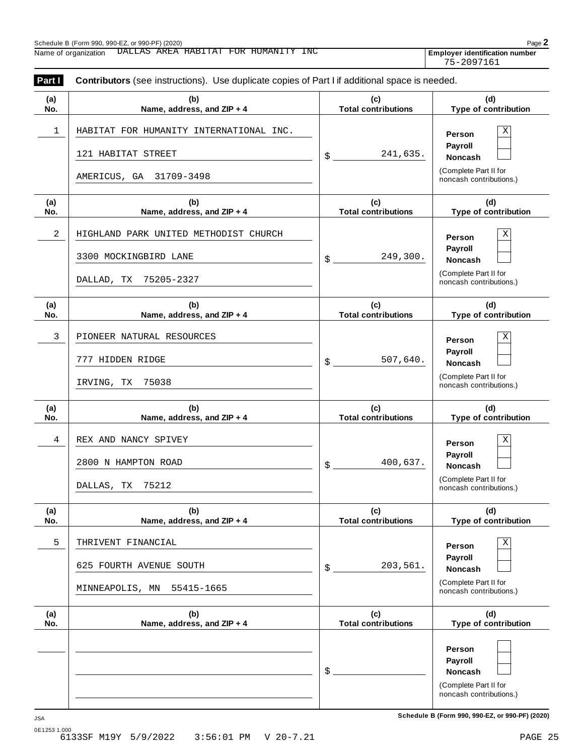| Part I     | <b>Contributors</b> (see instructions). Use duplicate copies of Part I if additional space is needed. |                                   |                                                                                         |
|------------|-------------------------------------------------------------------------------------------------------|-----------------------------------|-----------------------------------------------------------------------------------------|
| (a)<br>No. | (b)<br>Name, address, and ZIP + 4                                                                     | (c)<br><b>Total contributions</b> | (d)<br>Type of contribution                                                             |
| 1          | HABITAT FOR HUMANITY INTERNATIONAL INC.<br>121 HABITAT STREET                                         | 241,635.<br>\$                    | X<br>Person<br>Payroll<br><b>Noncash</b>                                                |
|            | AMERICUS, GA 31709-3498                                                                               |                                   | (Complete Part II for<br>noncash contributions.)                                        |
| (a)<br>No. | (b)<br>Name, address, and ZIP + 4                                                                     | (c)<br><b>Total contributions</b> | (d)<br>Type of contribution                                                             |
| 2          | HIGHLAND PARK UNITED METHODIST CHURCH                                                                 |                                   | X<br>Person                                                                             |
|            | 3300 MOCKINGBIRD LANE                                                                                 | 249,300.<br>\$                    | Payroll<br><b>Noncash</b>                                                               |
|            | 75205-2327<br>DALLAD, TX                                                                              |                                   | (Complete Part II for<br>noncash contributions.)                                        |
| (a)<br>No. | (b)<br>Name, address, and ZIP + 4                                                                     | (c)<br><b>Total contributions</b> | (d)<br>Type of contribution                                                             |
| 3          | PIONEER NATURAL RESOURCES                                                                             |                                   | Χ<br>Person                                                                             |
|            | 777 HIDDEN RIDGE                                                                                      | 507,640.<br>\$                    | Payroll<br><b>Noncash</b>                                                               |
|            | 75038<br>IRVING, TX                                                                                   |                                   | (Complete Part II for<br>noncash contributions.)                                        |
| (a)<br>No. | (b)<br>Name, address, and ZIP + 4                                                                     | (c)<br><b>Total contributions</b> | (d)<br>Type of contribution                                                             |
| 4          | REX AND NANCY SPIVEY                                                                                  |                                   | Χ<br>Person                                                                             |
|            | 2800 N HAMPTON ROAD                                                                                   | 400,637.<br>\$                    | Payroll<br><b>Noncash</b>                                                               |
|            | 75212<br>DALLAS, TX                                                                                   |                                   | (Complete Part II for<br>noncash contributions.)                                        |
| (a)<br>No. | (b)<br>Name, address, and ZIP + 4                                                                     | (c)<br><b>Total contributions</b> | (d)<br><b>Type of contribution</b>                                                      |
| 5          | THRIVENT FINANCIAL                                                                                    |                                   | Χ<br>Person                                                                             |
|            | 625 FOURTH AVENUE SOUTH                                                                               | 203,561.<br>\$                    | Payroll<br><b>Noncash</b>                                                               |
|            | 55415-1665<br>MINNEAPOLIS, MN                                                                         |                                   | (Complete Part II for<br>noncash contributions.)                                        |
| (a)<br>No. | (b)<br>Name, address, and ZIP + 4                                                                     | (c)<br><b>Total contributions</b> | (d)<br>Type of contribution                                                             |
|            |                                                                                                       | \$                                | Person<br>Payroll<br><b>Noncash</b><br>(Complete Part II for<br>noncash contributions.) |

**Schedule B (Form 990, 990-EZ, or 990-PF) (2020)** JSA 0E1253 1.000 6133SF M19Y 5/9/2022 3:56:01 PM V 20-7.21 PAGE 25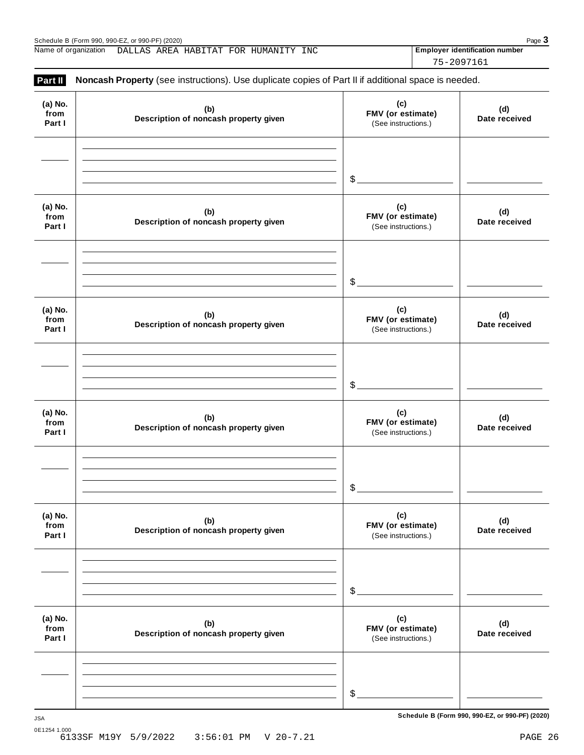Schedule B (Form 990, 990-EZ, or 990-PF) (2020)<br>Name of organization DALLAS AREA HABITAT FOR HUMANITY INC **Proper teams** | Employer identification number Name of organization **Employer identification number** DALLAS AREA HABITAT FOR HUMANITY INC

75-2097161

| (a) No.<br>from<br>Part I | (b)<br>Description of noncash property given | (c)<br>FMV (or estimate)<br>(See instructions.) | (d)<br>Date received |
|---------------------------|----------------------------------------------|-------------------------------------------------|----------------------|
|                           |                                              | $\frac{1}{2}$                                   |                      |
| (a) No.<br>from<br>Part I | (b)<br>Description of noncash property given | (c)<br>FMV (or estimate)<br>(See instructions.) | (d)<br>Date received |
|                           |                                              | $\frac{1}{2}$                                   |                      |
| (a) No.<br>from<br>Part I | (b)<br>Description of noncash property given | (c)<br>FMV (or estimate)<br>(See instructions.) | (d)<br>Date received |
|                           |                                              | $\delta$                                        |                      |
| (a) No.<br>from<br>Part I | (b)<br>Description of noncash property given | (c)<br>FMV (or estimate)<br>(See instructions.) | (d)<br>Date received |
|                           |                                              | \$                                              |                      |
| (a) No.<br>from<br>Part I | (b)<br>Description of noncash property given | (c)<br>FMV (or estimate)<br>(See instructions.) | (d)<br>Date received |
|                           |                                              | \$                                              |                      |
| (a) No.<br>from<br>Part I | (b)<br>Description of noncash property given | (c)<br>FMV (or estimate)<br>(See instructions.) | (d)<br>Date received |
|                           |                                              |                                                 |                      |
|                           |                                              | \$                                              |                      |

**Schedule B (Form 990, 990-EZ, or 990-PF) (2020)** JSA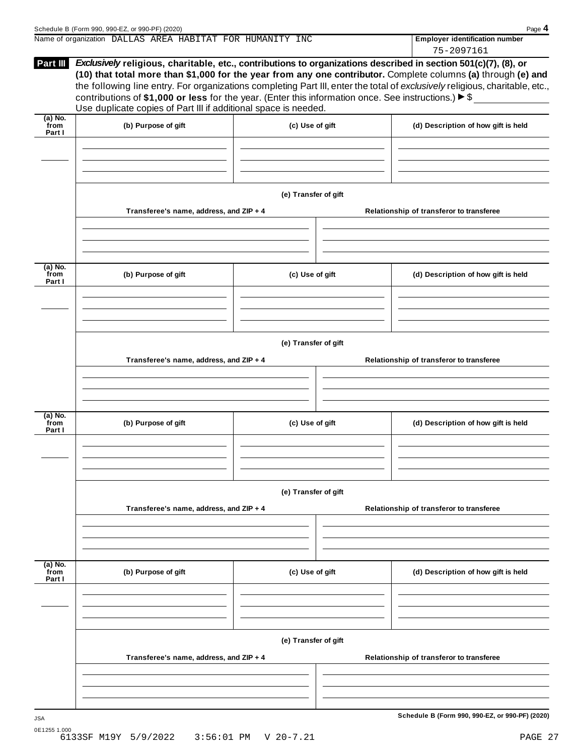|                             | Name of organization DALLAS AREA HABITAT FOR HUMANITY INC                                                                                                                                                                                                                                                      |                      | <b>Employer identification number</b><br>75-2097161                                                                                                                                                                                           |
|-----------------------------|----------------------------------------------------------------------------------------------------------------------------------------------------------------------------------------------------------------------------------------------------------------------------------------------------------------|----------------------|-----------------------------------------------------------------------------------------------------------------------------------------------------------------------------------------------------------------------------------------------|
| Part III                    | Exclusively religious, charitable, etc., contributions to organizations described in section 501(c)(7), (8), or<br>contributions of \$1,000 or less for the year. (Enter this information once. See instructions.) $\blacktriangleright$ \$<br>Use duplicate copies of Part III if additional space is needed. |                      | (10) that total more than \$1,000 for the year from any one contributor. Complete columns (a) through (e) and<br>the following line entry. For organizations completing Part III, enter the total of exclusively religious, charitable, etc., |
| (a) No.<br>from<br>Part I   | (b) Purpose of gift                                                                                                                                                                                                                                                                                            | (c) Use of gift      | (d) Description of how gift is held                                                                                                                                                                                                           |
|                             | Transferee's name, address, and ZIP + 4                                                                                                                                                                                                                                                                        | (e) Transfer of gift | Relationship of transferor to transferee                                                                                                                                                                                                      |
|                             |                                                                                                                                                                                                                                                                                                                |                      |                                                                                                                                                                                                                                               |
| (a) No.<br>from<br>Part I   | (b) Purpose of gift                                                                                                                                                                                                                                                                                            | (c) Use of gift      | (d) Description of how gift is held                                                                                                                                                                                                           |
|                             | Transferee's name, address, and ZIP + 4                                                                                                                                                                                                                                                                        | (e) Transfer of gift | Relationship of transferor to transferee                                                                                                                                                                                                      |
| (a) No.<br>from<br>Part I   | (b) Purpose of gift                                                                                                                                                                                                                                                                                            | (c) Use of gift      | (d) Description of how gift is held                                                                                                                                                                                                           |
|                             | Transferee's name, address, and ZIP + 4                                                                                                                                                                                                                                                                        | (e) Transfer of gift | Relationship of transferor to transferee                                                                                                                                                                                                      |
|                             | (b) Purpose of gift                                                                                                                                                                                                                                                                                            | (c) Use of gift      | (d) Description of how gift is held                                                                                                                                                                                                           |
| $(a)$ No.<br>from<br>Part I |                                                                                                                                                                                                                                                                                                                |                      |                                                                                                                                                                                                                                               |

**(e) Transfer of gift**

**Transferee's name, address, and ZIP + 4 Relationship of transferor to transferee**

**Schedule B (Form 990, 990-EZ, or 990-PF) (2020)** JSA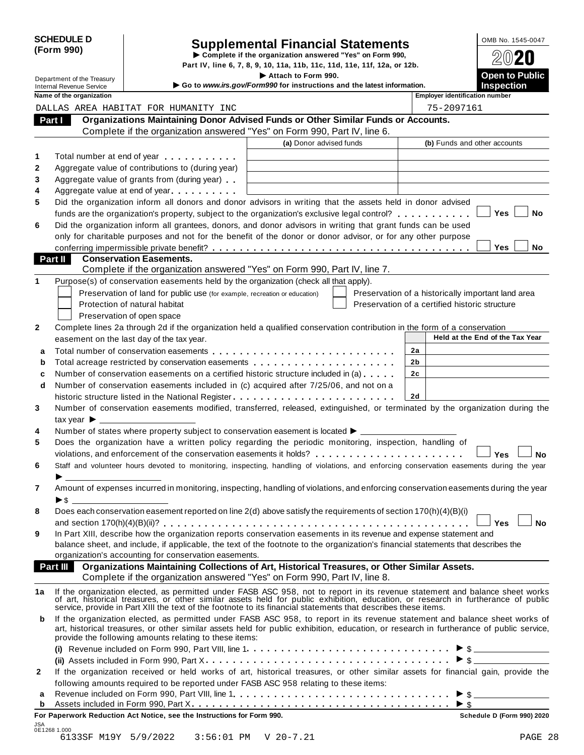|            | <b>SCHEDULE D</b> |
|------------|-------------------|
| (Form 990) |                   |

# SCHEDULE D<br>
Supplemental Financial Statements<br>
Form 990)<br>
Part IV, line 6, 7, 8, 9, 10, 11a, 11b, 11c, 11d, 11e, 11f, 12a, or 12b.<br>
Part IV, line 6, 7, 8, 9, 10, 11a, 11b, 11c, 11d, 11e, 11f, 12a, or 12b.

|    |                                                               |                                                                                                                                                                                                                                                                                                                                                     | Part IV, line 6, 7, 8, 9, 10, 11a, 11b, 11c, 11d, 11e, 11f, 12a, or 12b.                      |                |                                                    |
|----|---------------------------------------------------------------|-----------------------------------------------------------------------------------------------------------------------------------------------------------------------------------------------------------------------------------------------------------------------------------------------------------------------------------------------------|-----------------------------------------------------------------------------------------------|----------------|----------------------------------------------------|
|    | Department of the Treasury<br><b>Internal Revenue Service</b> |                                                                                                                                                                                                                                                                                                                                                     | Attach to Form 990.<br>Go to www.irs.gov/Form990 for instructions and the latest information. |                | <b>Open to Public</b><br><b>Inspection</b>         |
|    | Name of the organization                                      |                                                                                                                                                                                                                                                                                                                                                     |                                                                                               |                | <b>Employer identification number</b>              |
|    |                                                               | DALLAS AREA HABITAT FOR HUMANITY INC                                                                                                                                                                                                                                                                                                                |                                                                                               |                | 75-2097161                                         |
|    | Part I                                                        | Organizations Maintaining Donor Advised Funds or Other Similar Funds or Accounts.                                                                                                                                                                                                                                                                   |                                                                                               |                |                                                    |
|    |                                                               | Complete if the organization answered "Yes" on Form 990, Part IV, line 6.                                                                                                                                                                                                                                                                           |                                                                                               |                |                                                    |
|    |                                                               |                                                                                                                                                                                                                                                                                                                                                     | (a) Donor advised funds                                                                       |                | (b) Funds and other accounts                       |
| 1  |                                                               | Total number at end of year entitled as a set of the set of the set of the set of the set of the set of the set of the set of the set of the set of the set of the set of the set of the set of the set of the set of the set                                                                                                                       |                                                                                               |                |                                                    |
| 2  |                                                               | Aggregate value of contributions to (during year)                                                                                                                                                                                                                                                                                                   |                                                                                               |                |                                                    |
| 3  |                                                               | Aggregate value of grants from (during year)                                                                                                                                                                                                                                                                                                        |                                                                                               |                |                                                    |
| 4  |                                                               | Aggregate value at end of year                                                                                                                                                                                                                                                                                                                      |                                                                                               |                |                                                    |
| 5  |                                                               | Did the organization inform all donors and donor advisors in writing that the assets held in donor advised                                                                                                                                                                                                                                          |                                                                                               |                |                                                    |
|    |                                                               | funds are the organization's property, subject to the organization's exclusive legal control?                                                                                                                                                                                                                                                       |                                                                                               |                | Yes<br>No                                          |
| 6  |                                                               | Did the organization inform all grantees, donors, and donor advisors in writing that grant funds can be used                                                                                                                                                                                                                                        |                                                                                               |                |                                                    |
|    |                                                               | only for charitable purposes and not for the benefit of the donor or donor advisor, or for any other purpose                                                                                                                                                                                                                                        |                                                                                               |                |                                                    |
|    |                                                               |                                                                                                                                                                                                                                                                                                                                                     |                                                                                               |                | <b>Yes</b><br>No.                                  |
|    | <b>Part II</b>                                                | <b>Conservation Easements.</b>                                                                                                                                                                                                                                                                                                                      |                                                                                               |                |                                                    |
|    |                                                               | Complete if the organization answered "Yes" on Form 990, Part IV, line 7.                                                                                                                                                                                                                                                                           |                                                                                               |                |                                                    |
| 1  |                                                               | Purpose(s) of conservation easements held by the organization (check all that apply).                                                                                                                                                                                                                                                               |                                                                                               |                |                                                    |
|    |                                                               | Preservation of land for public use (for example, recreation or education)                                                                                                                                                                                                                                                                          |                                                                                               |                | Preservation of a historically important land area |
|    |                                                               | Protection of natural habitat                                                                                                                                                                                                                                                                                                                       |                                                                                               |                | Preservation of a certified historic structure     |
|    |                                                               | Preservation of open space                                                                                                                                                                                                                                                                                                                          |                                                                                               |                |                                                    |
| 2  |                                                               | Complete lines 2a through 2d if the organization held a qualified conservation contribution in the form of a conservation                                                                                                                                                                                                                           |                                                                                               |                |                                                    |
|    |                                                               | easement on the last day of the tax year.                                                                                                                                                                                                                                                                                                           |                                                                                               |                | Held at the End of the Tax Year                    |
| a  |                                                               |                                                                                                                                                                                                                                                                                                                                                     |                                                                                               | 2a             |                                                    |
| b  |                                                               | Total acreage restricted by conservation easements                                                                                                                                                                                                                                                                                                  |                                                                                               | 2b             |                                                    |
| c  |                                                               | Number of conservation easements on a certified historic structure included in (a)                                                                                                                                                                                                                                                                  |                                                                                               | 2 <sub>c</sub> |                                                    |
| d  |                                                               | Number of conservation easements included in (c) acquired after 7/25/06, and not on a                                                                                                                                                                                                                                                               |                                                                                               |                |                                                    |
|    |                                                               |                                                                                                                                                                                                                                                                                                                                                     |                                                                                               | 2d             |                                                    |
| 3  |                                                               | Number of conservation easements modified, transferred, released, extinguished, or terminated by the organization during the                                                                                                                                                                                                                        |                                                                                               |                |                                                    |
|    | tax year $\blacktriangleright$ $\lrcorner$                    |                                                                                                                                                                                                                                                                                                                                                     |                                                                                               |                |                                                    |
| 4  |                                                               | Number of states where property subject to conservation easement is located ▶ _________                                                                                                                                                                                                                                                             |                                                                                               |                |                                                    |
| 5  |                                                               | Does the organization have a written policy regarding the periodic monitoring, inspection, handling of                                                                                                                                                                                                                                              |                                                                                               |                |                                                    |
|    |                                                               | violations, and enforcement of the conservation easements it holds?                                                                                                                                                                                                                                                                                 |                                                                                               |                | Yes<br><b>No</b>                                   |
| 6  |                                                               | Staff and volunteer hours devoted to monitoring, inspecting, handling of violations, and enforcing conservation easements during the year                                                                                                                                                                                                           |                                                                                               |                |                                                    |
| 7  |                                                               | Amount of expenses incurred in monitoring, inspecting, handling of violations, and enforcing conservation easements during the year                                                                                                                                                                                                                 |                                                                                               |                |                                                    |
| 8  |                                                               | Does each conservation easement reported on line 2(d) above satisfy the requirements of section 170(h)(4)(B)(i)                                                                                                                                                                                                                                     |                                                                                               |                |                                                    |
|    |                                                               |                                                                                                                                                                                                                                                                                                                                                     |                                                                                               |                | <b>No</b><br><b>Yes</b>                            |
| 9  |                                                               | In Part XIII, describe how the organization reports conservation easements in its revenue and expense statement and                                                                                                                                                                                                                                 |                                                                                               |                |                                                    |
|    |                                                               | balance sheet, and include, if applicable, the text of the footnote to the organization's financial statements that describes the                                                                                                                                                                                                                   |                                                                                               |                |                                                    |
|    |                                                               | organization's accounting for conservation easements.                                                                                                                                                                                                                                                                                               |                                                                                               |                |                                                    |
|    | Part III                                                      | Organizations Maintaining Collections of Art, Historical Treasures, or Other Similar Assets.                                                                                                                                                                                                                                                        |                                                                                               |                |                                                    |
|    |                                                               | Complete if the organization answered "Yes" on Form 990, Part IV, line 8.                                                                                                                                                                                                                                                                           |                                                                                               |                |                                                    |
| 1a |                                                               | If the organization elected, as permitted under FASB ASC 958, not to report in its revenue statement and balance sheet works<br>of art, historical treasures, or other similar assets held for public exhibition, education, or r<br>service, provide in Part XIII the text of the footnote to its financial statements that describes these items. |                                                                                               |                |                                                    |
| b  |                                                               | If the organization elected, as permitted under FASB ASC 958, to report in its revenue statement and balance sheet works of<br>art, historical treasures, or other similar assets held for public exhibition, education, or research in furtherance of public service,<br>provide the following amounts relating to these items:                    |                                                                                               |                |                                                    |
|    |                                                               |                                                                                                                                                                                                                                                                                                                                                     |                                                                                               |                | $\triangleright$ \$                                |
|    |                                                               |                                                                                                                                                                                                                                                                                                                                                     |                                                                                               |                | $\triangleright$ \$                                |
| 2  |                                                               | If the organization received or held works of art, historical treasures, or other similar assets for financial gain, provide the                                                                                                                                                                                                                    |                                                                                               |                |                                                    |
|    |                                                               | following amounts required to be reported under FASB ASC 958 relating to these items:                                                                                                                                                                                                                                                               |                                                                                               |                |                                                    |
| а  |                                                               |                                                                                                                                                                                                                                                                                                                                                     |                                                                                               |                | $\triangleright$ \$                                |
| b  |                                                               |                                                                                                                                                                                                                                                                                                                                                     |                                                                                               |                | $\triangleright$ \$                                |

| For Paperwork Reduction Act Notice, see the Instructions for Form 990. |                      | Schedule D (Form 990) 2020 |
|------------------------------------------------------------------------|----------------------|----------------------------|
| JSA<br>0E1268 1.000                                                    |                      |                            |
| 6133SF M19Y 5/9/2022                                                   | 3:56:01 PM V 20-7.21 | PAGE 28                    |

**For Paperwork Reduction Act Notice, see the Instructions for Form 990. Schedule D (Form 990) 2020**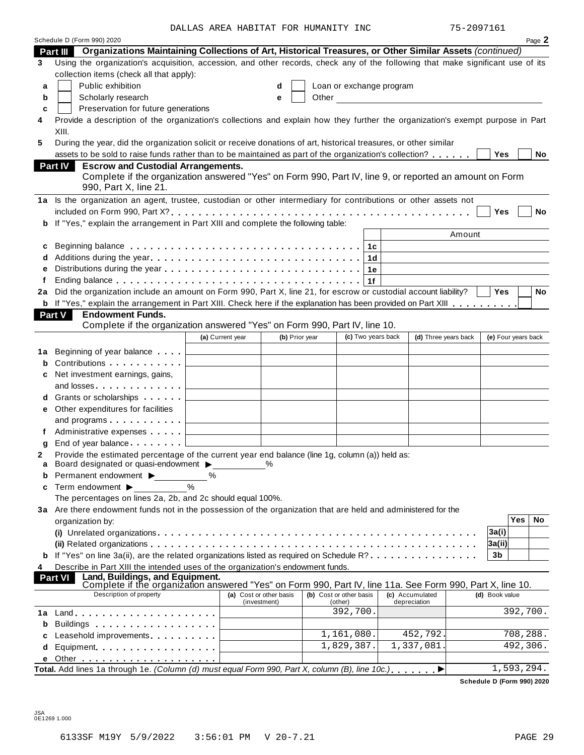DALLAS AREA HABITAT FOR HUMANITY INC 75-20

| 75-2097161 |
|------------|
|            |

|      | Schedule D (Form 990) 2020                                                                                                                                                                                                   |                                              |               |                |                         |                    |                |                          |                                                |                     |            | Page 2    |
|------|------------------------------------------------------------------------------------------------------------------------------------------------------------------------------------------------------------------------------|----------------------------------------------|---------------|----------------|-------------------------|--------------------|----------------|--------------------------|------------------------------------------------|---------------------|------------|-----------|
|      | Part III Organizations Maintaining Collections of Art, Historical Treasures, or Other Similar Assets (continued)                                                                                                             |                                              |               |                |                         |                    |                |                          |                                                |                     |            |           |
| 3    | Using the organization's acquisition, accession, and other records, check any of the following that make significant use of its                                                                                              |                                              |               |                |                         |                    |                |                          |                                                |                     |            |           |
|      | collection items (check all that apply):                                                                                                                                                                                     |                                              |               |                |                         |                    |                |                          |                                                |                     |            |           |
| a    | Public exhibition                                                                                                                                                                                                            |                                              | d             |                |                         |                    |                | Loan or exchange program |                                                |                     |            |           |
| b    | Scholarly research                                                                                                                                                                                                           |                                              | e             |                | Other                   |                    |                |                          | <u> 1980 - Jan Sterling Sterling (d. 1980)</u> |                     |            |           |
| c    | Preservation for future generations                                                                                                                                                                                          |                                              |               |                |                         |                    |                |                          |                                                |                     |            |           |
| 4    | Provide a description of the organization's collections and explain how they further the organization's exempt purpose in Part                                                                                               |                                              |               |                |                         |                    |                |                          |                                                |                     |            |           |
|      | XIII.                                                                                                                                                                                                                        |                                              |               |                |                         |                    |                |                          |                                                |                     |            |           |
| 5    | During the year, did the organization solicit or receive donations of art, historical treasures, or other similar<br>assets to be sold to raise funds rather than to be maintained as part of the organization's collection? |                                              |               |                |                         |                    |                |                          |                                                | <b>Yes</b>          |            | No        |
|      | Part IV<br><b>Escrow and Custodial Arrangements.</b>                                                                                                                                                                         |                                              |               |                |                         |                    |                |                          |                                                |                     |            |           |
|      | Complete if the organization answered "Yes" on Form 990, Part IV, line 9, or reported an amount on Form                                                                                                                      |                                              |               |                |                         |                    |                |                          |                                                |                     |            |           |
|      | 990, Part X, line 21.                                                                                                                                                                                                        |                                              |               |                |                         |                    |                |                          |                                                |                     |            |           |
|      | 1a Is the organization an agent, trustee, custodian or other intermediary for contributions or other assets not                                                                                                              |                                              |               |                |                         |                    |                |                          |                                                |                     |            |           |
|      |                                                                                                                                                                                                                              |                                              |               |                |                         |                    |                |                          |                                                | Yes                 |            | No        |
|      | b If "Yes," explain the arrangement in Part XIII and complete the following table:                                                                                                                                           |                                              |               |                |                         |                    |                |                          |                                                |                     |            |           |
|      |                                                                                                                                                                                                                              |                                              |               |                |                         |                    |                |                          | Amount                                         |                     |            |           |
| c    |                                                                                                                                                                                                                              |                                              |               |                |                         |                    | 1c             |                          |                                                |                     |            |           |
|      |                                                                                                                                                                                                                              |                                              |               |                |                         |                    | 1d             |                          |                                                |                     |            |           |
| е    |                                                                                                                                                                                                                              |                                              |               |                |                         |                    |                |                          |                                                |                     |            |           |
| f    |                                                                                                                                                                                                                              |                                              |               |                |                         |                    | 1 <sub>f</sub> |                          |                                                |                     |            |           |
| 2a l | Did the organization include an amount on Form 990, Part X, line 21, for escrow or custodial account liability?                                                                                                              |                                              |               |                |                         |                    |                |                          |                                                | Yes                 |            | <b>No</b> |
|      | b If "Yes," explain the arrangement in Part XIII. Check here if the explanation has been provided on Part XIII                                                                                                               |                                              |               |                |                         |                    |                |                          |                                                |                     |            |           |
|      | Part V<br><b>Endowment Funds.</b><br>Complete if the organization answered "Yes" on Form 990, Part IV, line 10.                                                                                                              |                                              |               |                |                         |                    |                |                          |                                                |                     |            |           |
|      |                                                                                                                                                                                                                              | (a) Current year                             |               | (b) Prior year |                         | (c) Two years back |                |                          | (d) Three years back                           | (e) Four years back |            |           |
|      |                                                                                                                                                                                                                              | the contract of the contract of the          |               |                |                         |                    |                |                          |                                                |                     |            |           |
| 1a   | Beginning of year balance<br>Contributions                                                                                                                                                                                   |                                              |               |                |                         |                    |                |                          |                                                |                     |            |           |
| c    | Net investment earnings, gains,                                                                                                                                                                                              |                                              |               |                |                         |                    |                |                          |                                                |                     |            |           |
|      | and losses $\dots \dots \dots$                                                                                                                                                                                               |                                              |               |                |                         |                    |                |                          |                                                |                     |            |           |
|      | d Grants or scholarships                                                                                                                                                                                                     |                                              |               |                |                         |                    |                |                          |                                                |                     |            |           |
| е    | Other expenditures for facilities                                                                                                                                                                                            |                                              |               |                |                         |                    |                |                          |                                                |                     |            |           |
|      | and programs                                                                                                                                                                                                                 |                                              |               |                |                         |                    |                |                          |                                                |                     |            |           |
|      | Administrative expenses                                                                                                                                                                                                      | the control of the control of the control of |               |                |                         |                    |                |                          |                                                |                     |            |           |
| q    |                                                                                                                                                                                                                              |                                              |               |                |                         |                    |                |                          |                                                |                     |            |           |
| 2    | Provide the estimated percentage of the current year end balance (line 1g, column (a)) held as:                                                                                                                              |                                              |               |                |                         |                    |                |                          |                                                |                     |            |           |
| a    | Board designated or quasi-endowment >                                                                                                                                                                                        |                                              | $\frac{0}{0}$ |                |                         |                    |                |                          |                                                |                     |            |           |
|      | Permanent endowment >                                                                                                                                                                                                        |                                              |               |                |                         |                    |                |                          |                                                |                     |            |           |
| c    | Term endowment ▶                                                                                                                                                                                                             | $\%$                                         |               |                |                         |                    |                |                          |                                                |                     |            |           |
|      | The percentages on lines 2a, 2b, and 2c should equal 100%.<br>3a Are there endowment funds not in the possession of the organization that are held and administered for the                                                  |                                              |               |                |                         |                    |                |                          |                                                |                     |            |           |
|      | organization by:                                                                                                                                                                                                             |                                              |               |                |                         |                    |                |                          |                                                |                     | Yes        | No        |
|      |                                                                                                                                                                                                                              |                                              |               |                |                         |                    |                |                          |                                                | 3a(i)               |            |           |
|      |                                                                                                                                                                                                                              |                                              |               |                |                         |                    |                |                          |                                                | 3a(ii)              |            |           |
|      | <b>b</b> If "Yes" on line 3a(ii), are the related organizations listed as required on Schedule R?                                                                                                                            |                                              |               |                |                         |                    |                |                          |                                                | 3 <sub>b</sub>      |            |           |
| 4    | Describe in Part XIII the intended uses of the organization's endowment funds.                                                                                                                                               |                                              |               |                |                         |                    |                |                          |                                                |                     |            |           |
|      | Land, Buildings, and Equipment.<br><b>Part VI</b>                                                                                                                                                                            |                                              |               |                |                         |                    |                |                          |                                                |                     |            |           |
|      | Complete if the organization answered "Yes" on Form 990, Part IV, line 11a. See Form 990, Part X, line 10.<br>Description of property                                                                                        | (a) Cost or other basis                      |               |                | (b) Cost or other basis |                    |                | (c) Accumulated          |                                                | (d) Book value      |            |           |
|      |                                                                                                                                                                                                                              |                                              | (investment)  |                |                         | (other)            |                | depreciation             |                                                |                     |            |           |
| 1a   | $Land, , , , , , , , , , , , , , , , , , , , ,$                                                                                                                                                                              |                                              |               |                |                         | 392,700.           |                |                          |                                                |                     | 392,700.   |           |
| b    |                                                                                                                                                                                                                              |                                              |               |                |                         |                    |                |                          |                                                |                     |            |           |
|      | Leasehold improvements <b>Leasehold</b> improvements                                                                                                                                                                         |                                              |               |                |                         | 1,161,080.         |                |                          | 452,792                                        |                     | 708,288.   |           |
| d    | Equipment                                                                                                                                                                                                                    |                                              |               |                |                         | 1,829,387.         |                |                          | 1,337,081                                      |                     | 492,306.   |           |
| e    |                                                                                                                                                                                                                              |                                              |               |                |                         |                    |                |                          |                                                |                     |            |           |
|      | Total. Add lines 1a through 1e. (Column (d) must equal Form 990, Part X, column (B), line 10c.).                                                                                                                             |                                              |               |                |                         |                    |                |                          | ▶                                              |                     | 1,593,294. |           |

**Schedule D (Form 990) 2020**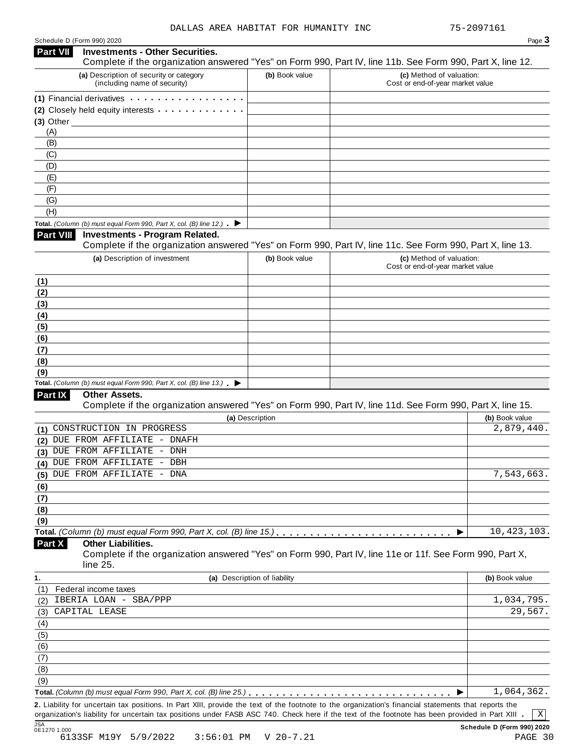| Schedule D (Form 990) 2020 |  |  |
|----------------------------|--|--|
|                            |  |  |

| Schedule D (Form 990) 2020                                                                                                                                                                                                                                                                               |                              | Page 3                                                                                                     |
|----------------------------------------------------------------------------------------------------------------------------------------------------------------------------------------------------------------------------------------------------------------------------------------------------------|------------------------------|------------------------------------------------------------------------------------------------------------|
| Part VII<br><b>Investments - Other Securities.</b>                                                                                                                                                                                                                                                       |                              | Complete if the organization answered "Yes" on Form 990, Part IV, line 11b. See Form 990, Part X, line 12. |
| (a) Description of security or category<br>(including name of security)                                                                                                                                                                                                                                  | (b) Book value               | (c) Method of valuation:<br>Cost or end-of-year market value                                               |
| (1) Financial derivatives expansion of the state of the state of the state of the state of the state of the state of the state of the state of the state of the state of the state of the state of the state of the state of t                                                                           |                              |                                                                                                            |
| (2) Closely held equity interests                                                                                                                                                                                                                                                                        |                              |                                                                                                            |
|                                                                                                                                                                                                                                                                                                          |                              |                                                                                                            |
| (A)                                                                                                                                                                                                                                                                                                      |                              |                                                                                                            |
| (B)                                                                                                                                                                                                                                                                                                      |                              |                                                                                                            |
| (C)                                                                                                                                                                                                                                                                                                      |                              |                                                                                                            |
| (D)<br>(E)                                                                                                                                                                                                                                                                                               |                              |                                                                                                            |
| (F)                                                                                                                                                                                                                                                                                                      |                              |                                                                                                            |
| (G)                                                                                                                                                                                                                                                                                                      |                              |                                                                                                            |
| (H)                                                                                                                                                                                                                                                                                                      |                              |                                                                                                            |
| Total. (Column (b) must equal Form 990, Part X, col. (B) line 12.) $\blacktriangleright$                                                                                                                                                                                                                 |                              |                                                                                                            |
| Part VIII<br><b>Investments - Program Related.</b>                                                                                                                                                                                                                                                       |                              | Complete if the organization answered "Yes" on Form 990, Part IV, line 11c. See Form 990, Part X, line 13. |
| (a) Description of investment                                                                                                                                                                                                                                                                            | (b) Book value               | (c) Method of valuation:<br>Cost or end-of-year market value                                               |
| (1)                                                                                                                                                                                                                                                                                                      |                              |                                                                                                            |
| (2)                                                                                                                                                                                                                                                                                                      |                              |                                                                                                            |
| (3)                                                                                                                                                                                                                                                                                                      |                              |                                                                                                            |
| (4)                                                                                                                                                                                                                                                                                                      |                              |                                                                                                            |
| (5)                                                                                                                                                                                                                                                                                                      |                              |                                                                                                            |
| (6)                                                                                                                                                                                                                                                                                                      |                              |                                                                                                            |
| (7)                                                                                                                                                                                                                                                                                                      |                              |                                                                                                            |
| (8)                                                                                                                                                                                                                                                                                                      |                              |                                                                                                            |
| (9)                                                                                                                                                                                                                                                                                                      |                              |                                                                                                            |
| Total. (Column (b) must equal Form 990, Part X, col. (B) line 13.) $\blacktriangleright$                                                                                                                                                                                                                 |                              |                                                                                                            |
| Part IX<br><b>Other Assets.</b>                                                                                                                                                                                                                                                                          |                              | Complete if the organization answered "Yes" on Form 990, Part IV, line 11d. See Form 990, Part X, line 15. |
|                                                                                                                                                                                                                                                                                                          | (a) Description              | (b) Book value                                                                                             |
| CONSTRUCTION IN PROGRESS<br>(1)                                                                                                                                                                                                                                                                          |                              | 2,879,440.                                                                                                 |
| DUE FROM AFFILIATE - DNAFH<br>(2)<br>(3) DUE FROM AFFILIATE - DNH                                                                                                                                                                                                                                        |                              |                                                                                                            |
| (4) DUE FROM AFFILIATE - DBH                                                                                                                                                                                                                                                                             |                              |                                                                                                            |
| DUE FROM AFFILIATE - DNA<br>(5)                                                                                                                                                                                                                                                                          |                              | 7,543,663.                                                                                                 |
| (6)                                                                                                                                                                                                                                                                                                      |                              |                                                                                                            |
| (7)                                                                                                                                                                                                                                                                                                      |                              |                                                                                                            |
| (8)                                                                                                                                                                                                                                                                                                      |                              |                                                                                                            |
| (9)                                                                                                                                                                                                                                                                                                      |                              |                                                                                                            |
| Total. (Column (b) must equal Form 990, Part X, col. (B) line $15.$                                                                                                                                                                                                                                      |                              | 10, 423, 103.                                                                                              |
| Part X<br><b>Other Liabilities.</b><br>line 25.                                                                                                                                                                                                                                                          |                              | Complete if the organization answered "Yes" on Form 990, Part IV, line 11e or 11f. See Form 990, Part X,   |
| 1.                                                                                                                                                                                                                                                                                                       | (a) Description of liability | (b) Book value                                                                                             |
| Federal income taxes<br>(1)                                                                                                                                                                                                                                                                              |                              |                                                                                                            |
| IBERIA LOAN - SBA/PPP<br>(2)                                                                                                                                                                                                                                                                             |                              | 1,034,795.                                                                                                 |
| CAPITAL LEASE<br>(3)                                                                                                                                                                                                                                                                                     |                              | 29,567.                                                                                                    |
| (4)                                                                                                                                                                                                                                                                                                      |                              |                                                                                                            |
| (5)                                                                                                                                                                                                                                                                                                      |                              |                                                                                                            |
| (6)                                                                                                                                                                                                                                                                                                      |                              |                                                                                                            |
| (7)                                                                                                                                                                                                                                                                                                      |                              |                                                                                                            |
| (8)                                                                                                                                                                                                                                                                                                      |                              |                                                                                                            |
| (9)                                                                                                                                                                                                                                                                                                      |                              |                                                                                                            |
|                                                                                                                                                                                                                                                                                                          |                              | 1,064,362.                                                                                                 |
| 2. Liability for uncertain tax positions. In Part XIII, provide the text of the footnote to the organization's financial statements that reports the<br>organization's liability for uncertain tax positions under FASB ASC 740. Check here if the text of the footnote has been provided in Part XIII . |                              | Χ                                                                                                          |
|                                                                                                                                                                                                                                                                                                          |                              |                                                                                                            |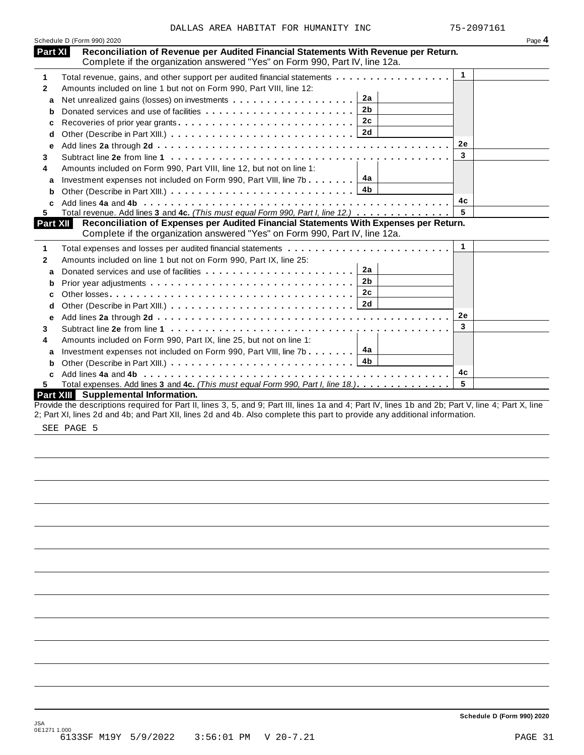|              | Schedule D (Form 990) 2020                                                                                                                                                                                                                                                       |              | Page 4 |
|--------------|----------------------------------------------------------------------------------------------------------------------------------------------------------------------------------------------------------------------------------------------------------------------------------|--------------|--------|
| Part XI      | Reconciliation of Revenue per Audited Financial Statements With Revenue per Return.<br>Complete if the organization answered "Yes" on Form 990, Part IV, line 12a.                                                                                                               |              |        |
| 1            | Total revenue, gains, and other support per audited financial statements                                                                                                                                                                                                         | $\mathbf{1}$ |        |
| $\mathbf{2}$ | Amounts included on line 1 but not on Form 990, Part VIII, line 12:                                                                                                                                                                                                              |              |        |
| a            | 2a                                                                                                                                                                                                                                                                               |              |        |
| b            | 2 <sub>b</sub>                                                                                                                                                                                                                                                                   |              |        |
| с            |                                                                                                                                                                                                                                                                                  |              |        |
| d            |                                                                                                                                                                                                                                                                                  |              |        |
| е            |                                                                                                                                                                                                                                                                                  | 2e           |        |
| 3            |                                                                                                                                                                                                                                                                                  | $\mathbf{3}$ |        |
| 4            | Amounts included on Form 990, Part VIII, line 12, but not on line 1:                                                                                                                                                                                                             |              |        |
| a            | Investment expenses not included on Form 990, Part VIII, line 7b   4a                                                                                                                                                                                                            |              |        |
| b            |                                                                                                                                                                                                                                                                                  |              |        |
|              |                                                                                                                                                                                                                                                                                  | 4c           |        |
| 5.           | Total revenue. Add lines 3 and 4c. (This must equal Form 990, Part I, line 12.)                                                                                                                                                                                                  |              |        |
| Part XII     | Reconciliation of Expenses per Audited Financial Statements With Expenses per Return.<br>Complete if the organization answered "Yes" on Form 990, Part IV, line 12a.                                                                                                             |              |        |
| 1            |                                                                                                                                                                                                                                                                                  | $\mathbf{1}$ |        |
| $\mathbf{2}$ | Amounts included on line 1 but not on Form 990, Part IX, line 25:                                                                                                                                                                                                                |              |        |
| a            | 2a<br>Donated services and use of facilities                                                                                                                                                                                                                                     |              |        |
| b            | 2b                                                                                                                                                                                                                                                                               |              |        |
| c            | 2c                                                                                                                                                                                                                                                                               |              |        |
| d            |                                                                                                                                                                                                                                                                                  |              |        |
| е            |                                                                                                                                                                                                                                                                                  | 2e           |        |
| 3            |                                                                                                                                                                                                                                                                                  | 3            |        |
| 4            | Amounts included on Form 990, Part IX, line 25, but not on line 1:                                                                                                                                                                                                               |              |        |
| a            | 4a<br>Investment expenses not included on Form 990, Part VIII, line 7b                                                                                                                                                                                                           |              |        |
| b            |                                                                                                                                                                                                                                                                                  |              |        |
| C            |                                                                                                                                                                                                                                                                                  | 4c           |        |
| 5.           | Total expenses. Add lines 3 and 4c. (This must equal Form 990, Part I, line 18.)                                                                                                                                                                                                 | 5            |        |
|              | Part XIII Supplemental Information.                                                                                                                                                                                                                                              |              |        |
|              | Provide the descriptions required for Part II, lines 3, 5, and 9; Part III, lines 1a and 4; Part IV, lines 1b and 2b; Part V, line 4; Part X, line<br>2; Part XI, lines 2d and 4b; and Part XII, lines 2d and 4b. Also complete this part to provide any additional information. |              |        |

SEE PAGE 5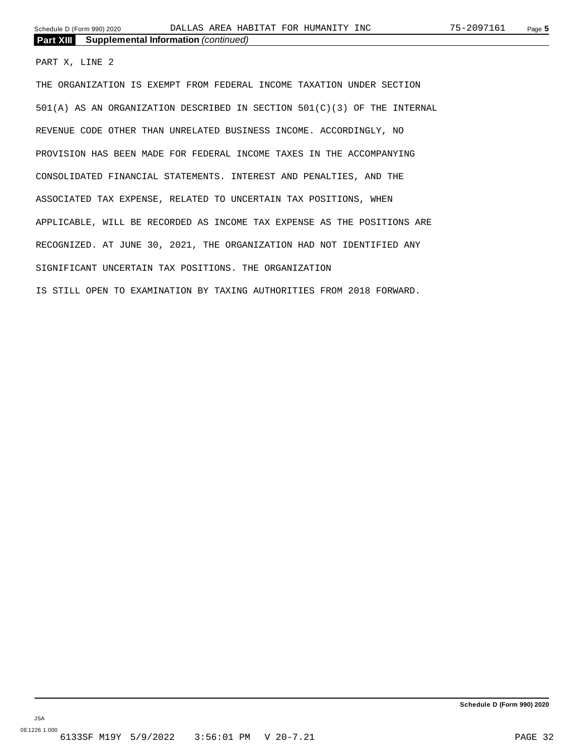#### PART X, LINE 2

THE ORGANIZATION IS EXEMPT FROM FEDERAL INCOME TAXATION UNDER SECTION 501(A) AS AN ORGANIZATION DESCRIBED IN SECTION 501(C)(3) OF THE INTERNAL REVENUE CODE OTHER THAN UNRELATED BUSINESS INCOME. ACCORDINGLY, NO PROVISION HAS BEEN MADE FOR FEDERAL INCOME TAXES IN THE ACCOMPANYING CONSOLIDATED FINANCIAL STATEMENTS. INTEREST AND PENALTIES, AND THE ASSOCIATED TAX EXPENSE, RELATED TO UNCERTAIN TAX POSITIONS, WHEN APPLICABLE, WILL BE RECORDED AS INCOME TAX EXPENSE AS THE POSITIONS ARE RECOGNIZED. AT JUNE 30, 2021, THE ORGANIZATION HAD NOT IDENTIFIED ANY SIGNIFICANT UNCERTAIN TAX POSITIONS. THE ORGANIZATION IS STILL OPEN TO EXAMINATION BY TAXING AUTHORITIES FROM 2018 FORWARD.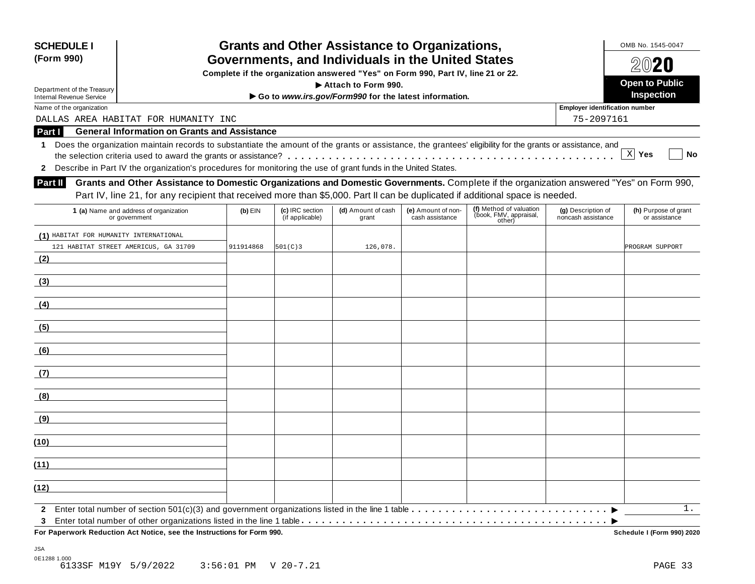| <b>SCHEDULE I</b>                                             |                                                                                                                                                            |           |                                    | <b>Grants and Other Assistance to Organizations,</b>                             |                                       |                                                             |                                          | OMB No. 1545-0047                     |
|---------------------------------------------------------------|------------------------------------------------------------------------------------------------------------------------------------------------------------|-----------|------------------------------------|----------------------------------------------------------------------------------|---------------------------------------|-------------------------------------------------------------|------------------------------------------|---------------------------------------|
| (Form 990)                                                    |                                                                                                                                                            |           |                                    | Governments, and Individuals in the United States                                |                                       |                                                             |                                          | 2020                                  |
|                                                               |                                                                                                                                                            |           |                                    | Complete if the organization answered "Yes" on Form 990, Part IV, line 21 or 22. |                                       |                                                             |                                          | <b>Open to Public</b>                 |
| Department of the Treasury<br><b>Internal Revenue Service</b> |                                                                                                                                                            |           |                                    | Attach to Form 990.<br>Go to www.irs.gov/Form990 for the latest information.     |                                       |                                                             |                                          | Inspection                            |
| Name of the organization                                      |                                                                                                                                                            |           |                                    |                                                                                  |                                       |                                                             | <b>Employer identification number</b>    |                                       |
|                                                               | DALLAS AREA HABITAT FOR HUMANITY INC                                                                                                                       |           |                                    |                                                                                  |                                       |                                                             | 75-2097161                               |                                       |
| Part I                                                        | <b>General Information on Grants and Assistance</b>                                                                                                        |           |                                    |                                                                                  |                                       |                                                             |                                          |                                       |
| 1                                                             | Does the organization maintain records to substantiate the amount of the grants or assistance, the grantees' eligibility for the grants or assistance, and |           |                                    |                                                                                  |                                       |                                                             |                                          |                                       |
|                                                               |                                                                                                                                                            |           |                                    |                                                                                  |                                       |                                                             |                                          | $X$ Yes<br>No                         |
|                                                               | 2 Describe in Part IV the organization's procedures for monitoring the use of grant funds in the United States.                                            |           |                                    |                                                                                  |                                       |                                                             |                                          |                                       |
| Part II                                                       | Grants and Other Assistance to Domestic Organizations and Domestic Governments. Complete if the organization answered "Yes" on Form 990,                   |           |                                    |                                                                                  |                                       |                                                             |                                          |                                       |
|                                                               | Part IV, line 21, for any recipient that received more than \$5,000. Part II can be duplicated if additional space is needed.                              |           |                                    |                                                                                  |                                       |                                                             |                                          |                                       |
|                                                               | 1 (a) Name and address of organization<br>or government                                                                                                    | $(b)$ EIN | (c) IRC section<br>(if applicable) | (d) Amount of cash<br>grant                                                      | (e) Amount of non-<br>cash assistance | (f) Method of valuation<br>(book, FMV, appraisal,<br>other) | (g) Description of<br>noncash assistance | (h) Purpose of grant<br>or assistance |
| (1) HABITAT FOR HUMANITY INTERNATIONAL                        |                                                                                                                                                            |           |                                    |                                                                                  |                                       |                                                             |                                          |                                       |
|                                                               | 121 HABITAT STREET AMERICUS, GA 31709                                                                                                                      | 911914868 | 501(C)3                            | 126,078.                                                                         |                                       |                                                             |                                          | PROGRAM SUPPORT                       |
| (2)                                                           |                                                                                                                                                            |           |                                    |                                                                                  |                                       |                                                             |                                          |                                       |
|                                                               |                                                                                                                                                            |           |                                    |                                                                                  |                                       |                                                             |                                          |                                       |
| (3)                                                           |                                                                                                                                                            |           |                                    |                                                                                  |                                       |                                                             |                                          |                                       |
|                                                               |                                                                                                                                                            |           |                                    |                                                                                  |                                       |                                                             |                                          |                                       |
| (4)                                                           |                                                                                                                                                            |           |                                    |                                                                                  |                                       |                                                             |                                          |                                       |
| (5)                                                           |                                                                                                                                                            |           |                                    |                                                                                  |                                       |                                                             |                                          |                                       |
|                                                               |                                                                                                                                                            |           |                                    |                                                                                  |                                       |                                                             |                                          |                                       |
| (6)                                                           |                                                                                                                                                            |           |                                    |                                                                                  |                                       |                                                             |                                          |                                       |
|                                                               |                                                                                                                                                            |           |                                    |                                                                                  |                                       |                                                             |                                          |                                       |
| (7)                                                           |                                                                                                                                                            |           |                                    |                                                                                  |                                       |                                                             |                                          |                                       |
|                                                               |                                                                                                                                                            |           |                                    |                                                                                  |                                       |                                                             |                                          |                                       |
| (8)                                                           |                                                                                                                                                            |           |                                    |                                                                                  |                                       |                                                             |                                          |                                       |
| (9)                                                           |                                                                                                                                                            |           |                                    |                                                                                  |                                       |                                                             |                                          |                                       |
|                                                               |                                                                                                                                                            |           |                                    |                                                                                  |                                       |                                                             |                                          |                                       |
| (10)                                                          |                                                                                                                                                            |           |                                    |                                                                                  |                                       |                                                             |                                          |                                       |
|                                                               |                                                                                                                                                            |           |                                    |                                                                                  |                                       |                                                             |                                          |                                       |
| (11)                                                          |                                                                                                                                                            |           |                                    |                                                                                  |                                       |                                                             |                                          |                                       |
|                                                               |                                                                                                                                                            |           |                                    |                                                                                  |                                       |                                                             |                                          |                                       |
| (12)                                                          |                                                                                                                                                            |           |                                    |                                                                                  |                                       |                                                             |                                          |                                       |
| $\mathbf{2}$<br>3                                             |                                                                                                                                                            |           |                                    |                                                                                  |                                       |                                                             |                                          | 1.                                    |
|                                                               | For Paperwork Reduction Act Notice, see the Instructions for Form 990.                                                                                     |           |                                    |                                                                                  |                                       |                                                             |                                          | Schedule I (Form 990) 2020            |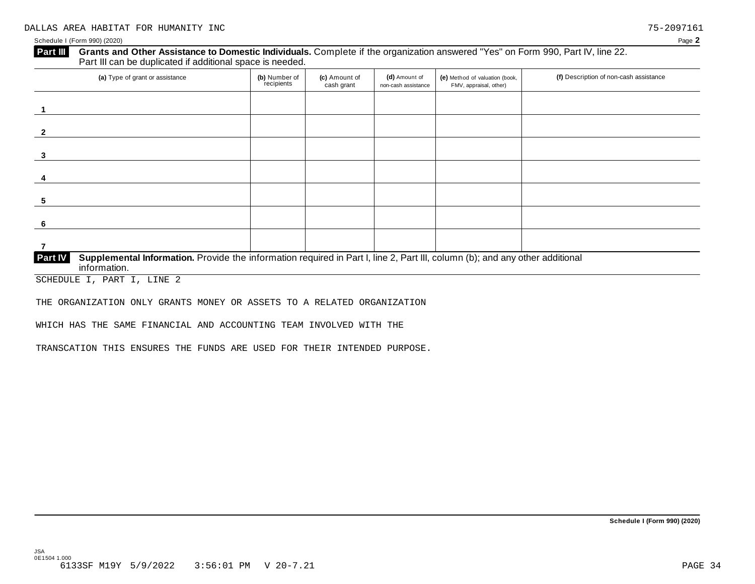#### Grants and Other Assistance to Domestic Individuals. Complete if the organization answered "Yes" on Form 990, Part IV, line 22. **Part III** Grants and Other Assistance to Domestic Individuals<br>Part III can be duplicated if additional space is needed.

| (a) Type of grant or assistance                                                                                                                                | (b) Number of<br>recipients | (c) Amount of<br>cash grant | (d) Amount of<br>non-cash assistance | (e) Method of valuation (book,<br>FMV, appraisal, other) | (f) Description of non-cash assistance |
|----------------------------------------------------------------------------------------------------------------------------------------------------------------|-----------------------------|-----------------------------|--------------------------------------|----------------------------------------------------------|----------------------------------------|
|                                                                                                                                                                |                             |                             |                                      |                                                          |                                        |
|                                                                                                                                                                |                             |                             |                                      |                                                          |                                        |
| 3                                                                                                                                                              |                             |                             |                                      |                                                          |                                        |
|                                                                                                                                                                |                             |                             |                                      |                                                          |                                        |
| 5                                                                                                                                                              |                             |                             |                                      |                                                          |                                        |
| 6                                                                                                                                                              |                             |                             |                                      |                                                          |                                        |
|                                                                                                                                                                |                             |                             |                                      |                                                          |                                        |
| Supplemental Information. Provide the information required in Part I, line 2, Part III, column (b); and any other additional<br><b>Part IV</b><br>information. |                             |                             |                                      |                                                          |                                        |

SCHEDULE I, PART I, LINE 2

THE ORGANIZATION ONLY GRANTS MONEY OR ASSETS TO A RELATED ORGANIZATION

WHICH HAS THE SAME FINANCIAL AND ACCOUNTING TEAM INVOLVED WITH THE

TRANSCATION THIS ENSURES THE FUNDS ARE USED FOR THEIR INTENDED PURPOSE.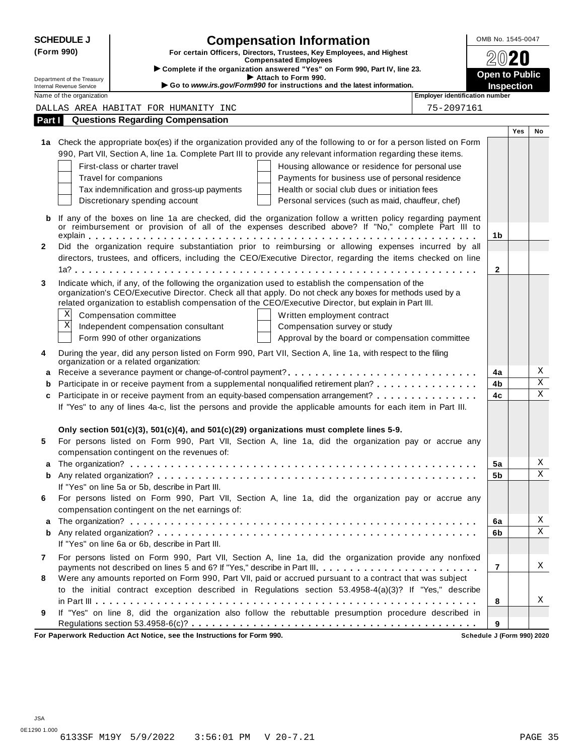|              | <b>SCHEDULE J</b><br><b>Compensation Information</b>                                                                                                                                              | OMB No. 1545-0047     |     |                         |  |  |
|--------------|---------------------------------------------------------------------------------------------------------------------------------------------------------------------------------------------------|-----------------------|-----|-------------------------|--|--|
|              | (Form 990)<br>For certain Officers, Directors, Trustees, Key Employees, and Highest<br><b>Compensated Employees</b>                                                                               |                       |     |                         |  |  |
|              | Complete if the organization answered "Yes" on Form 990, Part IV, line 23.                                                                                                                        | <b>Open to Public</b> |     |                         |  |  |
|              | Attach to Form 990.<br>Department of the Treasury<br>Go to www.irs.gov/Form990 for instructions and the latest information.<br><b>Internal Revenue Service</b>                                    | Inspection            |     |                         |  |  |
|              | <b>Employer identification number</b><br>Name of the organization                                                                                                                                 |                       |     |                         |  |  |
|              | 75-2097161<br>DALLAS AREA HABITAT FOR HUMANITY INC                                                                                                                                                |                       |     |                         |  |  |
| Part I       | <b>Questions Regarding Compensation</b>                                                                                                                                                           |                       |     |                         |  |  |
|              |                                                                                                                                                                                                   |                       | Yes | No                      |  |  |
|              | 1a Check the appropriate box(es) if the organization provided any of the following to or for a person listed on Form                                                                              |                       |     |                         |  |  |
|              | 990, Part VII, Section A, line 1a. Complete Part III to provide any relevant information regarding these items.                                                                                   |                       |     |                         |  |  |
|              | First-class or charter travel<br>Housing allowance or residence for personal use                                                                                                                  |                       |     |                         |  |  |
|              | Travel for companions<br>Payments for business use of personal residence                                                                                                                          |                       |     |                         |  |  |
|              | Tax indemnification and gross-up payments<br>Health or social club dues or initiation fees                                                                                                        |                       |     |                         |  |  |
|              | Discretionary spending account<br>Personal services (such as maid, chauffeur, chef)                                                                                                               |                       |     |                         |  |  |
| b            | If any of the boxes on line 1a are checked, did the organization follow a written policy regarding payment                                                                                        |                       |     |                         |  |  |
|              | or reimbursement or provision of all of the expenses described above? If "No," complete Part III to                                                                                               |                       |     |                         |  |  |
|              |                                                                                                                                                                                                   | 1b                    |     |                         |  |  |
| $\mathbf{2}$ | Did the organization require substantiation prior to reimbursing or allowing expenses incurred by all                                                                                             |                       |     |                         |  |  |
|              | directors, trustees, and officers, including the CEO/Executive Director, regarding the items checked on line                                                                                      |                       |     |                         |  |  |
|              |                                                                                                                                                                                                   | $\mathbf{2}$          |     |                         |  |  |
| 3            | Indicate which, if any, of the following the organization used to establish the compensation of the                                                                                               |                       |     |                         |  |  |
|              | organization's CEO/Executive Director. Check all that apply. Do not check any boxes for methods used by a                                                                                         |                       |     |                         |  |  |
|              | related organization to establish compensation of the CEO/Executive Director, but explain in Part III.                                                                                            |                       |     |                         |  |  |
|              | Χ<br>Compensation committee<br>Written employment contract                                                                                                                                        |                       |     |                         |  |  |
|              | Χ<br>Independent compensation consultant<br>Compensation survey or study                                                                                                                          |                       |     |                         |  |  |
|              | Form 990 of other organizations<br>Approval by the board or compensation committee                                                                                                                |                       |     |                         |  |  |
| 4            | During the year, did any person listed on Form 990, Part VII, Section A, line 1a, with respect to the filing                                                                                      |                       |     |                         |  |  |
|              | organization or a related organization:                                                                                                                                                           |                       |     | Χ                       |  |  |
| a            |                                                                                                                                                                                                   | 4a                    |     | $\overline{\mathbf{x}}$ |  |  |
| b            | Participate in or receive payment from a supplemental nonqualified retirement plan?                                                                                                               | 4b                    |     | $\mathbf X$             |  |  |
| c            | Participate in or receive payment from an equity-based compensation arrangement?<br>If "Yes" to any of lines 4a-c, list the persons and provide the applicable amounts for each item in Part III. | 4c                    |     |                         |  |  |
|              |                                                                                                                                                                                                   |                       |     |                         |  |  |
|              | Only section 501(c)(3), 501(c)(4), and 501(c)(29) organizations must complete lines 5-9.                                                                                                          |                       |     |                         |  |  |
| 5            | For persons listed on Form 990, Part VII, Section A, line 1a, did the organization pay or accrue any                                                                                              |                       |     |                         |  |  |
|              | compensation contingent on the revenues of:                                                                                                                                                       |                       |     |                         |  |  |
|              |                                                                                                                                                                                                   | 5a                    |     | Χ                       |  |  |
| b            |                                                                                                                                                                                                   | 5b                    |     | X                       |  |  |
|              | If "Yes" on line 5a or 5b, describe in Part III.                                                                                                                                                  |                       |     |                         |  |  |
|              | For persons listed on Form 990, Part VII, Section A, line 1a, did the organization pay or accrue any                                                                                              |                       |     |                         |  |  |
|              |                                                                                                                                                                                                   |                       |     |                         |  |  |
|              | compensation contingent on the net earnings of:                                                                                                                                                   |                       |     |                         |  |  |
| a            |                                                                                                                                                                                                   | 6a                    |     | X                       |  |  |
| b            |                                                                                                                                                                                                   | 6b                    |     | $\mathbf X$             |  |  |
|              | If "Yes" on line 6a or 6b, describe in Part III.                                                                                                                                                  |                       |     |                         |  |  |
|              |                                                                                                                                                                                                   |                       |     |                         |  |  |
|              | For persons listed on Form 990, Part VII, Section A, line 1a, did the organization provide any nonfixed<br>payments not described on lines 5 and 6? If "Yes," describe in Part III.               | $\overline{7}$        |     | Χ                       |  |  |
| 6<br>7<br>8  | Were any amounts reported on Form 990, Part VII, paid or accrued pursuant to a contract that was subject                                                                                          |                       |     |                         |  |  |
|              | to the initial contract exception described in Regulations section 53.4958-4(a)(3)? If "Yes," describe                                                                                            |                       |     |                         |  |  |
|              |                                                                                                                                                                                                   | 8                     |     | Χ                       |  |  |
| 9            | If "Yes" on line 8, did the organization also follow the rebuttable presumption procedure described in                                                                                            |                       |     |                         |  |  |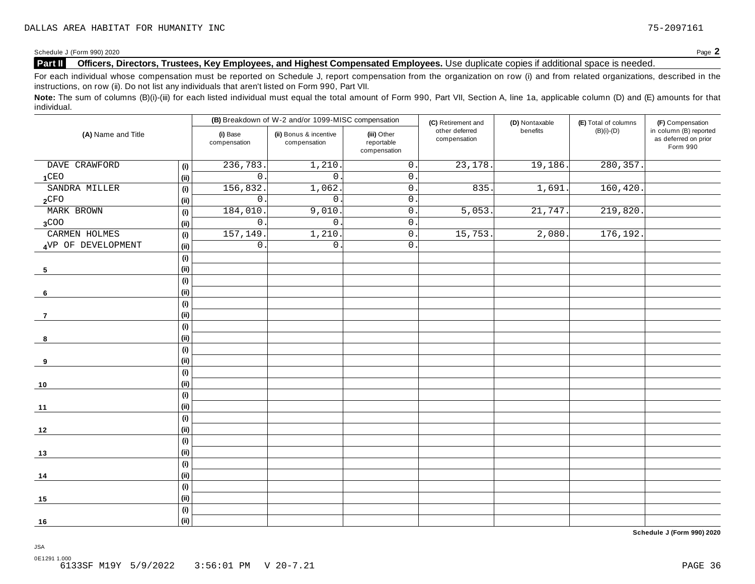#### **Part II Officers, Directors, Trustees, Key Employees, and Highest Compensated Employees.** Use duplicate copies ifadditional space is needed.

For each individual whose compensation must be reported on Schedule J, report compensation from the organization on row (i) and from related organizations, described in the instructions, on row (ii). Do not list any individuals that aren't listed on Form 990, Part VII.

Note: The sum of columns (B)(i)-(iii) for each listed individual must equal the total amount of Form 990, Part VII, Section A, line 1a, applicable column (D) and (E) amounts for that individual.

|                    |                              |                          | (B) Breakdown of W-2 and/or 1099-MISC compensation |                                           | (C) Retirement and             | (D) Nontaxable | (E) Total of columns | (F) Compensation                                           |
|--------------------|------------------------------|--------------------------|----------------------------------------------------|-------------------------------------------|--------------------------------|----------------|----------------------|------------------------------------------------------------|
| (A) Name and Title |                              | (i) Base<br>compensation | (ii) Bonus & incentive<br>compensation             | (iii) Other<br>reportable<br>compensation | other deferred<br>compensation | benefits       | $(B)(i)-(D)$         | in column (B) reported<br>as deferred on prior<br>Form 990 |
| DAVE CRAWFORD      | (i)                          | 236, 783.                | 1,210.                                             | $\overline{0}$ .                          | 23,178.                        | 19,186.        | 280, 357.            |                                                            |
| $1$ $CEO$          | (i)                          | $\mathsf{O}$             | $\mathbf{0}$ .                                     | $0$ .                                     |                                |                |                      |                                                            |
| SANDRA MILLER      | (i)                          | 156,832                  | 1,062.                                             | $0$ .                                     | 835                            | 1,691.         | 160,420              |                                                            |
| 2 <sup>CFO</sup>   | (i)                          | $\mathbf 0$              | $\mathbf{0}$ .                                     | $\mathbf{0}$                              |                                |                |                      |                                                            |
| MARK BROWN         | (i)                          | 184,010                  | 9,010.                                             | $\mathfrak o$ .                           | 5,053                          | 21,747.        | 219,820              |                                                            |
| 3COO               | (i)                          | $\mathsf{O}$             | $\mathsf{O}$ .                                     | $\overline{0}$ .                          |                                |                |                      |                                                            |
| CARMEN HOLMES      | (i)                          | 157, 149                 | 1,210                                              | $\overline{0}$ .                          | 15,753.                        | 2,080.         | 176, 192.            |                                                            |
| 4VP OF DEVELOPMENT | (i)                          | $\mathsf{O}$             | $\mathbf 0$ .                                      | $\mathbf{0}$ .                            |                                |                |                      |                                                            |
|                    | (i)                          |                          |                                                    |                                           |                                |                |                      |                                                            |
| 5                  | (i)                          |                          |                                                    |                                           |                                |                |                      |                                                            |
|                    | $\qquad \qquad \textbf{(i)}$ |                          |                                                    |                                           |                                |                |                      |                                                            |
| 6                  | (ii)                         |                          |                                                    |                                           |                                |                |                      |                                                            |
|                    | (i)                          |                          |                                                    |                                           |                                |                |                      |                                                            |
| 7                  | (i)                          |                          |                                                    |                                           |                                |                |                      |                                                            |
|                    | (i)                          |                          |                                                    |                                           |                                |                |                      |                                                            |
| 8                  | (i)                          |                          |                                                    |                                           |                                |                |                      |                                                            |
|                    | (i)                          |                          |                                                    |                                           |                                |                |                      |                                                            |
| 9                  | (i)                          |                          |                                                    |                                           |                                |                |                      |                                                            |
|                    | (i)                          |                          |                                                    |                                           |                                |                |                      |                                                            |
| 10                 | (i)                          |                          |                                                    |                                           |                                |                |                      |                                                            |
|                    | (i)                          |                          |                                                    |                                           |                                |                |                      |                                                            |
| 11                 | (i)                          |                          |                                                    |                                           |                                |                |                      |                                                            |
|                    | (i)                          |                          |                                                    |                                           |                                |                |                      |                                                            |
| 12                 | (i)                          |                          |                                                    |                                           |                                |                |                      |                                                            |
|                    | (i)                          |                          |                                                    |                                           |                                |                |                      |                                                            |
| 13                 | (i)                          |                          |                                                    |                                           |                                |                |                      |                                                            |
|                    | (i)                          |                          |                                                    |                                           |                                |                |                      |                                                            |
| 14                 | (i)                          |                          |                                                    |                                           |                                |                |                      |                                                            |
|                    | (i)                          |                          |                                                    |                                           |                                |                |                      |                                                            |
| 15                 | (i)                          |                          |                                                    |                                           |                                |                |                      |                                                            |
|                    | (i)                          |                          |                                                    |                                           |                                |                |                      |                                                            |
| 16                 | (ii)                         |                          |                                                    |                                           |                                |                |                      |                                                            |

**Schedule J (Form 990) 2020**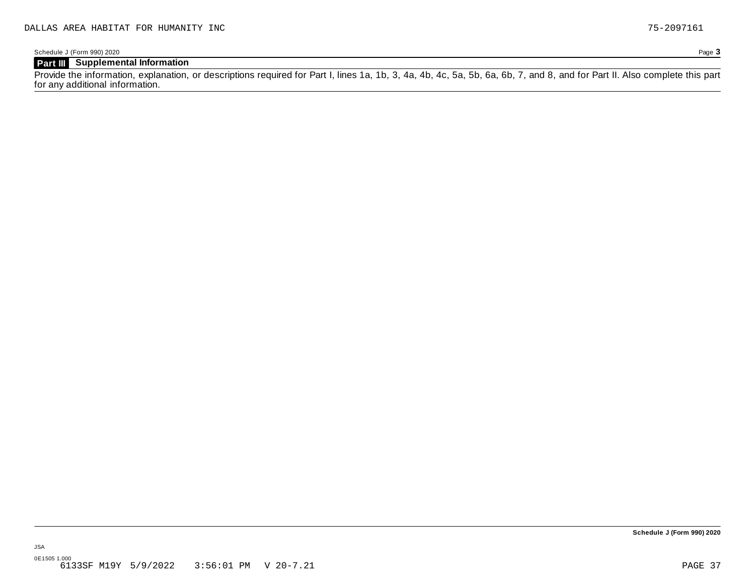#### **Part III Supplemental Information**

Provide the information, explanation, or descriptions required for Part I, lines 1a, 1b, 3, 4a, 4b, 4c, 5a, 5b, 6a, 6b, 7, and 8, and for Part II. Also complete this part for any additional information.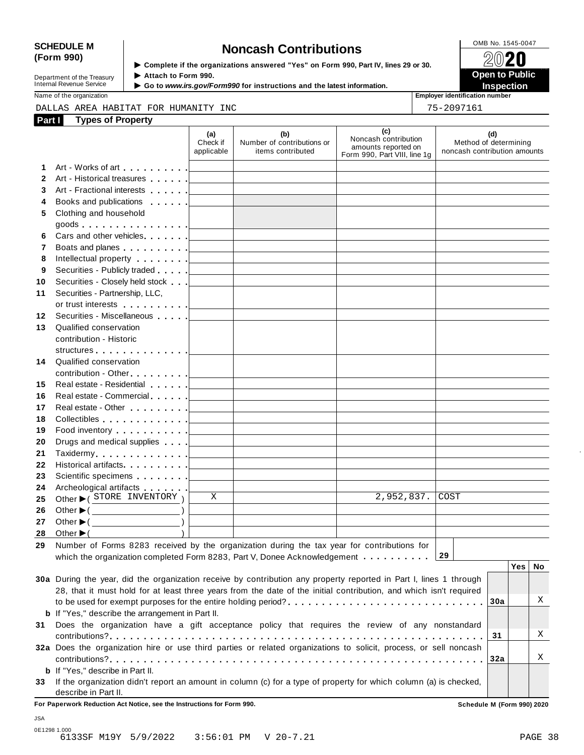# SCHEDULE M<br>
(Form 990) **Supplementary of the organizations answered** "Yes" on Form 990 Part IV lines 29 or 30

| Department of the Treasury |
|----------------------------|
| Internal Revenue Service   |

**Examplete** if the organizations answered "Yes" on Form 990, Part Ⅳ, lines 29 or 30.<br>▶ Attach to Form 990.  $\blacktriangleright$  Attach to Form 990. **Department of the Treasury ▶ Attach to Form 990.**<br>Internal Revenue Service ▶ Go to *www.irs.gov/Form990* for instructions and the latest information.<br>Nome of the organization aumhor

Name of the organization **intervalse of the organization intervalse of the organization intervalse of the organization intervalse of the organization intervalse of the organization intervalse of the organization** 

#### DALLAS AREA HABITAT FOR HUMANITY INC 75-2097161

| Part I | <b>Types of Property</b>                                                                                           |                               |                                                                            |                                                                                    |                                                              |
|--------|--------------------------------------------------------------------------------------------------------------------|-------------------------------|----------------------------------------------------------------------------|------------------------------------------------------------------------------------|--------------------------------------------------------------|
|        |                                                                                                                    | (a)<br>Check if<br>applicable | (b)<br>Number of contributions or<br>items contributed                     | (c)<br>Noncash contribution<br>amounts reported on<br>Form 990, Part VIII, line 1g | (d)<br>Method of determining<br>noncash contribution amounts |
| 1      | Art - Works of art [1]                                                                                             |                               |                                                                            |                                                                                    |                                                              |
| 2      | Art - Historical treasures                                                                                         |                               |                                                                            |                                                                                    |                                                              |
| 3      | Art - Fractional interests [1995]                                                                                  |                               |                                                                            |                                                                                    |                                                              |
| 4      |                                                                                                                    |                               |                                                                            |                                                                                    |                                                              |
| 5      | Clothing and household                                                                                             |                               |                                                                            |                                                                                    |                                                              |
|        | goods <u>  _ _ _ _</u>                                                                                             |                               |                                                                            |                                                                                    |                                                              |
| 6      | Cars and other vehicles <b>Cars</b>                                                                                |                               |                                                                            |                                                                                    |                                                              |
| 7      | Boats and planes <u>  _ _ _ _ _</u>                                                                                |                               | the control of the control of the control of the control of the control of |                                                                                    |                                                              |
| 8      | Intellectual property   _________                                                                                  |                               |                                                                            |                                                                                    |                                                              |
| 9      | Securities - Publicly traded <b>All Accords</b>                                                                    |                               |                                                                            |                                                                                    |                                                              |
| 10     | Securities - Closely held stock                                                                                    |                               |                                                                            |                                                                                    |                                                              |
| 11     | Securities - Partnership, LLC,                                                                                     |                               |                                                                            |                                                                                    |                                                              |
|        |                                                                                                                    |                               |                                                                            |                                                                                    |                                                              |
| 12     | Securities - Miscellaneous                                                                                         |                               |                                                                            |                                                                                    |                                                              |
| 13     | Qualified conservation                                                                                             |                               |                                                                            |                                                                                    |                                                              |
|        | contribution - Historic                                                                                            |                               |                                                                            |                                                                                    |                                                              |
|        | structures [19]                                                                                                    |                               |                                                                            |                                                                                    |                                                              |
| 14     | Qualified conservation                                                                                             |                               |                                                                            |                                                                                    |                                                              |
|        | contribution - Other [19]                                                                                          |                               |                                                                            |                                                                                    |                                                              |
| 15     | Real estate - Residential New York 1                                                                               |                               |                                                                            |                                                                                    |                                                              |
| 16     |                                                                                                                    |                               |                                                                            |                                                                                    |                                                              |
| 17     | Real estate - Other New York New York 1999                                                                         |                               |                                                                            |                                                                                    |                                                              |
| 18     | Collectibles entertainment and the collectibles                                                                    |                               |                                                                            |                                                                                    |                                                              |
| 19     | Food inventory [19]                                                                                                |                               |                                                                            |                                                                                    |                                                              |
| 20     | Drugs and medical supplies <b>Fig. 1.1 Contains and School</b>                                                     |                               |                                                                            |                                                                                    |                                                              |
| 21     | Taxidermy Particular Particular Particular Contractor                                                              |                               |                                                                            |                                                                                    |                                                              |
| 22     | Historical artifacts [19]                                                                                          |                               |                                                                            |                                                                                    |                                                              |
| 23     |                                                                                                                    |                               |                                                                            |                                                                                    |                                                              |
| 24     | Archeological artifacts                                                                                            |                               |                                                                            |                                                                                    |                                                              |
| 25     | Other $\blacktriangleright$ (STORE INVENTORY)                                                                      | Χ                             |                                                                            | 2,952,837.                                                                         | COST                                                         |
| 26     | Other $\blacktriangleright$ ( $\qquad \qquad$                                                                      |                               |                                                                            |                                                                                    |                                                              |
| 27     | Other $\blacktriangleright$ ( $\qquad \qquad$                                                                      |                               |                                                                            |                                                                                    |                                                              |
| 28     | Other $\blacktriangleright$ (                                                                                      |                               |                                                                            |                                                                                    |                                                              |
| 29     | Number of Forms 8283 received by the organization during the tax year for contributions for                        |                               |                                                                            |                                                                                    |                                                              |
|        | which the organization completed Form 8283, Part V, Donee Acknowledgement                                          |                               |                                                                            |                                                                                    | 29                                                           |
|        |                                                                                                                    |                               |                                                                            |                                                                                    | <b>Yes</b><br><b>No</b>                                      |
|        | 30a During the year, did the organization receive by contribution any property reported in Part I, lines 1 through |                               |                                                                            |                                                                                    |                                                              |
|        | 28, that it must hold for at least three years from the date of the initial contribution, and which isn't required |                               |                                                                            |                                                                                    |                                                              |
|        |                                                                                                                    |                               |                                                                            |                                                                                    | Χ<br>30a                                                     |
|        | <b>b</b> If "Yes," describe the arrangement in Part II.                                                            |                               |                                                                            |                                                                                    |                                                              |
| 31     | Does the organization have a gift acceptance policy that requires the review of any nonstandard                    |                               |                                                                            |                                                                                    |                                                              |
|        |                                                                                                                    |                               |                                                                            |                                                                                    | Χ<br>31                                                      |
|        | 32a Does the organization hire or use third parties or related organizations to solicit, process, or sell noncash  |                               |                                                                            |                                                                                    |                                                              |
|        |                                                                                                                    |                               |                                                                            |                                                                                    | Χ<br>32a                                                     |
|        | <b>b</b> If "Yes," describe in Part II.                                                                            |                               |                                                                            |                                                                                    |                                                              |
| 33     | If the organization didn't report an amount in column (c) for a type of property for which column (a) is checked,  |                               |                                                                            |                                                                                    |                                                              |
|        | describe in Part II.                                                                                               |                               |                                                                            |                                                                                    |                                                              |
|        | For Paperwork Reduction Act Notice, see the Instructions for Form 990.                                             |                               |                                                                            |                                                                                    | Schedule M (Form 990) 2020                                   |

JSA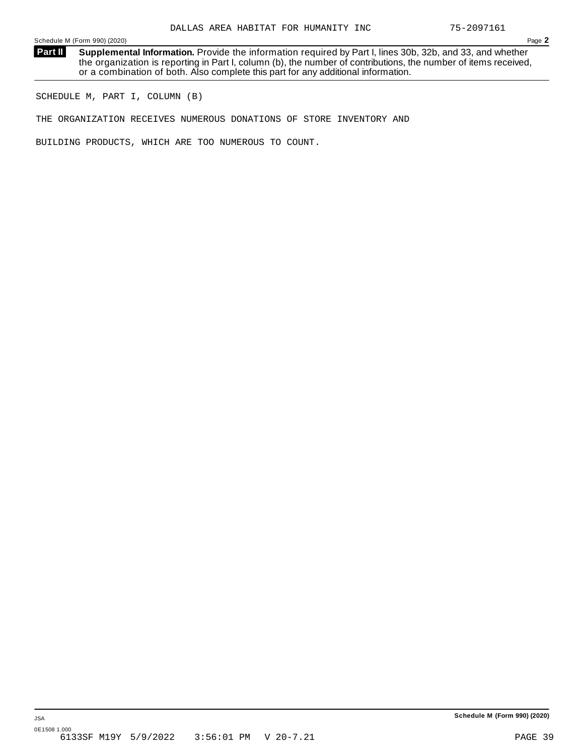**Supplemental Information.** Provide the information required by Part I, lines 30b, 32b, and 33, and whether the organization is reporting in Part I, column (b), the number of contributions, the number of items received, or a combination of both. Also complete this part for any additional information. **Part II**

SCHEDULE M, PART I, COLUMN (B)

THE ORGANIZATION RECEIVES NUMEROUS DONATIONS OF STORE INVENTORY AND

BUILDING PRODUCTS, WHICH ARE TOO NUMEROUS TO COUNT.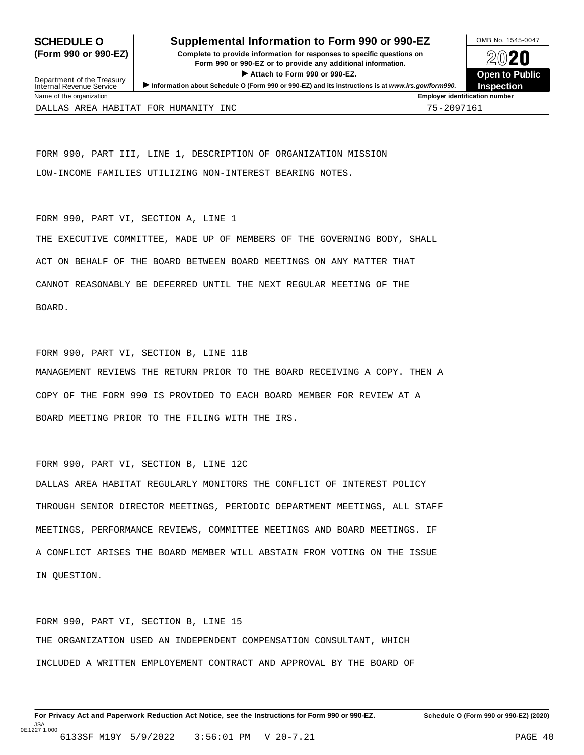#### **SCHEDULE O** Supplemental Information to Form 990 or 990-EZ DAMB No. 1545-0047

**(Form 990 or 990-EZ) Complete to provide information for responses to specific questions on** plete to provide information for responses to specific questions on  $\bigotimes_{\mathbb{Z}}\mathbb{Q}$  20 **EVECT**<br>
Attach to Form 990 or 990-EZ.<br>
and the Communication of the Communication of the Communication of the Communication of the Communication of the Communication of the Communication of the Communication of the Commu Department of the Treasury <br>Depen to Public<br>Name of the organization<br>Name of the organization<br>Name of the organization<br>Name of the organization<br>Inspection



Department of the Treasury<br>Internal Revenue Service

DALLAS AREA HABITAT FOR HUMANITY INC 75-2097161

FORM 990, PART III, LINE 1, DESCRIPTION OF ORGANIZATION MISSION LOW-INCOME FAMILIES UTILIZING NON-INTEREST BEARING NOTES.

FORM 990, PART VI, SECTION A, LINE 1

THE EXECUTIVE COMMITTEE, MADE UP OF MEMBERS OF THE GOVERNING BODY, SHALL ACT ON BEHALF OF THE BOARD BETWEEN BOARD MEETINGS ON ANY MATTER THAT CANNOT REASONABLY BE DEFERRED UNTIL THE NEXT REGULAR MEETING OF THE BOARD.

FORM 990, PART VI, SECTION B, LINE 11B MANAGEMENT REVIEWS THE RETURN PRIOR TO THE BOARD RECEIVING A COPY. THEN A COPY OF THE FORM 990 IS PROVIDED TO EACH BOARD MEMBER FOR REVIEW AT A BOARD MEETING PRIOR TO THE FILING WITH THE IRS.

```
FORM 990, PART VI, SECTION B, LINE 12C
```
DALLAS AREA HABITAT REGULARLY MONITORS THE CONFLICT OF INTEREST POLICY THROUGH SENIOR DIRECTOR MEETINGS, PERIODIC DEPARTMENT MEETINGS, ALL STAFF MEETINGS, PERFORMANCE REVIEWS, COMMITTEE MEETINGS AND BOARD MEETINGS. IF A CONFLICT ARISES THE BOARD MEMBER WILL ABSTAIN FROM VOTING ON THE ISSUE IN QUESTION.

FORM 990, PART VI, SECTION B, LINE 15 THE ORGANIZATION USED AN INDEPENDENT COMPENSATION CONSULTANT, WHICH INCLUDED A WRITTEN EMPLOYEMENT CONTRACT AND APPROVAL BY THE BOARD OF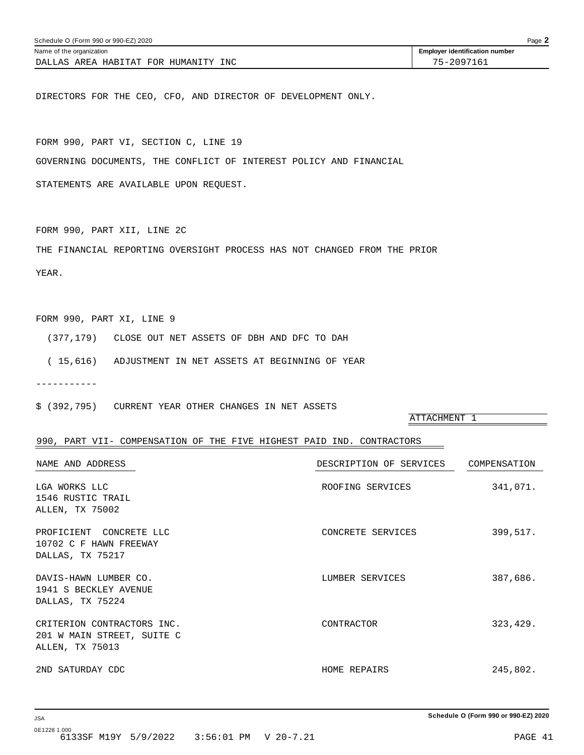<span id="page-38-0"></span>

| Schedule O (Form 990 or 990-EZ) 2020 | Page $\angle$                         |
|--------------------------------------|---------------------------------------|
| Name of the organization             | <b>Employer identification number</b> |
| DALLAS AREA HABITAT FOR HUMANITY INC | 75-2097161                            |

DIRECTORS FOR THE CEO, CFO, AND DIRECTOR OF DEVELOPMENT ONLY.

FORM 990, PART VI, SECTION C, LINE 19 GOVERNING DOCUMENTS, THE CONFLICT OF INTEREST POLICY AND FINANCIAL

STATEMENTS ARE AVAILABLE UPON REQUEST.

FORM 990, PART XII, LINE 2C

THE FINANCIAL REPORTING OVERSIGHT PROCESS HAS NOT CHANGED FROM THE PRIOR

YEAR.

FORM 990, PART XI, LINE 9

(377,179) CLOSE OUT NET ASSETS OF DBH AND DFC TO DAH

( 15,616) ADJUSTMENT IN NET ASSETS AT BEGINNING OF YEAR

-----------

\$ (392,795) CURRENT YEAR OTHER CHANGES IN NET ASSETS

ATTACHMENT 1

#### 990, PART VII- COMPENSATION OF THE FIVE HIGHEST PAID IND. CONTRACTORS

| NAME AND ADDRESS                                                            | DESCRIPTION OF SERVICES | COMPENSATION |
|-----------------------------------------------------------------------------|-------------------------|--------------|
| LGA WORKS LLC<br>1546 RUSTIC TRAIL<br>ALLEN, TX 75002                       | ROOFING SERVICES        | 341,071.     |
| PROFICIENT CONCRETE LLC<br>10702 C F HAWN FREEWAY<br>DALLAS, TX 75217       | CONCRETE SERVICES       | 399,517.     |
| DAVIS-HAWN LUMBER CO.<br>1941 S BECKLEY AVENUE<br>DALLAS, TX 75224          | LUMBER SERVICES         | 387,686.     |
| CRITERION CONTRACTORS INC.<br>201 W MAIN STREET, SUITE C<br>ALLEN, TX 75013 | CONTRACTOR              | 323,429.     |
| 2ND SATURDAY CDC                                                            | HOME REPAIRS            | 245,802.     |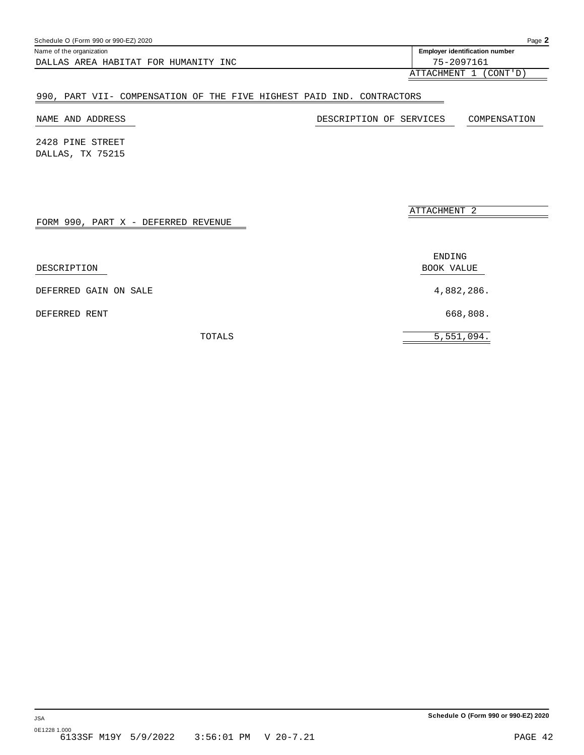<span id="page-39-0"></span>

| Name of the organization                                              | <b>Employer identification number</b>   |  |
|-----------------------------------------------------------------------|-----------------------------------------|--|
| DALLAS AREA HABITAT FOR HUMANITY INC                                  | 75-2097161<br>ATTACHMENT 1 (CONT'D)     |  |
| 990, PART VII- COMPENSATION OF THE FIVE HIGHEST PAID IND. CONTRACTORS |                                         |  |
| NAME AND ADDRESS                                                      | DESCRIPTION OF SERVICES<br>COMPENSATION |  |
| 2428 PINE STREET<br>DALLAS, TX 75215                                  |                                         |  |
| FORM 990, PART X - DEFERRED REVENUE                                   | ATTACHMENT 2                            |  |
|                                                                       |                                         |  |
|                                                                       | ENDING                                  |  |
| DESCRIPTION                                                           | <b>BOOK VALUE</b>                       |  |
| DEFERRED GAIN ON SALE                                                 | 4,882,286.                              |  |
| DEFERRED RENT                                                         | 668,808.                                |  |
| TOTALS                                                                | 5,551,094.                              |  |
|                                                                       |                                         |  |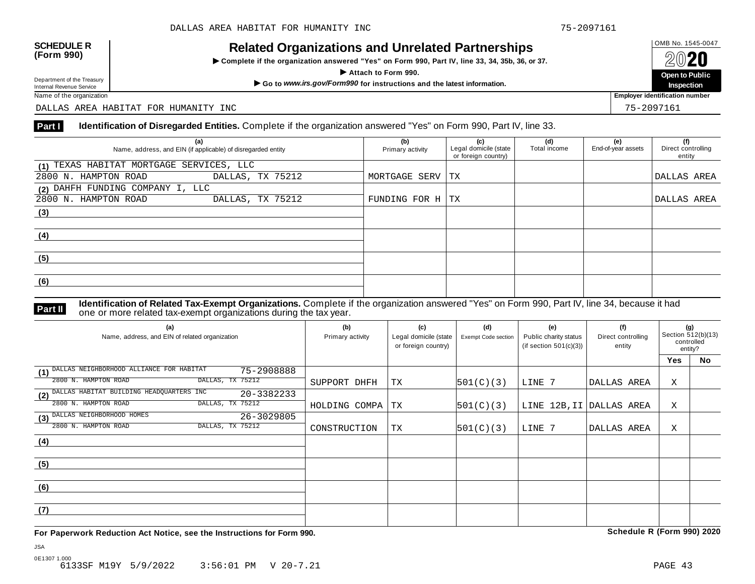**Inspection**

### OMB No. 1545-0047 **SCHEDULE R (Form 990) Related Organizations and Unrelated Partnerships**

 $\triangleright$  Complete if the organization answered "Yes" on Form 990, Part IV, line 33, 34, 35b, 36, or 37.  $\angle$  **COLO**<br>  $\angle$  Attach to Form 990.<br>  $\angle$  Attach to Form 990.



Department of the Treasury

DALLAS AREA HABITAT FOR HUMANITY INC 75-2097161

#### **Part I Identification of Disregarded Entities.** Complete if the organization answered "Yes" on Form 990, Part IV, line 33.

|                                          | (a)<br>Name, address, and EIN (if applicable) of disregarded entity | (b)<br>Primary activity | (c)<br>Legal domicile (state<br>or foreign country) | (d)<br>Total income | (e)<br>End-of-year assets | (f)<br>Direct controlling<br>entity |
|------------------------------------------|---------------------------------------------------------------------|-------------------------|-----------------------------------------------------|---------------------|---------------------------|-------------------------------------|
| (1) TEXAS HABITAT MORTGAGE SERVICES, LLC |                                                                     |                         |                                                     |                     |                           |                                     |
| 2800 N. HAMPTON ROAD                     | MORTGAGE SERV                                                       | l TX                    |                                                     |                     | DALLAS AREA               |                                     |
| (2) DAHFH FUNDING COMPANY I, LLC         |                                                                     |                         |                                                     |                     |                           |                                     |
| 2800 N. HAMPTON ROAD                     | DALLAS, TX 75212                                                    | FUNDING FOR H TX        |                                                     |                     |                           | DALLAS AREA                         |
| (3)                                      |                                                                     |                         |                                                     |                     |                           |                                     |
|                                          |                                                                     |                         |                                                     |                     |                           |                                     |
| (4)                                      |                                                                     |                         |                                                     |                     |                           |                                     |
|                                          |                                                                     |                         |                                                     |                     |                           |                                     |
| (5)                                      |                                                                     |                         |                                                     |                     |                           |                                     |
|                                          |                                                                     |                         |                                                     |                     |                           |                                     |
| (6)                                      |                                                                     |                         |                                                     |                     |                           |                                     |
|                                          |                                                                     |                         |                                                     |                     |                           |                                     |

**Identification of Related Tax-Exempt Organizations.** Complete if the organization answered "Yes" on Form 990, Part IV, line 34, because it had **Part II** one or more related tax-exempt organizations during the tax year.

| (a)<br>Name, address, and EIN of related organization      | (b)<br>Primary activity | (c)<br>Legal domicile (state<br>or foreign country) | (d)<br>Exempt Code section | (e)<br>Public charity status<br>(if section $501(c)(3)$ ) | (f)<br>Direct controlling<br>entity | (g)<br>Section 512(b)(13)<br>controlled<br>entity? |    |
|------------------------------------------------------------|-------------------------|-----------------------------------------------------|----------------------------|-----------------------------------------------------------|-------------------------------------|----------------------------------------------------|----|
|                                                            |                         |                                                     |                            |                                                           |                                     | <b>Yes</b>                                         | No |
| (1) DALLAS NEIGHBORHOOD ALLIANCE FOR HABITAT<br>75-2908888 |                         |                                                     |                            |                                                           |                                     |                                                    |    |
| DALLAS, TX 75212<br>2800 N. HAMPTON ROAD                   | SUPPORT DHFH            | TX                                                  | 501(C)(3)                  | LINE 7                                                    | DALLAS AREA                         | Χ                                                  |    |
| (2) DALLAS HABITAT BUILDING HEADQUARTERS INC<br>20-3382233 |                         |                                                     |                            |                                                           |                                     |                                                    |    |
| DALLAS, TX 75212<br>2800 N. HAMPTON ROAD                   | HOLDING COMPA           | TX                                                  | 501(C)(3)                  | LINE 12B, II DALLAS AREA                                  |                                     | Χ                                                  |    |
| DALLAS NEIGHBORHOOD HOMES<br>26-3029805<br>(3)             |                         |                                                     |                            |                                                           |                                     |                                                    |    |
| DALLAS, TX 75212<br>2800 N. HAMPTON ROAD                   | CONSTRUCTION            | <b>TX</b>                                           | 501(C)(3)                  | LINE 7                                                    | DALLAS AREA                         | X                                                  |    |
| (4)                                                        |                         |                                                     |                            |                                                           |                                     |                                                    |    |
|                                                            |                         |                                                     |                            |                                                           |                                     |                                                    |    |
| (5)                                                        |                         |                                                     |                            |                                                           |                                     |                                                    |    |
|                                                            |                         |                                                     |                            |                                                           |                                     |                                                    |    |
| (6)                                                        |                         |                                                     |                            |                                                           |                                     |                                                    |    |
|                                                            |                         |                                                     |                            |                                                           |                                     |                                                    |    |
| (7)                                                        |                         |                                                     |                            |                                                           |                                     |                                                    |    |
|                                                            |                         |                                                     |                            |                                                           |                                     |                                                    |    |

**For Paperwork Reduction Act Notice, see the Instructions for Form 990. Schedule R (Form 990) 2020**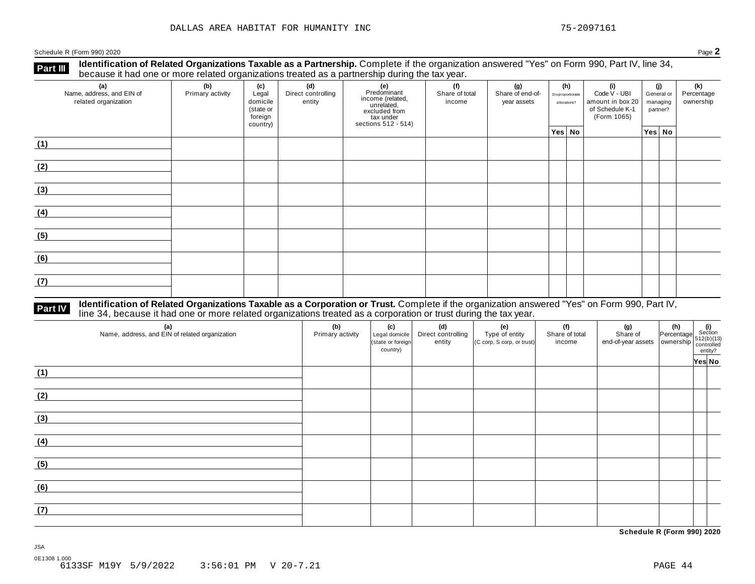**Identification of Related Organizations Taxable as a Partnership.** Complete if the organization answered "Yes" on Form 990, Part IV, line 34, **because it had one or more related organizations Taxable as a Partnership.** Complete if the organization of Related organizations treated as a partnership during the tax year.

| (a)<br>Name, address, and EIN of<br>related organization | ັ<br>(b)<br>Primary activity | (c)<br>Legal<br>domicile<br>(state or<br>foreign<br>country) | (d)<br>Direct controlling<br>entity | ັ<br>(e)<br>Predominant<br>income (related,<br>unrelated,<br>excluded from<br>$\frac{3}{10}$ tax under<br>sections 512 - 514) | (f)<br>Share of total<br>income | (g)<br>Share of end-of-<br>year assets | (h)<br>Disproportionate<br>allocations? | (i)<br>Code V - UBI<br>amount in box 20<br>of Schedule K-1<br>(Form 1065) | (i)<br>General or<br>managing<br>partner? | (k)<br>Percentage<br>ownership |
|----------------------------------------------------------|------------------------------|--------------------------------------------------------------|-------------------------------------|-------------------------------------------------------------------------------------------------------------------------------|---------------------------------|----------------------------------------|-----------------------------------------|---------------------------------------------------------------------------|-------------------------------------------|--------------------------------|
|                                                          |                              |                                                              |                                     |                                                                                                                               |                                 |                                        | $Yes $ No                               |                                                                           | Yes No                                    |                                |
| (1)                                                      |                              |                                                              |                                     |                                                                                                                               |                                 |                                        |                                         |                                                                           |                                           |                                |
| (2)                                                      |                              |                                                              |                                     |                                                                                                                               |                                 |                                        |                                         |                                                                           |                                           |                                |
| (3)                                                      |                              |                                                              |                                     |                                                                                                                               |                                 |                                        |                                         |                                                                           |                                           |                                |
| (4)                                                      |                              |                                                              |                                     |                                                                                                                               |                                 |                                        |                                         |                                                                           |                                           |                                |
| (5)                                                      |                              |                                                              |                                     |                                                                                                                               |                                 |                                        |                                         |                                                                           |                                           |                                |
| (6)                                                      |                              |                                                              |                                     |                                                                                                                               |                                 |                                        |                                         |                                                                           |                                           |                                |
| (7)                                                      |                              |                                                              |                                     |                                                                                                                               |                                 |                                        |                                         |                                                                           |                                           |                                |

## **Part IV** Identification of Related Organizations Taxable as a Corporation or Trust. Complete if the organization answered "Yes" on Form 990, Part IV,<br>line 34, because it had one or more related organizations treated as a

| (a)<br>Name, address, and EIN of related organization | (b)<br>Primary activity | (c)<br>Legal domicile<br>(state or foreign<br>country) | (d)<br>Direct controlling<br>entity | (e)<br>Type of entity<br>(C corp, S corp, or trust) | (f)<br>Share of total<br>income | (g) (h) $\frac{1}{2}$ (i) $\frac{1}{2}$ (i) $\frac{1}{2}$ (i) $\frac{1}{2}$ (i) $\frac{1}{2}$ (i) $\frac{1}{2}$ (b)(13) $\frac{1}{2}$ (c)(b)(13) $\frac{1}{2}$ (c)(b)(13) $\frac{1}{2}$ (c)(c)(led entity? | Yes No |
|-------------------------------------------------------|-------------------------|--------------------------------------------------------|-------------------------------------|-----------------------------------------------------|---------------------------------|------------------------------------------------------------------------------------------------------------------------------------------------------------------------------------------------------------|--------|
| (1)                                                   |                         |                                                        |                                     |                                                     |                                 |                                                                                                                                                                                                            |        |
| (2)                                                   |                         |                                                        |                                     |                                                     |                                 |                                                                                                                                                                                                            |        |
| (3)                                                   |                         |                                                        |                                     |                                                     |                                 |                                                                                                                                                                                                            |        |
| (4)                                                   |                         |                                                        |                                     |                                                     |                                 |                                                                                                                                                                                                            |        |
| (5)                                                   |                         |                                                        |                                     |                                                     |                                 |                                                                                                                                                                                                            |        |
| (6)                                                   |                         |                                                        |                                     |                                                     |                                 |                                                                                                                                                                                                            |        |
| (7)                                                   |                         |                                                        |                                     |                                                     |                                 |                                                                                                                                                                                                            |        |

**Schedule R (Form 990) 2020**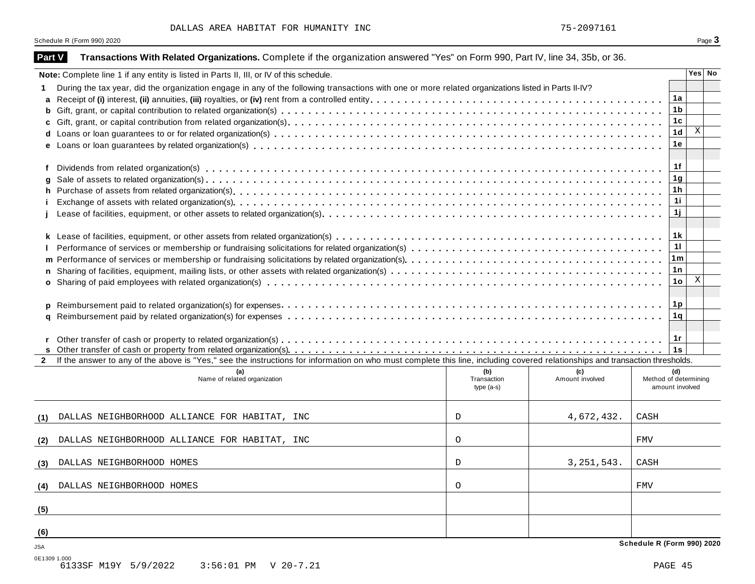| Part V       | Transactions With Related Organizations. Complete if the organization answered "Yes" on Form 990, Part IV, line 34, 35b, or 36.                                              |                                    |                        |            |                                                 |
|--------------|------------------------------------------------------------------------------------------------------------------------------------------------------------------------------|------------------------------------|------------------------|------------|-------------------------------------------------|
|              | Note: Complete line 1 if any entity is listed in Parts II, III, or IV of this schedule.                                                                                      |                                    |                        |            | Yes No                                          |
|              | During the tax year, did the organization engage in any of the following transactions with one or more related organizations listed in Parts II-IV?                          |                                    |                        |            |                                                 |
|              |                                                                                                                                                                              |                                    |                        |            | 1a                                              |
| b            |                                                                                                                                                                              |                                    |                        |            | 1b                                              |
|              |                                                                                                                                                                              |                                    |                        |            | 1c                                              |
|              |                                                                                                                                                                              |                                    |                        |            | X<br>1 <sub>d</sub>                             |
|              |                                                                                                                                                                              |                                    |                        |            | 1e                                              |
|              |                                                                                                                                                                              |                                    |                        |            | 1f                                              |
|              |                                                                                                                                                                              |                                    |                        |            | 1 <sub>g</sub>                                  |
| h.           |                                                                                                                                                                              |                                    |                        |            | 1 <sub>h</sub>                                  |
|              |                                                                                                                                                                              |                                    |                        |            | 11                                              |
|              |                                                                                                                                                                              |                                    |                        |            | 1j                                              |
|              |                                                                                                                                                                              |                                    |                        |            | 1 k                                             |
|              |                                                                                                                                                                              |                                    |                        |            | 11                                              |
|              |                                                                                                                                                                              |                                    |                        |            | 1 <sub>m</sub>                                  |
|              |                                                                                                                                                                              |                                    |                        |            | 1n                                              |
|              |                                                                                                                                                                              |                                    |                        |            | $\boldsymbol{\mathrm{X}}$<br>1 <sub>o</sub>     |
| D            |                                                                                                                                                                              |                                    |                        |            | 1 <sub>p</sub>                                  |
|              |                                                                                                                                                                              |                                    |                        |            | 1q                                              |
|              |                                                                                                                                                                              |                                    |                        |            |                                                 |
|              |                                                                                                                                                                              |                                    |                        |            | 1r<br>1s                                        |
| $\mathbf{2}$ | If the answer to any of the above is "Yes," see the instructions for information on who must complete this line, including covered relationships and transaction thresholds. |                                    |                        |            |                                                 |
|              | Name of related organization                                                                                                                                                 | (b)<br>Transaction<br>type $(a-s)$ | (c)<br>Amount involved |            | (d)<br>Method of determining<br>amount involved |
| (1)          | DALLAS NEIGHBORHOOD ALLIANCE FOR HABITAT, INC                                                                                                                                | D                                  | 4,672,432.             | CASH       |                                                 |
|              | DALLAS NEIGHBORHOOD ALLIANCE FOR HABITAT, INC                                                                                                                                | $\circ$                            |                        | <b>FMV</b> |                                                 |
| (3)          | DALLAS NEIGHBORHOOD HOMES                                                                                                                                                    | D                                  | 3, 251, 543.           | CASH       |                                                 |
| (4)          | DALLAS NEIGHBORHOOD HOMES                                                                                                                                                    | 0                                  |                        | FMV        |                                                 |
| (5)          |                                                                                                                                                                              |                                    |                        |            |                                                 |
| (6)          |                                                                                                                                                                              |                                    |                        |            |                                                 |
| <b>JSA</b>   |                                                                                                                                                                              |                                    |                        |            | Schedule R (Form 990) 2020                      |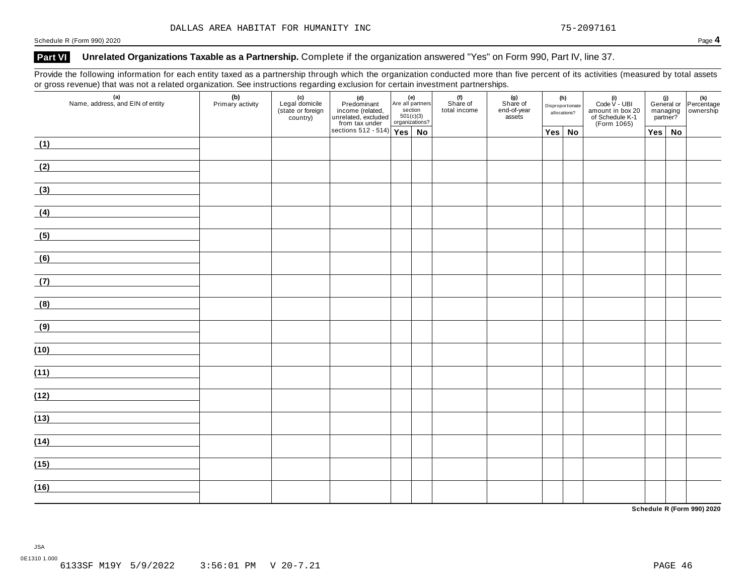#### **Part VI Unrelated Organizations Taxable as a Partnership.** Complete if the organization answered "Yes" on Form 990, Part IV, line 37.

Provide the following information for each entity taxed as a partnership through which the organization conducted more than five percent of its activities (measured by total assets or gross revenue) that was not a related organization. See instructions regarding exclusion for certain investment partnerships.

| $\sim$ $\sim$ $\sim$<br>∸<br>(a)<br>Name, address, and EIN of entity                                                                                                                                                                         | (b)<br>Primary activity | - ت<br>(c)<br>Legal domicile<br>(state or foreign<br>country) | (d)<br>Predominant<br>income (related, Are all partners<br>unrelated, excluded 501(c)(3)<br>from tax under<br>sections 512 - 514)<br>Yes No |  | .<br>(f)<br>Share of<br>total income | $(n)$<br>Share of<br>end-of-year<br>assets | (h)<br>Disproportionate<br>allocations? | (i)<br>Code V - UBI<br>amount in box 20<br>of Schedule K-1<br>(Form 1065) |               | (i)<br>General or Percentage<br>managing ownership<br>partner? |
|----------------------------------------------------------------------------------------------------------------------------------------------------------------------------------------------------------------------------------------------|-------------------------|---------------------------------------------------------------|---------------------------------------------------------------------------------------------------------------------------------------------|--|--------------------------------------|--------------------------------------------|-----------------------------------------|---------------------------------------------------------------------------|---------------|----------------------------------------------------------------|
|                                                                                                                                                                                                                                              |                         |                                                               |                                                                                                                                             |  |                                      |                                            | Yes No                                  |                                                                           | $Yes \mid No$ |                                                                |
| (1)<br><u> 1980 - Jan Stein Stein Stein Stein Stein Stein Stein Stein Stein Stein Stein Stein Stein Stein Stein Stein S</u>                                                                                                                  |                         |                                                               |                                                                                                                                             |  |                                      |                                            |                                         |                                                                           |               |                                                                |
| (2)                                                                                                                                                                                                                                          |                         |                                                               |                                                                                                                                             |  |                                      |                                            |                                         |                                                                           |               |                                                                |
| (3)                                                                                                                                                                                                                                          |                         |                                                               |                                                                                                                                             |  |                                      |                                            |                                         |                                                                           |               |                                                                |
| (4)                                                                                                                                                                                                                                          |                         |                                                               |                                                                                                                                             |  |                                      |                                            |                                         |                                                                           |               |                                                                |
| (5)                                                                                                                                                                                                                                          |                         |                                                               |                                                                                                                                             |  |                                      |                                            |                                         |                                                                           |               |                                                                |
| (6)                                                                                                                                                                                                                                          |                         |                                                               |                                                                                                                                             |  |                                      |                                            |                                         |                                                                           |               |                                                                |
| <u> 1989 - Johann Barn, mars ann an t-Aonaich an t-Aonaich an t-Aonaich an t-Aonaich ann an t-Aonaich ann an t-Aon</u><br>(7)<br><u> 1989 - Jan Barbara Barat, manala</u>                                                                    |                         |                                                               |                                                                                                                                             |  |                                      |                                            |                                         |                                                                           |               |                                                                |
| (8)                                                                                                                                                                                                                                          |                         |                                                               |                                                                                                                                             |  |                                      |                                            |                                         |                                                                           |               |                                                                |
| (9)                                                                                                                                                                                                                                          |                         |                                                               |                                                                                                                                             |  |                                      |                                            |                                         |                                                                           |               |                                                                |
| (10)                                                                                                                                                                                                                                         |                         |                                                               |                                                                                                                                             |  |                                      |                                            |                                         |                                                                           |               |                                                                |
| (11)                                                                                                                                                                                                                                         |                         |                                                               |                                                                                                                                             |  |                                      |                                            |                                         |                                                                           |               |                                                                |
| (12)                                                                                                                                                                                                                                         |                         |                                                               |                                                                                                                                             |  |                                      |                                            |                                         |                                                                           |               |                                                                |
| (13)<br><u> 1980 - Andrea Station Barbara, politik eta provincia eta provincia eta provincia eta provincia eta provincia</u>                                                                                                                 |                         |                                                               |                                                                                                                                             |  |                                      |                                            |                                         |                                                                           |               |                                                                |
| (14)<br><u> 1989 - Jan Stern Stern Stern Stern Stern Stern Stern Stern Stern Stern Stern Stern Stern Stern Stern Stern Stern Stern Stern Stern Stern Stern Stern Stern Stern Stern Stern Stern Stern Stern Stern Stern Stern Stern Stern</u> |                         |                                                               |                                                                                                                                             |  |                                      |                                            |                                         |                                                                           |               |                                                                |
| (15)                                                                                                                                                                                                                                         |                         |                                                               |                                                                                                                                             |  |                                      |                                            |                                         |                                                                           |               |                                                                |
| (16)                                                                                                                                                                                                                                         |                         |                                                               |                                                                                                                                             |  |                                      |                                            |                                         |                                                                           |               |                                                                |
|                                                                                                                                                                                                                                              |                         |                                                               |                                                                                                                                             |  |                                      |                                            |                                         |                                                                           |               |                                                                |

**Schedule R (Form 990) 2020**

JSA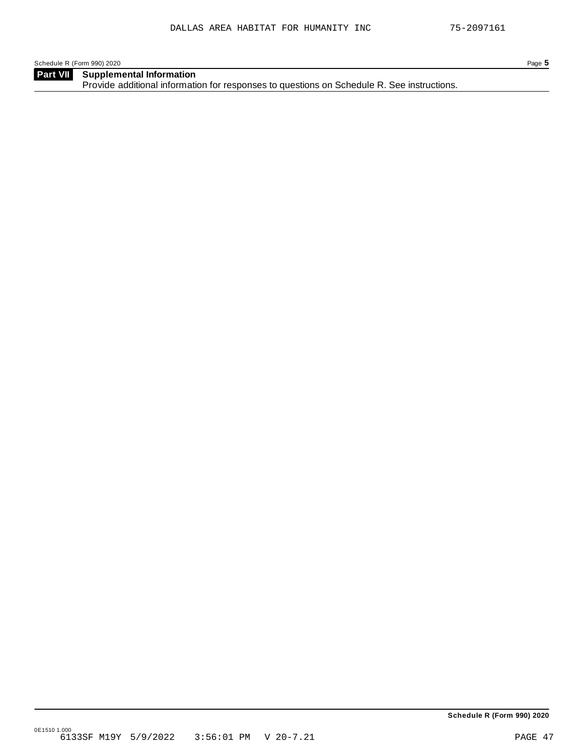**Supplemental Information** Provide additional information for responses to questions on Schedule R. See instructions. **Part VII**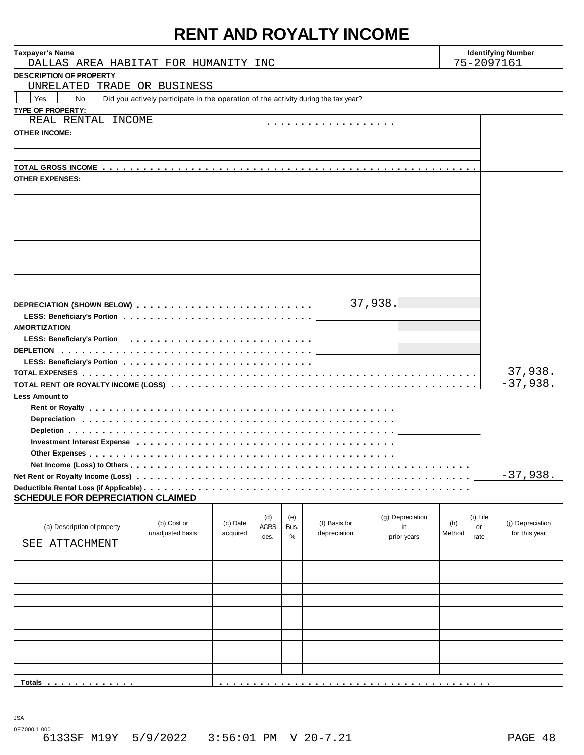## **RENT AND ROYALTY INCOME**

**Taxpayer's Name Identifying Number**

### DALLAS AREA HABITAT FOR HUMANITY INC<br>
75-2097161

### **DESCRIPTION OF PROPERTY**

| UNRELATED TRADE OR BUSINESS                                                                                                     |                                                                                    |          |             |      |               |                  |        |          |                  |
|---------------------------------------------------------------------------------------------------------------------------------|------------------------------------------------------------------------------------|----------|-------------|------|---------------|------------------|--------|----------|------------------|
| <b>No</b><br>Yes                                                                                                                | Did you actively participate in the operation of the activity during the tax year? |          |             |      |               |                  |        |          |                  |
| <b>TYPE OF PROPERTY:</b>                                                                                                        |                                                                                    |          |             |      |               |                  |        |          |                  |
| REAL RENTAL INCOME                                                                                                              |                                                                                    |          |             |      |               |                  |        |          |                  |
| <b>OTHER INCOME:</b>                                                                                                            |                                                                                    |          |             |      |               |                  |        |          |                  |
|                                                                                                                                 |                                                                                    |          |             |      |               |                  |        |          |                  |
|                                                                                                                                 |                                                                                    |          |             |      |               |                  |        |          |                  |
|                                                                                                                                 |                                                                                    |          |             |      |               |                  |        |          |                  |
| <b>OTHER EXPENSES:</b>                                                                                                          |                                                                                    |          |             |      |               |                  |        |          |                  |
|                                                                                                                                 |                                                                                    |          |             |      |               |                  |        |          |                  |
|                                                                                                                                 |                                                                                    |          |             |      |               |                  |        |          |                  |
|                                                                                                                                 |                                                                                    |          |             |      |               |                  |        |          |                  |
|                                                                                                                                 |                                                                                    |          |             |      |               |                  |        |          |                  |
|                                                                                                                                 |                                                                                    |          |             |      |               |                  |        |          |                  |
|                                                                                                                                 |                                                                                    |          |             |      |               |                  |        |          |                  |
|                                                                                                                                 |                                                                                    |          |             |      |               |                  |        |          |                  |
|                                                                                                                                 |                                                                                    |          |             |      |               |                  |        |          |                  |
|                                                                                                                                 |                                                                                    |          |             |      |               |                  |        |          |                  |
|                                                                                                                                 |                                                                                    |          |             |      |               |                  |        |          |                  |
|                                                                                                                                 |                                                                                    |          |             |      |               | 37,938.          |        |          |                  |
|                                                                                                                                 |                                                                                    |          |             |      |               |                  |        |          |                  |
| <b>AMORTIZATION</b>                                                                                                             |                                                                                    |          |             |      |               |                  |        |          |                  |
|                                                                                                                                 |                                                                                    |          |             |      |               |                  |        |          |                  |
|                                                                                                                                 |                                                                                    |          |             |      |               |                  |        |          |                  |
|                                                                                                                                 |                                                                                    |          |             |      |               |                  |        |          |                  |
|                                                                                                                                 |                                                                                    |          |             |      |               |                  |        |          | 37,938.          |
|                                                                                                                                 |                                                                                    |          |             |      |               |                  |        |          | $-37,938.$       |
| <b>Less Amount to</b>                                                                                                           |                                                                                    |          |             |      |               |                  |        |          |                  |
|                                                                                                                                 |                                                                                    |          |             |      |               |                  |        |          |                  |
|                                                                                                                                 |                                                                                    |          |             |      |               |                  |        |          |                  |
|                                                                                                                                 |                                                                                    |          |             |      |               |                  |        |          |                  |
| Investment Interest Expense enterpreeding respectively respectively respectively respectively in the interval of $\mathbb{R}^n$ |                                                                                    |          |             |      |               |                  |        |          |                  |
|                                                                                                                                 |                                                                                    |          |             |      |               |                  |        |          |                  |
|                                                                                                                                 |                                                                                    |          |             |      |               |                  |        |          |                  |
|                                                                                                                                 |                                                                                    |          |             |      |               |                  |        |          | $-37,938.$       |
|                                                                                                                                 |                                                                                    |          |             |      |               |                  |        |          |                  |
| <b>SCHEDULE FOR DEPRECIATION CLAIMED</b>                                                                                        |                                                                                    |          |             |      |               |                  |        |          |                  |
|                                                                                                                                 |                                                                                    |          | (d)         | (e)  |               | (g) Depreciation |        | (i) Life |                  |
| (a) Description of property                                                                                                     | (b) Cost or<br>unadjusted basis                                                    | (c) Date | <b>ACRS</b> | Bus. | (f) Basis for | in               | (h)    | or       | (j) Depreciation |
| SEE ATTACHMENT                                                                                                                  |                                                                                    | acquired | des.        | %    | depreciation  | prior years      | Method | rate     | for this year    |
|                                                                                                                                 |                                                                                    |          |             |      |               |                  |        |          |                  |
|                                                                                                                                 |                                                                                    |          |             |      |               |                  |        |          |                  |
|                                                                                                                                 |                                                                                    |          |             |      |               |                  |        |          |                  |
|                                                                                                                                 |                                                                                    |          |             |      |               |                  |        |          |                  |
|                                                                                                                                 |                                                                                    |          |             |      |               |                  |        |          |                  |
|                                                                                                                                 |                                                                                    |          |             |      |               |                  |        |          |                  |
|                                                                                                                                 |                                                                                    |          |             |      |               |                  |        |          |                  |
|                                                                                                                                 |                                                                                    |          |             |      |               |                  |        |          |                  |
|                                                                                                                                 |                                                                                    |          |             |      |               |                  |        |          |                  |
|                                                                                                                                 |                                                                                    |          |             |      |               |                  |        |          |                  |
|                                                                                                                                 |                                                                                    |          |             |      |               |                  |        |          |                  |
| Totals <u>.</u>                                                                                                                 |                                                                                    |          |             |      |               |                  |        |          |                  |
|                                                                                                                                 |                                                                                    |          |             |      |               |                  |        |          |                  |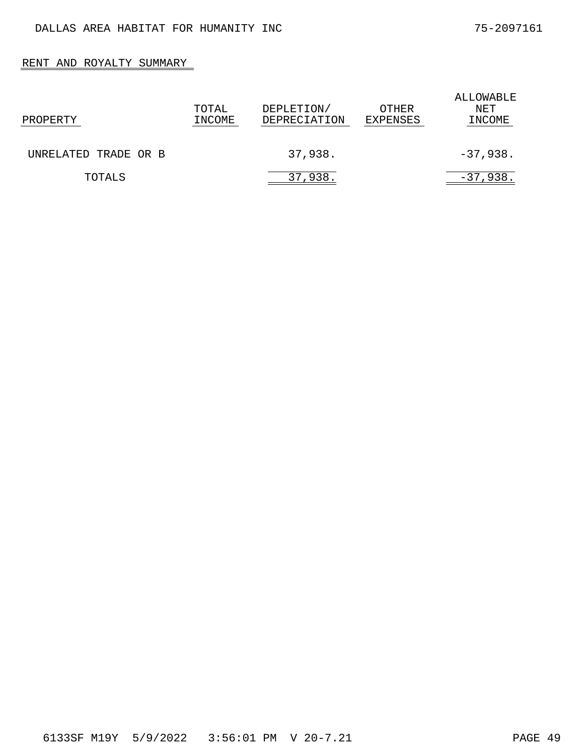#### RENT AND ROYALTY SUMMARY

| PROPERTY             | TOTAL<br>INCOME | DEPLETION/<br>DEPRECIATION | OTHER<br>EXPENSES | ALLOWABLE<br>NET<br>INCOME |
|----------------------|-----------------|----------------------------|-------------------|----------------------------|
| UNRELATED TRADE OR B |                 | 37,938.                    |                   | $-37,938.$                 |
| TOTALS               |                 | 37,938.                    |                   | $-37,938.$                 |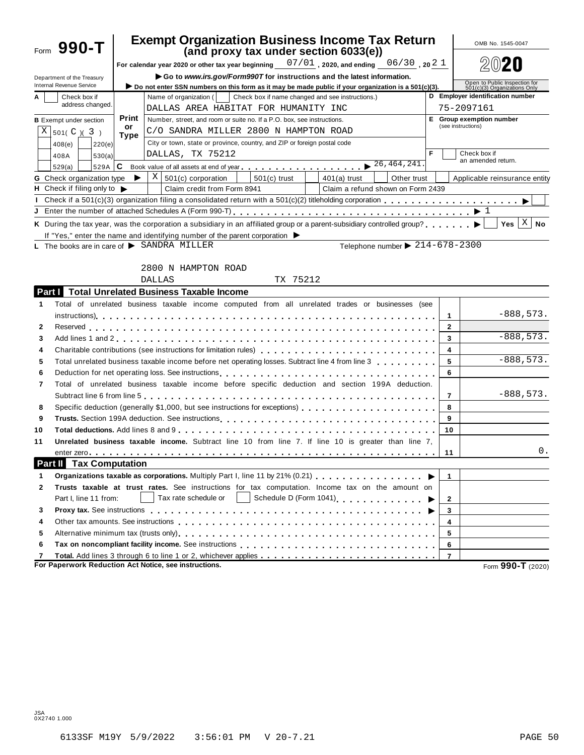|        | Form 990-T                                                    |                   | <b>Exempt Organization Business Income Tax Return</b>                                                                                                                          |                | OMB No. 1545-0047                                             |
|--------|---------------------------------------------------------------|-------------------|--------------------------------------------------------------------------------------------------------------------------------------------------------------------------------|----------------|---------------------------------------------------------------|
|        |                                                               |                   | (and proxy tax under section 6033(e))                                                                                                                                          |                |                                                               |
|        |                                                               |                   | For calendar year 2020 or other tax year beginning $-07/01$ , 2020, and ending $-06/30$ , 20 $21$                                                                              |                |                                                               |
|        | Department of the Treasury<br><b>Internal Revenue Service</b> |                   | Go to www.irs.gov/Form990T for instructions and the latest information.<br>Do not enter SSN numbers on this form as it may be made public if your organization is a 501(c)(3). |                | Open to Public Inspection for<br>501(c)(3) Organizations Only |
| A      | Check box if                                                  |                   | Name of organization (<br>Check box if name changed and see instructions.)                                                                                                     |                | D Employer identification number                              |
|        | address changed.                                              |                   | DALLAS AREA HABITAT FOR HUMANITY INC                                                                                                                                           |                | 75-2097161                                                    |
|        | <b>B</b> Exempt under section                                 | Print             | Number, street, and room or suite no. If a P.O. box, see instructions.                                                                                                         |                | E Group exemption number                                      |
|        | $X$   501( C )( 3)                                            | or<br><b>Type</b> | C/O SANDRA MILLER 2800 N HAMPTON ROAD                                                                                                                                          |                | (see instructions)                                            |
|        | 408(e)<br>220(e)                                              |                   | City or town, state or province, country, and ZIP or foreign postal code                                                                                                       |                |                                                               |
|        | 530(a)<br>408A                                                |                   | F<br>DALLAS, TX 75212                                                                                                                                                          |                | Check box if<br>an amended return.                            |
|        | 529A $ C$<br>529(a)                                           |                   |                                                                                                                                                                                |                |                                                               |
|        | <b>G</b> Check organization type                              | $\rightarrow$     | $X \mid 501(c)$ corporation<br>$501(c)$ trust<br>Other trust<br>$401(a)$ trust                                                                                                 |                | Applicable reinsurance entity                                 |
|        | H Check if filing only to $\blacktriangleright$               |                   | Claim credit from Form 8941<br>Claim a refund shown on Form 2439                                                                                                               |                |                                                               |
|        |                                                               |                   | Check if a $501(c)(3)$ organization filing a consolidated return with a $501(c)(2)$ titleholding corporation                                                                   |                |                                                               |
|        |                                                               |                   |                                                                                                                                                                                |                |                                                               |
|        |                                                               |                   | K During the tax year, was the corporation a subsidiary in an affiliated group or a parent-subsidiary controlled group?                                                        |                | Yes  X <br>No                                                 |
|        |                                                               |                   | If "Yes," enter the name and identifying number of the parent corporation $\blacktriangleright$                                                                                |                |                                                               |
|        |                                                               |                   | Telephone number $\triangleright$ 214-678-2300<br>$\mathsf{L}\;$ The books are in care of $\blacktriangleright$ SANDRA MILLER                                                  |                |                                                               |
|        |                                                               |                   | 2800 N HAMPTON ROAD                                                                                                                                                            |                |                                                               |
|        |                                                               |                   | TX 75212<br><b>DALLAS</b>                                                                                                                                                      |                |                                                               |
|        |                                                               |                   | <b>Total Unrelated Business Taxable Income</b>                                                                                                                                 |                |                                                               |
|        | Part II                                                       |                   |                                                                                                                                                                                |                |                                                               |
| 1      |                                                               |                   | Total of unrelated business taxable income computed from all unrelated trades or businesses (see                                                                               |                | $-888,573.$                                                   |
|        |                                                               |                   |                                                                                                                                                                                | 1<br>2         |                                                               |
| 2<br>3 |                                                               |                   |                                                                                                                                                                                | 3              | $-888, 573.$                                                  |
| 4      |                                                               |                   |                                                                                                                                                                                | 4              |                                                               |
| 5      |                                                               |                   | Total unrelated business taxable income before net operating losses. Subtract line 4 from line 3                                                                               | 5              | $-888, 573.$                                                  |
| 6      |                                                               |                   |                                                                                                                                                                                | 6              |                                                               |
| 7      |                                                               |                   | Total of unrelated business taxable income before specific deduction and section 199A deduction.                                                                               |                |                                                               |
|        |                                                               |                   |                                                                                                                                                                                | 7              | $-888,573.$                                                   |
| 8      |                                                               |                   |                                                                                                                                                                                | 8              |                                                               |
| 9      |                                                               |                   |                                                                                                                                                                                | 9              |                                                               |
| 10     |                                                               |                   |                                                                                                                                                                                | 10             |                                                               |
| 11     |                                                               |                   | Unrelated business taxable income. Subtract line 10 from line 7. If line 10 is greater than line 7,                                                                            |                |                                                               |
|        |                                                               |                   |                                                                                                                                                                                | 11             | $\Omega$                                                      |
|        | <b>Part Tax Computation</b>                                   |                   |                                                                                                                                                                                |                |                                                               |
| 1      |                                                               |                   | Organizations taxable as corporations. Multiply Part I, line 11 by 21% (0.21)                                                                                                  | $\mathbf{1}$   |                                                               |
| 2      |                                                               |                   | Trusts taxable at trust rates. See instructions for tax computation. Income tax on the amount on                                                                               |                |                                                               |
|        | Part I, line 11 from:                                         |                   | Tax rate schedule or                                                                                                                                                           | 2              |                                                               |
| 3      |                                                               |                   |                                                                                                                                                                                | 3              |                                                               |
| 4      |                                                               |                   |                                                                                                                                                                                | 4              |                                                               |
| 5      |                                                               |                   |                                                                                                                                                                                | 5              |                                                               |
| 6      |                                                               |                   |                                                                                                                                                                                | 6              |                                                               |
| 7      |                                                               |                   |                                                                                                                                                                                | $\overline{7}$ |                                                               |
|        |                                                               |                   | For Paperwork Reduction Act Notice, see instructions.                                                                                                                          |                | Form 990-T (2020)                                             |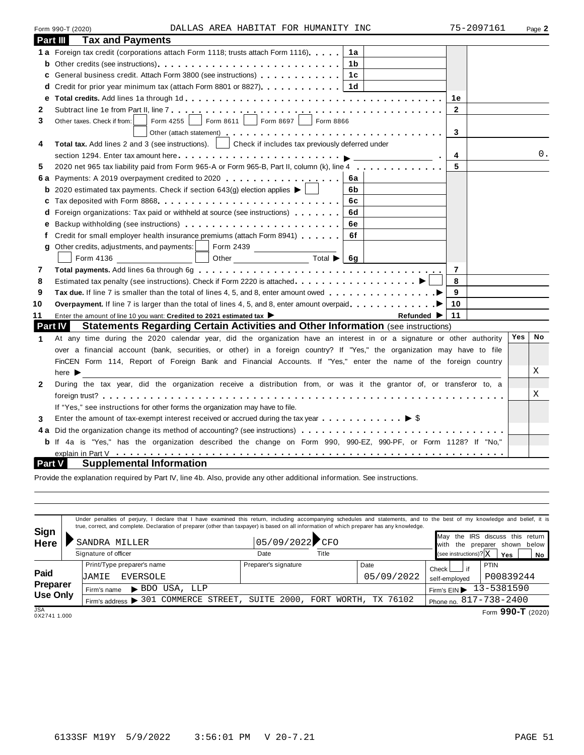|  | Form 990-T (2020) |  |
|--|-------------------|--|

| Part III | <b>Tax and Payments</b>                                                                                                                                                                                                                                                                                                                                                                                                                                             |              |     |    |
|----------|---------------------------------------------------------------------------------------------------------------------------------------------------------------------------------------------------------------------------------------------------------------------------------------------------------------------------------------------------------------------------------------------------------------------------------------------------------------------|--------------|-----|----|
|          | 1 a Foreign tax credit (corporations attach Form 1118; trusts attach Form 1116).<br>1а                                                                                                                                                                                                                                                                                                                                                                              |              |     |    |
|          | 1b                                                                                                                                                                                                                                                                                                                                                                                                                                                                  |              |     |    |
|          |                                                                                                                                                                                                                                                                                                                                                                                                                                                                     |              |     |    |
|          |                                                                                                                                                                                                                                                                                                                                                                                                                                                                     |              |     |    |
| е        |                                                                                                                                                                                                                                                                                                                                                                                                                                                                     | 1е           |     |    |
| 2        |                                                                                                                                                                                                                                                                                                                                                                                                                                                                     | $\mathbf{2}$ |     |    |
| 3        | Form 8611     Form 8697     Form 8866<br>Form 4255<br>Other taxes. Check if from:                                                                                                                                                                                                                                                                                                                                                                                   |              |     |    |
|          |                                                                                                                                                                                                                                                                                                                                                                                                                                                                     | 3            |     |    |
| 4        | Total tax. Add lines 2 and 3 (see instructions).   Check if includes tax previously deferred under                                                                                                                                                                                                                                                                                                                                                                  |              |     |    |
|          |                                                                                                                                                                                                                                                                                                                                                                                                                                                                     | 4            |     | 0. |
| 5        | 2020 net 965 tax liability paid from Form 965-A or Form 965-B, Part II, column (k), line 4                                                                                                                                                                                                                                                                                                                                                                          | 5            |     |    |
|          | 6а                                                                                                                                                                                                                                                                                                                                                                                                                                                                  |              |     |    |
|          | <b>b</b> 2020 estimated tax payments. Check if section 643(g) election applies $\triangleright$<br>6b                                                                                                                                                                                                                                                                                                                                                               |              |     |    |
| c        | Tax deposited with Form 8868.<br>6с                                                                                                                                                                                                                                                                                                                                                                                                                                 |              |     |    |
|          | <b>d</b> Foreign organizations: Tax paid or withheld at source (see instructions)<br>6d                                                                                                                                                                                                                                                                                                                                                                             |              |     |    |
|          | 6e                                                                                                                                                                                                                                                                                                                                                                                                                                                                  |              |     |    |
| Ť.       | 6f<br>Credit for small employer health insurance premiums (attach Form 8941)                                                                                                                                                                                                                                                                                                                                                                                        |              |     |    |
| a        | Other credits, adjustments, and payments:                                                                                                                                                                                                                                                                                                                                                                                                                           |              |     |    |
|          | Other $\overline{\qquad \qquad }$ Total $\blacktriangleright \begin{array}{ c c c }\hline \rule{0pt}{12pt}\quad \rule{2pt}{12pt}\quad \rule{2pt}{12pt}\quad \rule{2pt}{12pt}\quad \rule{2pt}{12pt}\quad \rule{2pt}{12pt}\quad \rule{2pt}{12pt}\quad \rule{2pt}{12pt}\quad \rule{2pt}{12pt}\quad \rule{2pt}{12pt}\quad \rule{2pt}{12pt}\quad \rule{2pt}{12pt}\quad \rule{2pt}{12pt}\quad \rule{2pt}{12pt}\quad \rule{2pt}{12pt}\quad \rule{2pt}{12pt}\$<br>Form 4136 |              |     |    |
| 7        |                                                                                                                                                                                                                                                                                                                                                                                                                                                                     | 7            |     |    |
| 8        |                                                                                                                                                                                                                                                                                                                                                                                                                                                                     | 8            |     |    |
| 9        |                                                                                                                                                                                                                                                                                                                                                                                                                                                                     | 9            |     |    |
| 10       | Overpayment. If line 7 is larger than the total of lines 4, 5, and 8, enter amount overpaid                                                                                                                                                                                                                                                                                                                                                                         | 10           |     |    |
| 11       | Enter the amount of line 10 you want: Credited to 2021 estimated tax<br>Refunded $\blacktriangleright$                                                                                                                                                                                                                                                                                                                                                              | 11           |     |    |
|          | <b>Statements Regarding Certain Activities and Other Information (see instructions)</b><br><b>Part IV</b>                                                                                                                                                                                                                                                                                                                                                           |              |     |    |
| 1        | At any time during the 2020 calendar year, did the organization have an interest in or a signature or other authority                                                                                                                                                                                                                                                                                                                                               |              | Yes | No |
|          | over a financial account (bank, securities, or other) in a foreign country? If "Yes," the organization may have to file                                                                                                                                                                                                                                                                                                                                             |              |     |    |
|          | FinCEN Form 114, Report of Foreign Bank and Financial Accounts. If "Yes," enter the name of the foreign country                                                                                                                                                                                                                                                                                                                                                     |              |     |    |
|          | here $\blacktriangleright$                                                                                                                                                                                                                                                                                                                                                                                                                                          |              |     | X  |
| 2        | During the tax year, did the organization receive a distribution from, or was it the grantor of, or transferor to, a                                                                                                                                                                                                                                                                                                                                                |              |     |    |
|          |                                                                                                                                                                                                                                                                                                                                                                                                                                                                     |              |     | X  |
|          | If "Yes," see instructions for other forms the organization may have to file.                                                                                                                                                                                                                                                                                                                                                                                       |              |     |    |
| 3        | Enter the amount of tax-exempt interest received or accrued during the tax year $\ldots \ldots \ldots$                                                                                                                                                                                                                                                                                                                                                              |              |     |    |
|          | 4 a Did the organization change its method of accounting? (see instructions)                                                                                                                                                                                                                                                                                                                                                                                        |              |     |    |
|          | b If 4a is "Yes," has the organization described the change on Form 990, 990-EZ, 990-PF, or Form 1128? If "No,"                                                                                                                                                                                                                                                                                                                                                     |              |     |    |
|          |                                                                                                                                                                                                                                                                                                                                                                                                                                                                     |              |     |    |
| Part V   | <b>Supplemental Information</b>                                                                                                                                                                                                                                                                                                                                                                                                                                     |              |     |    |

Provide the explanation required by Part IV, line 4b. Also, provide any other additional information. See instructions.

| <b>Sign</b>                | Under penalties of perjury, I declare that I have examined this return, including accompanying schedules and statements, and to the best of my knowledge and belief, it is<br>true, correct, and complete. Declaration of preparer (other than taxpayer) is based on all information of which preparer has any knowledge. |                      |       |                                                                         |                                    |                   |
|----------------------------|---------------------------------------------------------------------------------------------------------------------------------------------------------------------------------------------------------------------------------------------------------------------------------------------------------------------------|----------------------|-------|-------------------------------------------------------------------------|------------------------------------|-------------------|
| <b>Here</b>                | SANDRA MILLER                                                                                                                                                                                                                                                                                                             | $105/09/2022$ CFO    |       | the IRS discuss this return<br>,May<br>the preparer shown below<br>with |                                    |                   |
|                            | Signature of officer                                                                                                                                                                                                                                                                                                      | Date                 | Title |                                                                         | (see instructions)? $ \mathrm{X} $ | Yes<br>No         |
|                            | Print/Type preparer's name                                                                                                                                                                                                                                                                                                | Preparer's signature |       | Date                                                                    | if<br>Check L                      | <b>PTIN</b>       |
| Paid                       | EVERSOLE<br>JAMIE                                                                                                                                                                                                                                                                                                         |                      |       | 05/09/2022                                                              | self-employed                      | P00839244         |
| Preparer                   | BDO USA, LLP<br>Firm's name                                                                                                                                                                                                                                                                                               |                      |       |                                                                         | 13-5381590<br>Firm's $EIN$         |                   |
| <b>Use Only</b>            | Firm's address > 301 COMMERCE STREET, SUITE 2000, FORT WORTH, TX 76102                                                                                                                                                                                                                                                    |                      |       |                                                                         | Phone no. $817 - 738 - 2400$       |                   |
| <b>JSA</b><br>0X2741 1.000 |                                                                                                                                                                                                                                                                                                                           |                      |       |                                                                         |                                    | Form 990-T (2020) |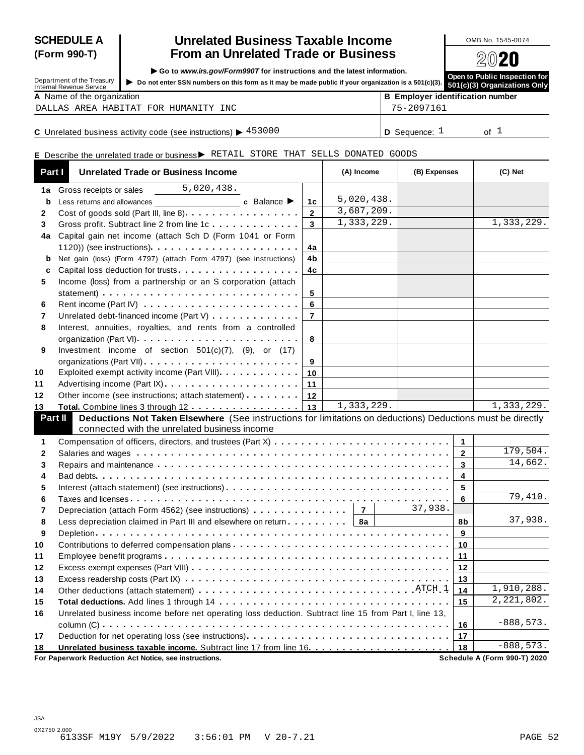## **(Form 990-T)**

Internal Revenue Service

## **SCHEDULE A**  $\begin{bmatrix} \end{bmatrix}$  **Unrelated Business Taxable Income**  $\begin{bmatrix} \end{bmatrix}$  OMB No. 1545-0074 **From an Unrelated Trade or Business**<br> **Exacto www.irs.gov/Form990T for instructions and the latest information.**

|  | A Name of the organization |
|--|----------------------------|

Department of the Treasury **Department of the Treasury Department of the Treasury Department of the Treasury Department of the Treasury Department of the Treasury Department of the Treasury Department of the Concentration** 

| A Name of the organization           | <b>B</b> Employer identification number |
|--------------------------------------|-----------------------------------------|
| DALLAS AREA HABITAT FOR HUMANITY INC | 75-2097161                              |
|                                      |                                         |

**C** Unrelated business activity code (see instructions)  $\triangleright$  453000 **D** Sequence: 1 of 1

 $|D \text{ Sequence: } 1$ 

## **E** Describe the unrelated trade or business **FXETAIL STORE THAT SELLS DONATED GOODS**

| Part I         | <b>Unrelated Trade or Business Income</b>                                                                                                                              |                | (A) Income | (B) Expenses |              | (C) Net                      |
|----------------|------------------------------------------------------------------------------------------------------------------------------------------------------------------------|----------------|------------|--------------|--------------|------------------------------|
| 1a             | 5,020,438.<br>Gross receipts or sales                                                                                                                                  |                |            |              |              |                              |
| b              |                                                                                                                                                                        | 1 <sub>c</sub> | 5,020,438. |              |              |                              |
| 2              | Cost of goods sold (Part III, line 8).                                                                                                                                 | $\overline{2}$ | 3,687,209. |              |              |                              |
| 3              | Gross profit. Subtract line 2 from line 1c                                                                                                                             | 3              | 1,333,229. |              |              | 1,333,229.                   |
| 4a             | Capital gain net income (attach Sch D (Form 1041 or Form                                                                                                               |                |            |              |              |                              |
|                |                                                                                                                                                                        | 4a             |            |              |              |                              |
| b              | Net gain (loss) (Form 4797) (attach Form 4797) (see instructions)                                                                                                      | 4b             |            |              |              |                              |
| C              | Capital loss deduction for trusts                                                                                                                                      | 4c             |            |              |              |                              |
| 5              | Income (loss) from a partnership or an S corporation (attach                                                                                                           |                |            |              |              |                              |
|                |                                                                                                                                                                        | 5              |            |              |              |                              |
| 6              |                                                                                                                                                                        | 6              |            |              |              |                              |
| $\overline{7}$ | Unrelated debt-financed income (Part V)                                                                                                                                | $\overline{7}$ |            |              |              |                              |
| 8              | Interest, annuities, royalties, and rents from a controlled                                                                                                            |                |            |              |              |                              |
|                | organization (Part VI)                                                                                                                                                 | 8              |            |              |              |                              |
| 9              | Investment income of section $501(c)(7)$ , (9), or (17)                                                                                                                |                |            |              |              |                              |
|                | organizations (Part VII)                                                                                                                                               | 9              |            |              |              |                              |
| 10             | Exploited exempt activity income (Part VIII).                                                                                                                          | 10             |            |              |              |                              |
| 11             | Advertising income (Part IX)                                                                                                                                           | 11             |            |              |              |                              |
| 12             | Other income (see instructions; attach statement)                                                                                                                      | 12             |            |              |              |                              |
| 13             | Total. Combine lines 3 through 12                                                                                                                                      | 13             | 1,333,229. |              |              | 1,333,229.                   |
|                | Deductions Not Taken Elsewhere (See instructions for limitations on deductions) Deductions must be directly<br>Part II<br>connected with the unrelated business income |                |            |              |              |                              |
| 1              |                                                                                                                                                                        |                |            |              | $\mathbf{1}$ |                              |
| $\mathbf{2}$   |                                                                                                                                                                        |                |            |              | $\mathbf{2}$ | 179,504.                     |
| 3              |                                                                                                                                                                        |                |            |              | 3            | 14,662.                      |
| 4              |                                                                                                                                                                        |                |            |              | 4            |                              |
| 5              |                                                                                                                                                                        |                |            |              | 5            |                              |
| 6              |                                                                                                                                                                        |                |            |              | 6            | 79,410.                      |
| 7              | Depreciation (attach Form 4562) (see instructions) $\ldots \ldots \ldots \ldots$                                                                                       |                |            | 37,938.      |              |                              |
| 8              | Less depreciation claimed in Part III and elsewhere on return. $\mathbb{R}$                                                                                            |                |            |              | 8b           | 37,938.                      |
| 9              |                                                                                                                                                                        |                |            |              | 9            |                              |
| 10             |                                                                                                                                                                        |                |            |              | 10           |                              |
| 11             |                                                                                                                                                                        |                |            |              | 11           |                              |
| 12             |                                                                                                                                                                        |                |            |              | 12           |                              |
| 13             |                                                                                                                                                                        |                |            |              | 13           |                              |
| 14             |                                                                                                                                                                        |                |            |              | 14           | 1,910,288.                   |
| 15             |                                                                                                                                                                        |                |            |              | 15           | 2, 221, 802.                 |
| 16             | Unrelated business income before net operating loss deduction. Subtract line 15 from Part I, line 13,                                                                  |                |            |              |              |                              |
|                |                                                                                                                                                                        |                |            |              | 16           | $-888,573.$                  |
| 17             | Deduction for net operating loss (see instructions)                                                                                                                    |                |            |              | 17           |                              |
| 18             |                                                                                                                                                                        |                |            |              | 18           | $-888,573.$                  |
|                | For Paperwork Reduction Act Notice, see instructions.                                                                                                                  |                |            |              |              | Schedule A (Form 990-T) 2020 |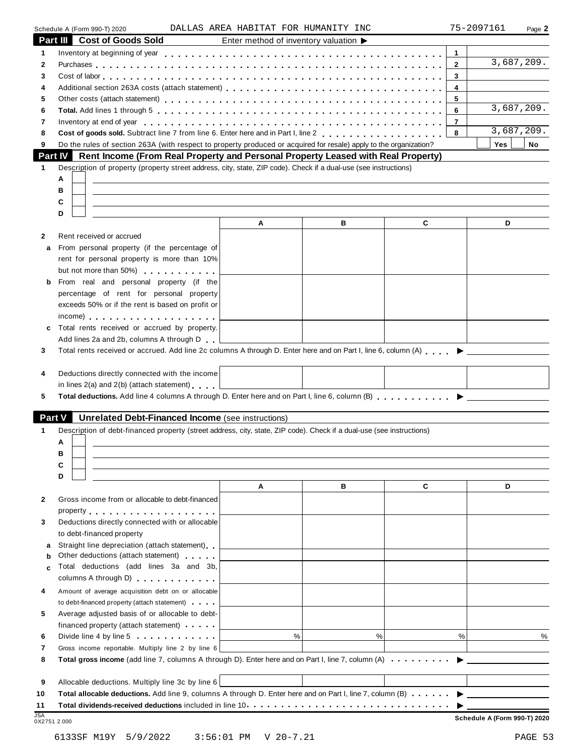| Schedule A (Form 990-T) 2020 |                                                                                                                                                                                                                                |                                                           |   |      |                       | Page 2     |
|------------------------------|--------------------------------------------------------------------------------------------------------------------------------------------------------------------------------------------------------------------------------|-----------------------------------------------------------|---|------|-----------------------|------------|
|                              | <b>Part III</b> Cost of Goods Sold                                                                                                                                                                                             | Enter method of inventory valuation $\blacktriangleright$ |   |      |                       |            |
| 1                            | Inventory at beginning of year end on the state of the state of the state of the state of the state of the state of the state of the state of the state of the state of the state of the state of the state of the state of th |                                                           |   |      | 1                     |            |
|                              |                                                                                                                                                                                                                                |                                                           |   |      | $\mathbf{2}$          | 3,687,209. |
|                              |                                                                                                                                                                                                                                |                                                           |   |      | 3                     |            |
|                              |                                                                                                                                                                                                                                |                                                           |   |      | 4                     |            |
|                              | Other costs (attach statement) enterpresent response to the cost of the costs (attach statement)                                                                                                                               |                                                           |   |      | 5                     |            |
| 6                            |                                                                                                                                                                                                                                |                                                           |   |      | 6                     | 3,687,209. |
|                              | Inventory at end of year entering contact on a series of the contact of the contact of the contact of the contact of the contact of the contact of the contact of the contact of the contact of the contact of the contact of  |                                                           |   |      | $\overline{7}$        |            |
| 8                            |                                                                                                                                                                                                                                |                                                           |   |      | 8                     | 3,687,209. |
| 9                            | Do the rules of section 263A (with respect to property produced or acquired for resale) apply to the organization?                                                                                                             |                                                           |   |      | Yes                   | No         |
|                              | <b>Part IV</b> Rent Income (From Real Property and Personal Property Leased with Real Property)                                                                                                                                |                                                           |   |      |                       |            |
| 1                            | Description of property (property street address, city, state, ZIP code). Check if a dual-use (see instructions)                                                                                                               |                                                           |   |      |                       |            |
| A                            |                                                                                                                                                                                                                                |                                                           |   |      |                       |            |
| в                            |                                                                                                                                                                                                                                |                                                           |   |      |                       |            |
| C                            |                                                                                                                                                                                                                                |                                                           |   |      |                       |            |
| D                            |                                                                                                                                                                                                                                |                                                           |   |      |                       |            |
|                              |                                                                                                                                                                                                                                | A                                                         | в | C    |                       | D          |
|                              | Rent received or accrued                                                                                                                                                                                                       |                                                           |   |      |                       |            |
| а                            | From personal property (if the percentage of                                                                                                                                                                                   |                                                           |   |      |                       |            |
|                              | rent for personal property is more than 10%                                                                                                                                                                                    |                                                           |   |      |                       |            |
|                              | but not more than 50%) and the more than 1.                                                                                                                                                                                    |                                                           |   |      |                       |            |
|                              | <b>b</b> From real and personal property (if the                                                                                                                                                                               |                                                           |   |      |                       |            |
|                              | percentage of rent for personal property                                                                                                                                                                                       |                                                           |   |      |                       |            |
|                              | exceeds 50% or if the rent is based on profit or                                                                                                                                                                               |                                                           |   |      |                       |            |
|                              | $income)$ $\cdots$ $\cdots$ $\cdots$ $\cdots$                                                                                                                                                                                  |                                                           |   |      |                       |            |
|                              | Total rents received or accrued by property.                                                                                                                                                                                   |                                                           |   |      |                       |            |
|                              | Add lines 2a and 2b, columns A through D                                                                                                                                                                                       |                                                           |   |      |                       |            |
|                              |                                                                                                                                                                                                                                |                                                           |   |      |                       |            |
|                              | Total rents received or accrued. Add line 2c columns A through D. Enter here and on Part I, line 6, column (A) ▶<br>Deductions directly connected with the income<br>in lines $2(a)$ and $2(b)$ (attach statement)             |                                                           |   |      |                       |            |
|                              | <b>Unrelated Debt-Financed Income</b> (see instructions)<br>Description of debt-financed property (street address, city, state, ZIP code). Check if a dual-use (see instructions)                                              |                                                           |   |      |                       |            |
| <b>Part V</b><br>А           |                                                                                                                                                                                                                                |                                                           |   |      |                       |            |
| в                            |                                                                                                                                                                                                                                |                                                           |   |      |                       |            |
| C                            |                                                                                                                                                                                                                                |                                                           |   |      |                       |            |
| D                            |                                                                                                                                                                                                                                |                                                           |   |      |                       |            |
|                              |                                                                                                                                                                                                                                | A                                                         | в | C    |                       | D          |
|                              | Gross income from or allocable to debt-financed                                                                                                                                                                                |                                                           |   |      |                       |            |
|                              | property property                                                                                                                                                                                                              |                                                           |   |      |                       |            |
|                              | Deductions directly connected with or allocable                                                                                                                                                                                |                                                           |   |      |                       |            |
|                              | to debt-financed property                                                                                                                                                                                                      |                                                           |   |      |                       |            |
|                              | Straight line depreciation (attach statement)                                                                                                                                                                                  |                                                           |   |      |                       |            |
|                              | Other deductions (attach statement)                                                                                                                                                                                            |                                                           |   |      |                       |            |
|                              | Total deductions (add lines 3a and 3b,                                                                                                                                                                                         |                                                           |   |      |                       |            |
|                              | columns A through D) columns A through D                                                                                                                                                                                       |                                                           |   |      |                       |            |
|                              | Amount of average acquisition debt on or allocable                                                                                                                                                                             |                                                           |   |      |                       |            |
|                              | to debt-financed property (attach statement)                                                                                                                                                                                   |                                                           |   |      |                       |            |
|                              | Average adjusted basis of or allocable to debt-                                                                                                                                                                                |                                                           |   |      |                       |            |
|                              | financed property (attach statement)                                                                                                                                                                                           |                                                           |   |      |                       |            |
|                              | Divide line 4 by line 5 [10] [10] Divide line 4 by line 5                                                                                                                                                                      | %                                                         |   | $\%$ | %                     |            |
|                              | Gross income reportable. Multiply line 2 by line 6                                                                                                                                                                             |                                                           |   |      |                       |            |
|                              | Total gross income (add line 7, columns A through D). Enter here and on Part I, line 7, column (A)                                                                                                                             |                                                           |   |      | $\blacktriangleright$ |            |
|                              |                                                                                                                                                                                                                                |                                                           |   |      |                       |            |
|                              | Allocable deductions. Multiply line 3c by line 6                                                                                                                                                                               |                                                           |   |      |                       | %          |
|                              | Total allocable deductions. Add line 9, columns A through D. Enter here and on Part I, line 7, column (B) $\ldots \ldots$                                                                                                      |                                                           |   |      |                       |            |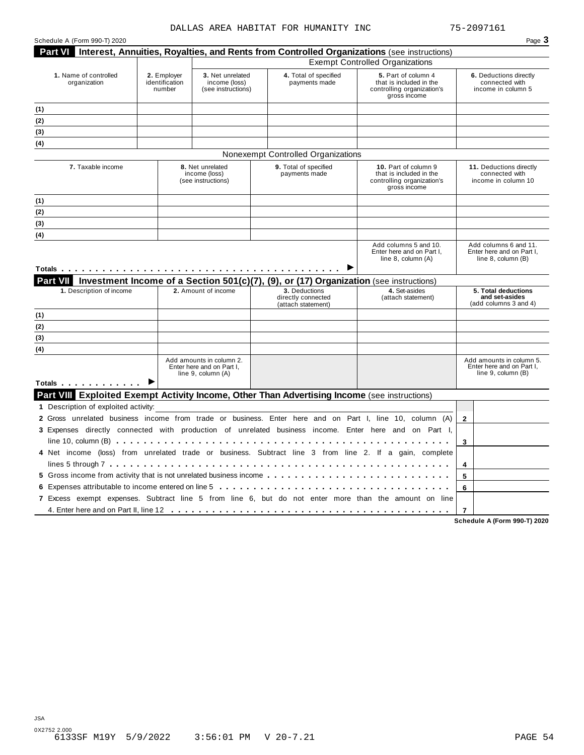|  |  |  |  | DALLAS AREA HABITAT FOR HUMANITY INC |  |
|--|--|--|--|--------------------------------------|--|
|--|--|--|--|--------------------------------------|--|

| Schedule A (Form 990-T) 2020                                                                                                                                                                                                   |                                         |                                                                             |                                                                                                         |                                                                                               | Page 3                                                                      |
|--------------------------------------------------------------------------------------------------------------------------------------------------------------------------------------------------------------------------------|-----------------------------------------|-----------------------------------------------------------------------------|---------------------------------------------------------------------------------------------------------|-----------------------------------------------------------------------------------------------|-----------------------------------------------------------------------------|
| Part VI                                                                                                                                                                                                                        |                                         |                                                                             | Interest, Annuities, Royalties, and Rents from Controlled Organizations (see instructions)              |                                                                                               |                                                                             |
|                                                                                                                                                                                                                                |                                         |                                                                             |                                                                                                         | <b>Exempt Controlled Organizations</b>                                                        |                                                                             |
| 1. Name of controlled<br>organization                                                                                                                                                                                          | 2. Employer<br>identification<br>number | 3. Net unrelated<br>income (loss)<br>(see instructions)                     | 4. Total of specified<br>payments made                                                                  | 5. Part of column 4<br>that is included in the<br>controlling organization's<br>gross income  | 6. Deductions directly<br>connected with<br>income in column 5              |
| (1)                                                                                                                                                                                                                            |                                         |                                                                             |                                                                                                         |                                                                                               |                                                                             |
| (2)                                                                                                                                                                                                                            |                                         |                                                                             |                                                                                                         |                                                                                               |                                                                             |
| (3)                                                                                                                                                                                                                            |                                         |                                                                             |                                                                                                         |                                                                                               |                                                                             |
| (4)                                                                                                                                                                                                                            |                                         |                                                                             |                                                                                                         |                                                                                               |                                                                             |
|                                                                                                                                                                                                                                |                                         |                                                                             | Nonexempt Controlled Organizations                                                                      |                                                                                               |                                                                             |
| 7. Taxable income                                                                                                                                                                                                              |                                         | 8. Net unrelated<br>income (loss)<br>(see instructions)                     | 9. Total of specified<br>payments made                                                                  | 10. Part of column 9<br>that is included in the<br>controlling organization's<br>gross income | 11. Deductions directly<br>connected with<br>income in column 10            |
| (1)                                                                                                                                                                                                                            |                                         |                                                                             |                                                                                                         |                                                                                               |                                                                             |
| (2)                                                                                                                                                                                                                            |                                         |                                                                             |                                                                                                         |                                                                                               |                                                                             |
| (3)                                                                                                                                                                                                                            |                                         |                                                                             |                                                                                                         |                                                                                               |                                                                             |
| (4)                                                                                                                                                                                                                            |                                         |                                                                             |                                                                                                         |                                                                                               |                                                                             |
|                                                                                                                                                                                                                                |                                         |                                                                             |                                                                                                         | Add columns 5 and 10.<br>Enter here and on Part I,<br>line 8, column (A)                      | Add columns 6 and 11.<br>Enter here and on Part I,<br>line 8, column (B)    |
| Part VII                                                                                                                                                                                                                       |                                         |                                                                             | Investment Income of a Section 501(c)(7), (9), or (17) Organization (see instructions)                  |                                                                                               |                                                                             |
| 1. Description of income                                                                                                                                                                                                       |                                         | 2. Amount of income                                                         | 3. Deductions<br>directly connected<br>(attach statement)                                               | 4. Set-asides<br>(attach statement)                                                           | 5. Total deductions<br>and set-asides<br>(add columns 3 and 4)              |
| (1)                                                                                                                                                                                                                            |                                         |                                                                             |                                                                                                         |                                                                                               |                                                                             |
| (2)                                                                                                                                                                                                                            |                                         |                                                                             |                                                                                                         |                                                                                               |                                                                             |
| (3)                                                                                                                                                                                                                            |                                         |                                                                             |                                                                                                         |                                                                                               |                                                                             |
| (4)                                                                                                                                                                                                                            |                                         |                                                                             |                                                                                                         |                                                                                               |                                                                             |
|                                                                                                                                                                                                                                |                                         | Add amounts in column 2.<br>Enter here and on Part I,<br>line 9, column (A) |                                                                                                         |                                                                                               | Add amounts in column 5.<br>Enter here and on Part I,<br>line 9, column (B) |
| Totals                                                                                                                                                                                                                         |                                         |                                                                             |                                                                                                         |                                                                                               |                                                                             |
|                                                                                                                                                                                                                                |                                         |                                                                             | Part VIII Exploited Exempt Activity Income, Other Than Advertising Income (see instructions)            |                                                                                               |                                                                             |
| 1 Description of exploited activity:                                                                                                                                                                                           |                                         |                                                                             |                                                                                                         |                                                                                               |                                                                             |
|                                                                                                                                                                                                                                |                                         |                                                                             | 2 Gross unrelated business income from trade or business. Enter here and on Part I, line 10, column (A) |                                                                                               | $\overline{2}$                                                              |
|                                                                                                                                                                                                                                |                                         |                                                                             | 3 Expenses directly connected with production of unrelated business income. Enter here and on Part I,   |                                                                                               |                                                                             |
| line 10, column $(B)$ . The same set of the set of the set of the set of the set of the set of the set of the set of the set of the set of the set of the set of the set of the set of the set of the set of the set of the se |                                         |                                                                             |                                                                                                         |                                                                                               | 3                                                                           |
| 4 Net income (loss) from unrelated trade or business. Subtract line 3 from                                                                                                                                                     |                                         |                                                                             | line                                                                                                    | 2.<br>gain, complete<br>a                                                                     |                                                                             |
| lines 5 through $7 \ldots \ldots \ldots \ldots \ldots$                                                                                                                                                                         |                                         |                                                                             |                                                                                                         |                                                                                               | 4                                                                           |
| 5 Gross income from activity that is not unrelated business income                                                                                                                                                             |                                         |                                                                             |                                                                                                         |                                                                                               | 5                                                                           |
| 6 Expenses attributable to income entered on line 5                                                                                                                                                                            |                                         |                                                                             |                                                                                                         |                                                                                               | 6                                                                           |
|                                                                                                                                                                                                                                |                                         |                                                                             | 7 Excess exempt expenses. Subtract line 5 from line 6, but do not enter more than the amount on line    |                                                                                               |                                                                             |
|                                                                                                                                                                                                                                |                                         |                                                                             |                                                                                                         |                                                                                               | $\overline{7}$                                                              |

**Schedule A (Form 990-T) 2020**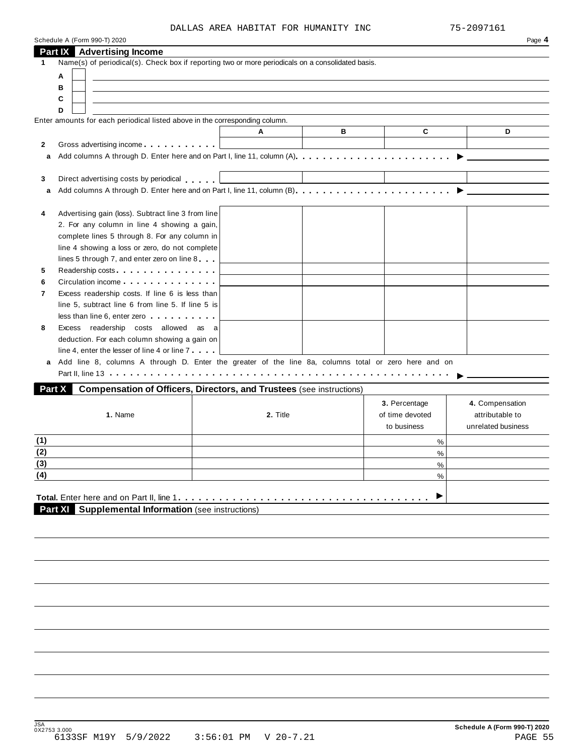#### DALLAS AREA HABITAT FOR HUMANITY INC 75-2097161

| Schedule A (Form 990-T) 2020                                                                            | DALLAS AKEA NADIIAI PUK NUMANIII INC |                 | 79-4097101<br>Page 4 |
|---------------------------------------------------------------------------------------------------------|--------------------------------------|-----------------|----------------------|
| <b>Part IX Advertising Income</b>                                                                       |                                      |                 |                      |
| Name(s) of periodical(s). Check box if reporting two or more periodicals on a consolidated basis.<br>1. |                                      |                 |                      |
| A                                                                                                       |                                      |                 |                      |
| в                                                                                                       |                                      |                 |                      |
| C                                                                                                       |                                      |                 |                      |
| D                                                                                                       |                                      |                 |                      |
| Enter amounts for each periodical listed above in the corresponding column.                             |                                      |                 |                      |
|                                                                                                         | A                                    | в<br>C          | D                    |
|                                                                                                         |                                      |                 |                      |
| a                                                                                                       |                                      |                 |                      |
|                                                                                                         |                                      |                 |                      |
| Direct advertising costs by periodical                                                                  |                                      |                 |                      |
| a                                                                                                       |                                      |                 |                      |
|                                                                                                         |                                      |                 |                      |
| Advertising gain (loss). Subtract line 3 from line                                                      |                                      |                 |                      |
| 2. For any column in line 4 showing a gain,                                                             |                                      |                 |                      |
| complete lines 5 through 8. For any column in                                                           |                                      |                 |                      |
| line 4 showing a loss or zero, do not complete                                                          |                                      |                 |                      |
| lines 5 through 7, and enter zero on line 8                                                             |                                      |                 |                      |
| Readership costs                                                                                        |                                      |                 |                      |
| Circulation income                                                                                      |                                      |                 |                      |
| Excess readership costs. If line 6 is less than                                                         |                                      |                 |                      |
| line 5, subtract line 6 from line 5. If line 5 is                                                       |                                      |                 |                      |
| less than line 6, enter zero                                                                            |                                      |                 |                      |
| Excess readership costs allowed as a                                                                    |                                      |                 |                      |
| deduction. For each column showing a gain on<br>line 4, enter the lesser of line 4 or line 7            |                                      |                 |                      |
| a Add line 8, columns A through D. Enter the greater of the line 8a, columns total or zero here and on  |                                      |                 |                      |
|                                                                                                         |                                      |                 |                      |
|                                                                                                         |                                      |                 |                      |
| <b>Compensation of Officers, Directors, and Trustees (see instructions)</b><br><b>Part X</b>            |                                      |                 |                      |
|                                                                                                         |                                      | 3. Percentage   | 4. Compensation      |
| 1. Name                                                                                                 | 2. Title                             | of time devoted | attributable to      |
|                                                                                                         |                                      | to business     | unrelated business   |
|                                                                                                         |                                      | %               |                      |
|                                                                                                         |                                      | $\%$            |                      |
|                                                                                                         |                                      | %               |                      |
|                                                                                                         |                                      | $\%$            |                      |
|                                                                                                         |                                      |                 |                      |
|                                                                                                         |                                      | ▶               |                      |
| Part XI Supplemental Information (see instructions)                                                     |                                      |                 |                      |
|                                                                                                         |                                      |                 |                      |
|                                                                                                         |                                      |                 |                      |
|                                                                                                         |                                      |                 |                      |
|                                                                                                         |                                      |                 |                      |
|                                                                                                         |                                      |                 |                      |
|                                                                                                         |                                      |                 |                      |
|                                                                                                         |                                      |                 |                      |
|                                                                                                         |                                      |                 |                      |
|                                                                                                         |                                      |                 |                      |